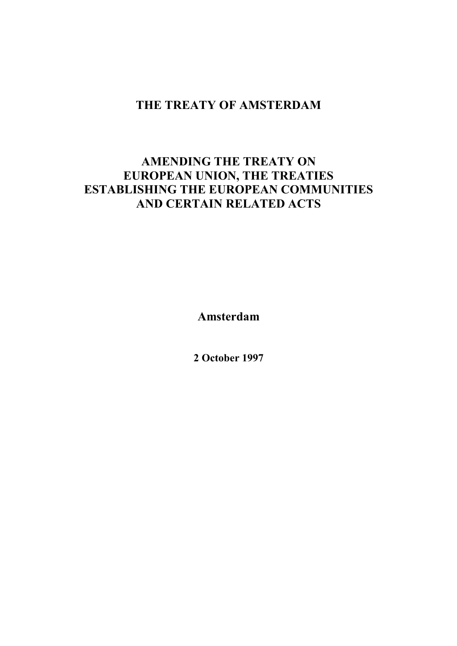# **THE TREATY OF AMSTERDAM**

# **AMENDING THE TREATY ON EUROPEAN UNION, THE TREATIES ESTABLISHING THE EUROPEAN COMMUNITIES AND CERTAIN RELATED ACTS**

**Amsterdam** 

**2 October 1997**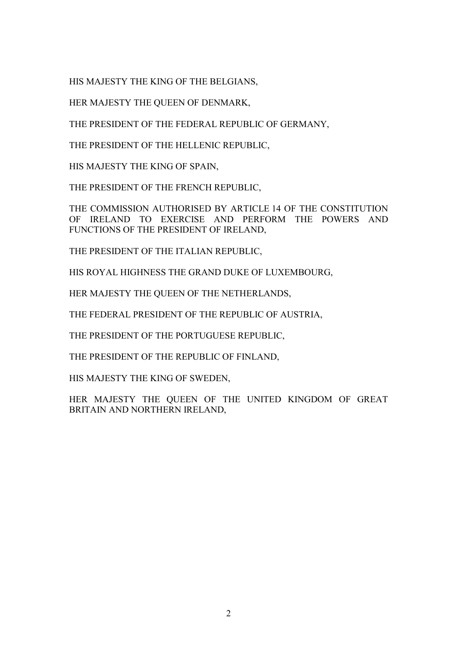HIS MAJESTY THE KING OF THE BELGIANS,

HER MAJESTY THE QUEEN OF DENMARK,

THE PRESIDENT OF THE FEDERAL REPUBLIC OF GERMANY,

THE PRESIDENT OF THE HELLENIC REPUBLIC,

HIS MAJESTY THE KING OF SPAIN,

THE PRESIDENT OF THE FRENCH REPUBLIC,

THE COMMISSION AUTHORISED BY ARTICLE 14 OF THE CONSTITUTION OF IRELAND TO EXERCISE AND PERFORM THE POWERS AND FUNCTIONS OF THE PRESIDENT OF IRELAND,

THE PRESIDENT OF THE ITALIAN REPUBLIC,

HIS ROYAL HIGHNESS THE GRAND DUKE OF LUXEMBOURG,

HER MAJESTY THE QUEEN OF THE NETHERLANDS,

THE FEDERAL PRESIDENT OF THE REPUBLIC OF AUSTRIA,

THE PRESIDENT OF THE PORTUGUESE REPUBLIC,

THE PRESIDENT OF THE REPUBLIC OF FINLAND,

HIS MAJESTY THE KING OF SWEDEN,

HER MAJESTY THE QUEEN OF THE UNITED KINGDOM OF GREAT BRITAIN AND NORTHERN IRELAND,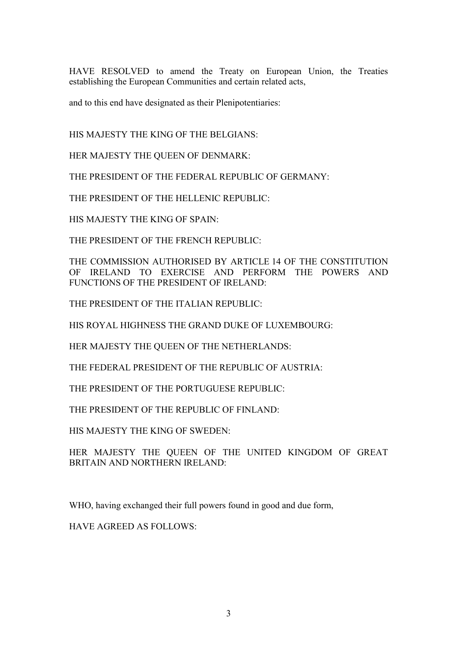HAVE RESOLVED to amend the Treaty on European Union, the Treaties establishing the European Communities and certain related acts,

and to this end have designated as their Plenipotentiaries:

HIS MAJESTY THE KING OF THE BELGIANS:

HER MAJESTY THE OUEEN OF DENMARK:

THE PRESIDENT OF THE FEDERAL REPUBLIC OF GERMANY:

THE PRESIDENT OF THE HELLENIC REPUBLIC:

HIS MAJESTY THE KING OF SPAIN:

THE PRESIDENT OF THE FRENCH REPUBLIC:

THE COMMISSION AUTHORISED BY ARTICLE 14 OF THE CONSTITUTION OF IRELAND TO EXERCISE AND PERFORM THE POWERS AND FUNCTIONS OF THE PRESIDENT OF IRELAND:

THE PRESIDENT OF THE ITALIAN REPUBLIC:

HIS ROYAL HIGHNESS THE GRAND DUKE OF LUXEMBOURG:

HER MAJESTY THE QUEEN OF THE NETHERLANDS:

THE FEDERAL PRESIDENT OF THE REPUBLIC OF AUSTRIA:

THE PRESIDENT OF THE PORTUGUESE REPUBLIC:

THE PRESIDENT OF THE REPUBLIC OF FINLAND:

HIS MAJESTY THE KING OF SWEDEN:

HER MAJESTY THE QUEEN OF THE UNITED KINGDOM OF GREAT BRITAIN AND NORTHERN IRELAND:

WHO, having exchanged their full powers found in good and due form,

HAVE AGREED AS FOLLOWS: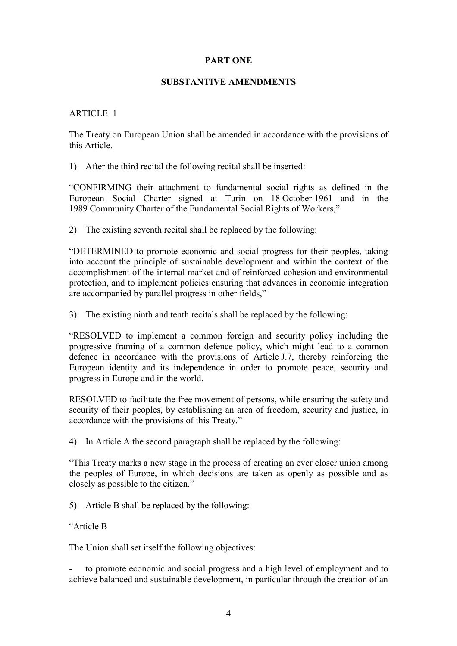# **PART ONE**

#### **SUBSTANTIVE AMENDMENTS**

## ARTICLE 1

The Treaty on European Union shall be amended in accordance with the provisions of this Article.

1) After the third recital the following recital shall be inserted:

"CONFIRMING their attachment to fundamental social rights as defined in the European Social Charter signed at Turin on 18 October 1961 and in the 1989 Community Charter of the Fundamental Social Rights of Workers,"

2) The existing seventh recital shall be replaced by the following:

"DETERMINED to promote economic and social progress for their peoples, taking into account the principle of sustainable development and within the context of the accomplishment of the internal market and of reinforced cohesion and environmental protection, and to implement policies ensuring that advances in economic integration are accompanied by parallel progress in other fields,"

3) The existing ninth and tenth recitals shall be replaced by the following:

"RESOLVED to implement a common foreign and security policy including the progressive framing of a common defence policy, which might lead to a common defence in accordance with the provisions of Article J.7, thereby reinforcing the European identity and its independence in order to promote peace, security and progress in Europe and in the world,

RESOLVED to facilitate the free movement of persons, while ensuring the safety and security of their peoples, by establishing an area of freedom, security and justice, in accordance with the provisions of this Treaty."

4) In Article A the second paragraph shall be replaced by the following:

"This Treaty marks a new stage in the process of creating an ever closer union among the peoples of Europe, in which decisions are taken as openly as possible and as closely as possible to the citizen."

5) Article B shall be replaced by the following:

#### "Article B

The Union shall set itself the following objectives:

- to promote economic and social progress and a high level of employment and to achieve balanced and sustainable development, in particular through the creation of an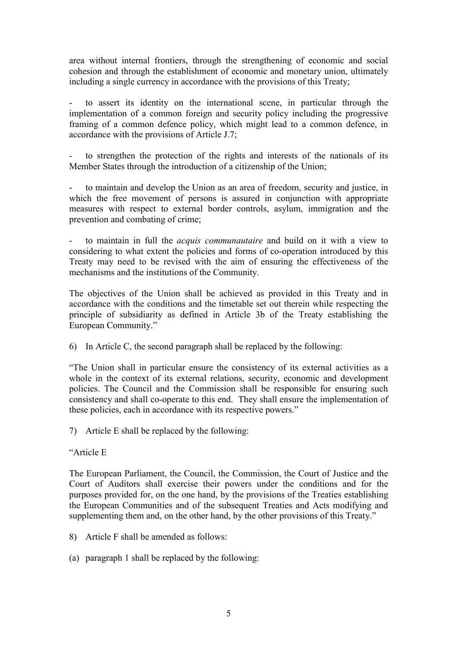area without internal frontiers, through the strengthening of economic and social cohesion and through the establishment of economic and monetary union, ultimately including a single currency in accordance with the provisions of this Treaty;

to assert its identity on the international scene, in particular through the implementation of a common foreign and security policy including the progressive framing of a common defence policy, which might lead to a common defence, in accordance with the provisions of Article J.7;

to strengthen the protection of the rights and interests of the nationals of its Member States through the introduction of a citizenship of the Union;

to maintain and develop the Union as an area of freedom, security and justice, in which the free movement of persons is assured in conjunction with appropriate measures with respect to external border controls, asylum, immigration and the prevention and combating of crime;

- to maintain in full the *acquis communautaire* and build on it with a view to considering to what extent the policies and forms of co-operation introduced by this Treaty may need to be revised with the aim of ensuring the effectiveness of the mechanisms and the institutions of the Community.

The objectives of the Union shall be achieved as provided in this Treaty and in accordance with the conditions and the timetable set out therein while respecting the principle of subsidiarity as defined in Article 3b of the Treaty establishing the European Community."

6) In Article C, the second paragraph shall be replaced by the following:

"The Union shall in particular ensure the consistency of its external activities as a whole in the context of its external relations, security, economic and development policies. The Council and the Commission shall be responsible for ensuring such consistency and shall co-operate to this end. They shall ensure the implementation of these policies, each in accordance with its respective powers."

7) Article E shall be replaced by the following:

"Article E

The European Parliament, the Council, the Commission, the Court of Justice and the Court of Auditors shall exercise their powers under the conditions and for the purposes provided for, on the one hand, by the provisions of the Treaties establishing the European Communities and of the subsequent Treaties and Acts modifying and supplementing them and, on the other hand, by the other provisions of this Treaty."

- 8) Article F shall be amended as follows:
- (a) paragraph 1 shall be replaced by the following: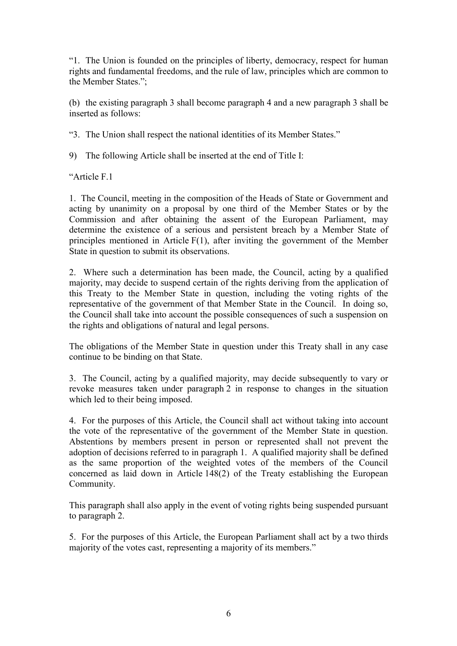"1. The Union is founded on the principles of liberty, democracy, respect for human rights and fundamental freedoms, and the rule of law, principles which are common to the Member States.";

(b) the existing paragraph 3 shall become paragraph 4 and a new paragraph 3 shall be inserted as follows:

"3. The Union shall respect the national identities of its Member States."

9) The following Article shall be inserted at the end of Title I:

"Article F.1

1. The Council, meeting in the composition of the Heads of State or Government and acting by unanimity on a proposal by one third of the Member States or by the Commission and after obtaining the assent of the European Parliament, may determine the existence of a serious and persistent breach by a Member State of principles mentioned in Article F(1), after inviting the government of the Member State in question to submit its observations.

2. Where such a determination has been made, the Council, acting by a qualified majority, may decide to suspend certain of the rights deriving from the application of this Treaty to the Member State in question, including the voting rights of the representative of the government of that Member State in the Council. In doing so, the Council shall take into account the possible consequences of such a suspension on the rights and obligations of natural and legal persons.

The obligations of the Member State in question under this Treaty shall in any case continue to be binding on that State.

3. The Council, acting by a qualified majority, may decide subsequently to vary or revoke measures taken under paragraph 2 in response to changes in the situation which led to their being imposed.

4. For the purposes of this Article, the Council shall act without taking into account the vote of the representative of the government of the Member State in question. Abstentions by members present in person or represented shall not prevent the adoption of decisions referred to in paragraph 1. A qualified majority shall be defined as the same proportion of the weighted votes of the members of the Council concerned as laid down in Article 148(2) of the Treaty establishing the European Community.

This paragraph shall also apply in the event of voting rights being suspended pursuant to paragraph 2.

5. For the purposes of this Article, the European Parliament shall act by a two thirds majority of the votes cast, representing a majority of its members."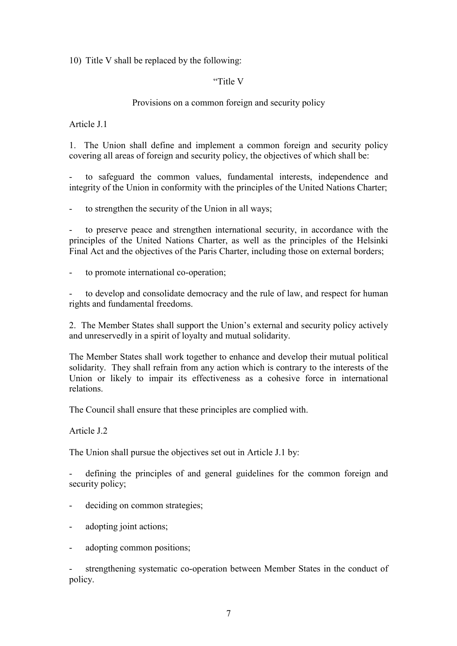10) Title V shall be replaced by the following:

# "Title V

# Provisions on a common foreign and security policy

Article J.1

1. The Union shall define and implement a common foreign and security policy covering all areas of foreign and security policy, the objectives of which shall be:

to safeguard the common values, fundamental interests, independence and integrity of the Union in conformity with the principles of the United Nations Charter;

- to strengthen the security of the Union in all ways;

- to preserve peace and strengthen international security, in accordance with the principles of the United Nations Charter, as well as the principles of the Helsinki Final Act and the objectives of the Paris Charter, including those on external borders;

- to promote international co-operation;

to develop and consolidate democracy and the rule of law, and respect for human rights and fundamental freedoms.

2. The Member States shall support the Union's external and security policy actively and unreservedly in a spirit of loyalty and mutual solidarity.

The Member States shall work together to enhance and develop their mutual political solidarity. They shall refrain from any action which is contrary to the interests of the Union or likely to impair its effectiveness as a cohesive force in international relations.

The Council shall ensure that these principles are complied with.

Article J.2

The Union shall pursue the objectives set out in Article J.1 by:

defining the principles of and general guidelines for the common foreign and security policy;

- deciding on common strategies;
- adopting joint actions;
- adopting common positions;

strengthening systematic co-operation between Member States in the conduct of policy.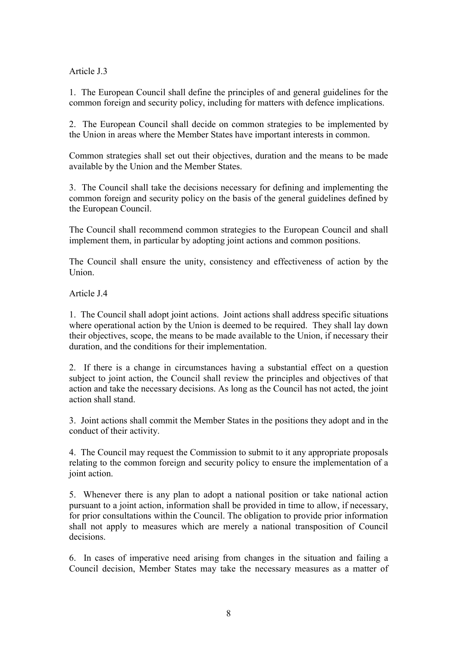Article J.3

1. The European Council shall define the principles of and general guidelines for the common foreign and security policy, including for matters with defence implications.

2. The European Council shall decide on common strategies to be implemented by the Union in areas where the Member States have important interests in common.

Common strategies shall set out their objectives, duration and the means to be made available by the Union and the Member States.

3. The Council shall take the decisions necessary for defining and implementing the common foreign and security policy on the basis of the general guidelines defined by the European Council.

The Council shall recommend common strategies to the European Council and shall implement them, in particular by adopting joint actions and common positions.

The Council shall ensure the unity, consistency and effectiveness of action by the Union.

Article J.4

1. The Council shall adopt joint actions. Joint actions shall address specific situations where operational action by the Union is deemed to be required. They shall lay down their objectives, scope, the means to be made available to the Union, if necessary their duration, and the conditions for their implementation.

2. If there is a change in circumstances having a substantial effect on a question subject to joint action, the Council shall review the principles and objectives of that action and take the necessary decisions. As long as the Council has not acted, the joint action shall stand.

3. Joint actions shall commit the Member States in the positions they adopt and in the conduct of their activity.

4. The Council may request the Commission to submit to it any appropriate proposals relating to the common foreign and security policy to ensure the implementation of a joint action.

5. Whenever there is any plan to adopt a national position or take national action pursuant to a joint action, information shall be provided in time to allow, if necessary, for prior consultations within the Council. The obligation to provide prior information shall not apply to measures which are merely a national transposition of Council decisions.

6. In cases of imperative need arising from changes in the situation and failing a Council decision, Member States may take the necessary measures as a matter of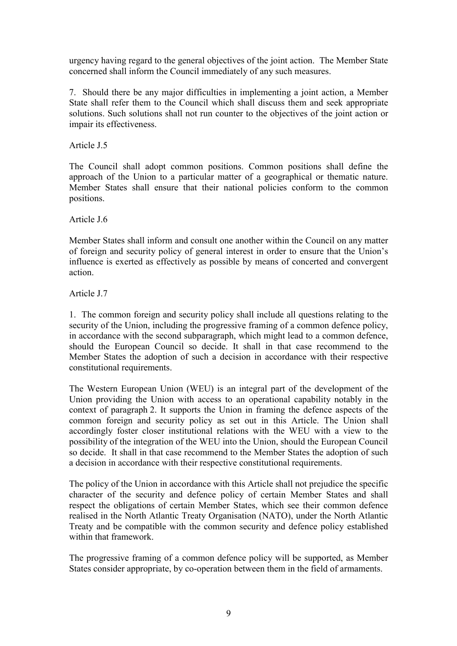urgency having regard to the general objectives of the joint action. The Member State concerned shall inform the Council immediately of any such measures.

7. Should there be any major difficulties in implementing a joint action, a Member State shall refer them to the Council which shall discuss them and seek appropriate solutions. Such solutions shall not run counter to the objectives of the joint action or impair its effectiveness.

Article J.5

The Council shall adopt common positions. Common positions shall define the approach of the Union to a particular matter of a geographical or thematic nature. Member States shall ensure that their national policies conform to the common positions.

Article J.6

Member States shall inform and consult one another within the Council on any matter of foreign and security policy of general interest in order to ensure that the Union's influence is exerted as effectively as possible by means of concerted and convergent action.

Article J.7

1. The common foreign and security policy shall include all questions relating to the security of the Union, including the progressive framing of a common defence policy, in accordance with the second subparagraph, which might lead to a common defence, should the European Council so decide. It shall in that case recommend to the Member States the adoption of such a decision in accordance with their respective constitutional requirements.

The Western European Union (WEU) is an integral part of the development of the Union providing the Union with access to an operational capability notably in the context of paragraph 2. It supports the Union in framing the defence aspects of the common foreign and security policy as set out in this Article. The Union shall accordingly foster closer institutional relations with the WEU with a view to the possibility of the integration of the WEU into the Union, should the European Council so decide. It shall in that case recommend to the Member States the adoption of such a decision in accordance with their respective constitutional requirements.

The policy of the Union in accordance with this Article shall not prejudice the specific character of the security and defence policy of certain Member States and shall respect the obligations of certain Member States, which see their common defence realised in the North Atlantic Treaty Organisation (NATO), under the North Atlantic Treaty and be compatible with the common security and defence policy established within that framework.

The progressive framing of a common defence policy will be supported, as Member States consider appropriate, by co-operation between them in the field of armaments.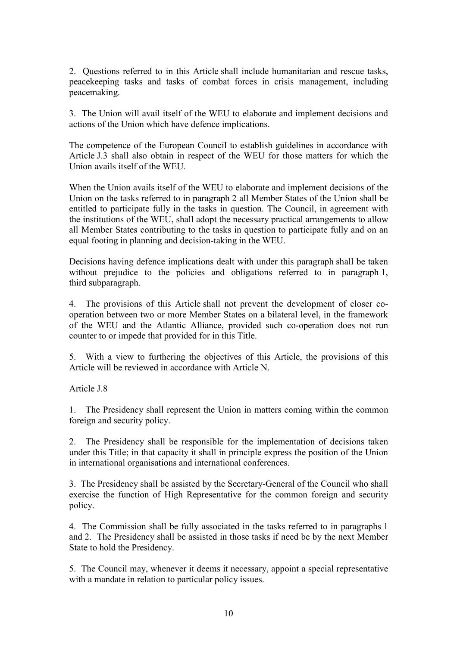2. Questions referred to in this Article shall include humanitarian and rescue tasks, peacekeeping tasks and tasks of combat forces in crisis management, including peacemaking.

3. The Union will avail itself of the WEU to elaborate and implement decisions and actions of the Union which have defence implications.

The competence of the European Council to establish guidelines in accordance with Article J.3 shall also obtain in respect of the WEU for those matters for which the Union avails itself of the WEU.

When the Union avails itself of the WEU to elaborate and implement decisions of the Union on the tasks referred to in paragraph 2 all Member States of the Union shall be entitled to participate fully in the tasks in question. The Council, in agreement with the institutions of the WEU, shall adopt the necessary practical arrangements to allow all Member States contributing to the tasks in question to participate fully and on an equal footing in planning and decision-taking in the WEU.

Decisions having defence implications dealt with under this paragraph shall be taken without prejudice to the policies and obligations referred to in paragraph 1, third subparagraph.

4. The provisions of this Article shall not prevent the development of closer cooperation between two or more Member States on a bilateral level, in the framework of the WEU and the Atlantic Alliance, provided such co-operation does not run counter to or impede that provided for in this Title.

5. With a view to furthering the objectives of this Article, the provisions of this Article will be reviewed in accordance with Article N.

Article J.8

1. The Presidency shall represent the Union in matters coming within the common foreign and security policy.

2. The Presidency shall be responsible for the implementation of decisions taken under this Title; in that capacity it shall in principle express the position of the Union in international organisations and international conferences.

3. The Presidency shall be assisted by the Secretary-General of the Council who shall exercise the function of High Representative for the common foreign and security policy.

4. The Commission shall be fully associated in the tasks referred to in paragraphs 1 and 2. The Presidency shall be assisted in those tasks if need be by the next Member State to hold the Presidency.

5. The Council may, whenever it deems it necessary, appoint a special representative with a mandate in relation to particular policy issues.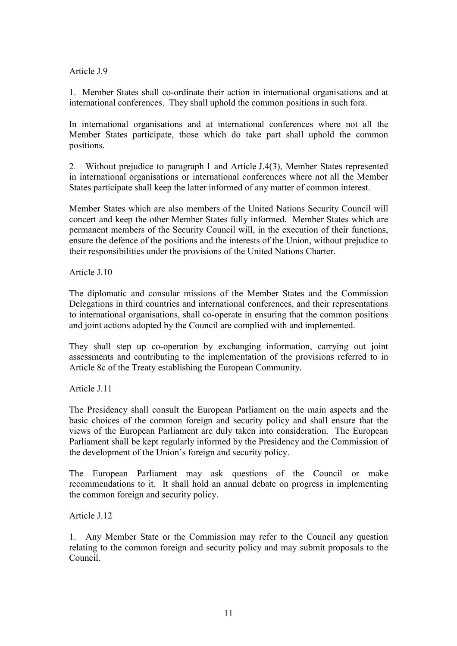Article J.9

1. Member States shall co-ordinate their action in international organisations and at international conferences. They shall uphold the common positions in such fora.

In international organisations and at international conferences where not all the Member States participate, those which do take part shall uphold the common positions.

2. Without prejudice to paragraph 1 and Article J.4(3), Member States represented in international organisations or international conferences where not all the Member States participate shall keep the latter informed of any matter of common interest.

Member States which are also members of the United Nations Security Council will concert and keep the other Member States fully informed. Member States which are permanent members of the Security Council will, in the execution of their functions, ensure the defence of the positions and the interests of the Union, without prejudice to their responsibilities under the provisions of the United Nations Charter.

Article J.10

The diplomatic and consular missions of the Member States and the Commission Delegations in third countries and international conferences, and their representations to international organisations, shall co-operate in ensuring that the common positions and joint actions adopted by the Council are complied with and implemented.

They shall step up co-operation by exchanging information, carrying out joint assessments and contributing to the implementation of the provisions referred to in Article 8c of the Treaty establishing the European Community.

Article J.11

The Presidency shall consult the European Parliament on the main aspects and the basic choices of the common foreign and security policy and shall ensure that the views of the European Parliament are duly taken into consideration. The European Parliament shall be kept regularly informed by the Presidency and the Commission of the development of the Union's foreign and security policy.

The European Parliament may ask questions of the Council or make recommendations to it. It shall hold an annual debate on progress in implementing the common foreign and security policy.

Article J.12

1. Any Member State or the Commission may refer to the Council any question relating to the common foreign and security policy and may submit proposals to the Council.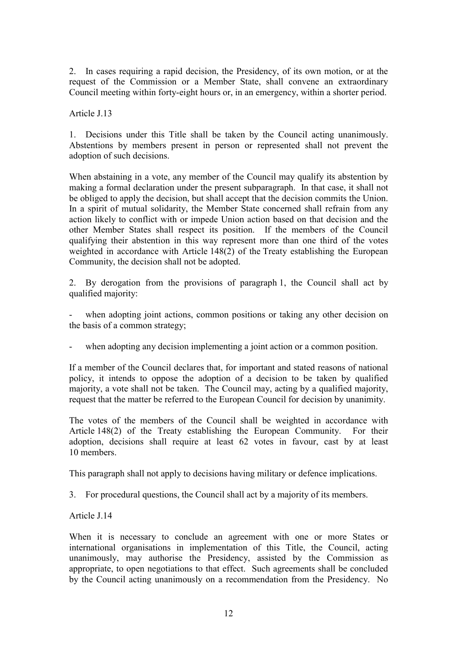2. In cases requiring a rapid decision, the Presidency, of its own motion, or at the request of the Commission or a Member State, shall convene an extraordinary Council meeting within forty-eight hours or, in an emergency, within a shorter period.

Article J.13

1. Decisions under this Title shall be taken by the Council acting unanimously. Abstentions by members present in person or represented shall not prevent the adoption of such decisions.

When abstaining in a vote, any member of the Council may qualify its abstention by making a formal declaration under the present subparagraph. In that case, it shall not be obliged to apply the decision, but shall accept that the decision commits the Union. In a spirit of mutual solidarity, the Member State concerned shall refrain from any action likely to conflict with or impede Union action based on that decision and the other Member States shall respect its position. If the members of the Council qualifying their abstention in this way represent more than one third of the votes weighted in accordance with Article 148(2) of the Treaty establishing the European Community, the decision shall not be adopted.

2. By derogation from the provisions of paragraph 1, the Council shall act by qualified majority:

when adopting joint actions, common positions or taking any other decision on the basis of a common strategy;

when adopting any decision implementing a joint action or a common position.

If a member of the Council declares that, for important and stated reasons of national policy, it intends to oppose the adoption of a decision to be taken by qualified majority, a vote shall not be taken. The Council may, acting by a qualified majority, request that the matter be referred to the European Council for decision by unanimity.

The votes of the members of the Council shall be weighted in accordance with Article 148(2) of the Treaty establishing the European Community. For their adoption, decisions shall require at least 62 votes in favour, cast by at least 10 members.

This paragraph shall not apply to decisions having military or defence implications.

3. For procedural questions, the Council shall act by a majority of its members.

Article J.14

When it is necessary to conclude an agreement with one or more States or international organisations in implementation of this Title, the Council, acting unanimously, may authorise the Presidency, assisted by the Commission as appropriate, to open negotiations to that effect. Such agreements shall be concluded by the Council acting unanimously on a recommendation from the Presidency. No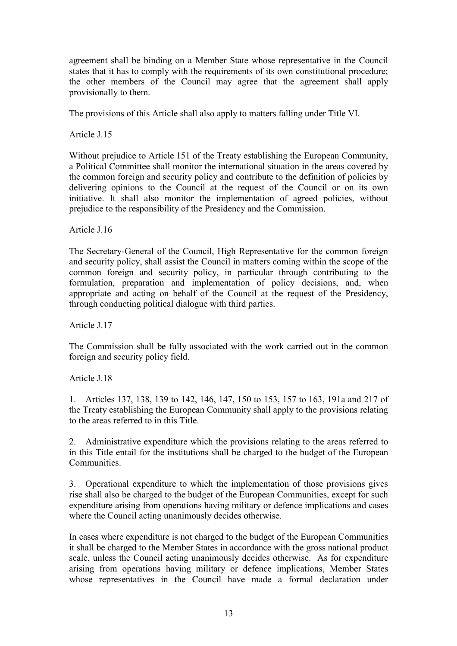agreement shall be binding on a Member State whose representative in the Council states that it has to comply with the requirements of its own constitutional procedure; the other members of the Council may agree that the agreement shall apply provisionally to them.

The provisions of this Article shall also apply to matters falling under Title VI.

Article J.15

Without prejudice to Article 151 of the Treaty establishing the European Community, a Political Committee shall monitor the international situation in the areas covered by the common foreign and security policy and contribute to the definition of policies by delivering opinions to the Council at the request of the Council or on its own initiative. It shall also monitor the implementation of agreed policies, without prejudice to the responsibility of the Presidency and the Commission.

Article J.16

The Secretary-General of the Council, High Representative for the common foreign and security policy, shall assist the Council in matters coming within the scope of the common foreign and security policy, in particular through contributing to the formulation, preparation and implementation of policy decisions, and, when appropriate and acting on behalf of the Council at the request of the Presidency, through conducting political dialogue with third parties.

Article J.17

The Commission shall be fully associated with the work carried out in the common foreign and security policy field.

Article J.18

1. Articles 137, 138, 139 to 142, 146, 147, 150 to 153, 157 to 163, 191a and 217 of the Treaty establishing the European Community shall apply to the provisions relating to the areas referred to in this Title.

2. Administrative expenditure which the provisions relating to the areas referred to in this Title entail for the institutions shall be charged to the budget of the European **Communities** 

3. Operational expenditure to which the implementation of those provisions gives rise shall also be charged to the budget of the European Communities, except for such expenditure arising from operations having military or defence implications and cases where the Council acting unanimously decides otherwise.

In cases where expenditure is not charged to the budget of the European Communities it shall be charged to the Member States in accordance with the gross national product scale, unless the Council acting unanimously decides otherwise. As for expenditure arising from operations having military or defence implications, Member States whose representatives in the Council have made a formal declaration under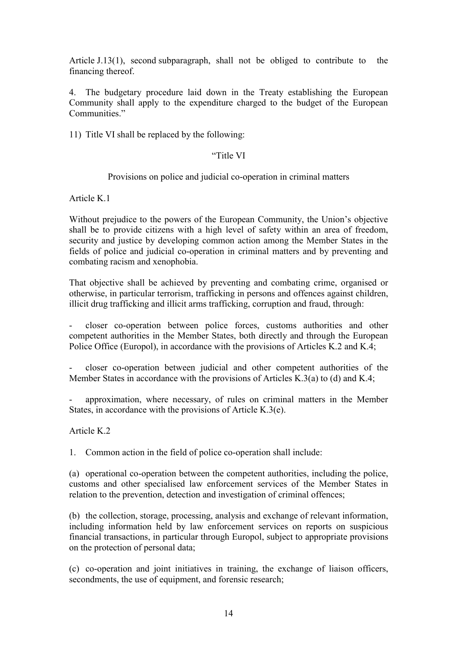Article J.13(1), second subparagraph, shall not be obliged to contribute to the financing thereof.

4. The budgetary procedure laid down in the Treaty establishing the European Community shall apply to the expenditure charged to the budget of the European Communities."

11) Title VI shall be replaced by the following:

#### "Title VI

## Provisions on police and judicial co-operation in criminal matters

Article K.1

Without prejudice to the powers of the European Community, the Union's objective shall be to provide citizens with a high level of safety within an area of freedom, security and justice by developing common action among the Member States in the fields of police and judicial co-operation in criminal matters and by preventing and combating racism and xenophobia.

That objective shall be achieved by preventing and combating crime, organised or otherwise, in particular terrorism, trafficking in persons and offences against children, illicit drug trafficking and illicit arms trafficking, corruption and fraud, through:

- closer co-operation between police forces, customs authorities and other competent authorities in the Member States, both directly and through the European Police Office (Europol), in accordance with the provisions of Articles K.2 and K.4;

- closer co-operation between judicial and other competent authorities of the Member States in accordance with the provisions of Articles K.3(a) to (d) and K.4;

- approximation, where necessary, of rules on criminal matters in the Member States, in accordance with the provisions of Article K.3(e).

Article K.2

1. Common action in the field of police co-operation shall include:

(a) operational co-operation between the competent authorities, including the police, customs and other specialised law enforcement services of the Member States in relation to the prevention, detection and investigation of criminal offences;

(b) the collection, storage, processing, analysis and exchange of relevant information, including information held by law enforcement services on reports on suspicious financial transactions, in particular through Europol, subject to appropriate provisions on the protection of personal data;

(c) co-operation and joint initiatives in training, the exchange of liaison officers, secondments, the use of equipment, and forensic research;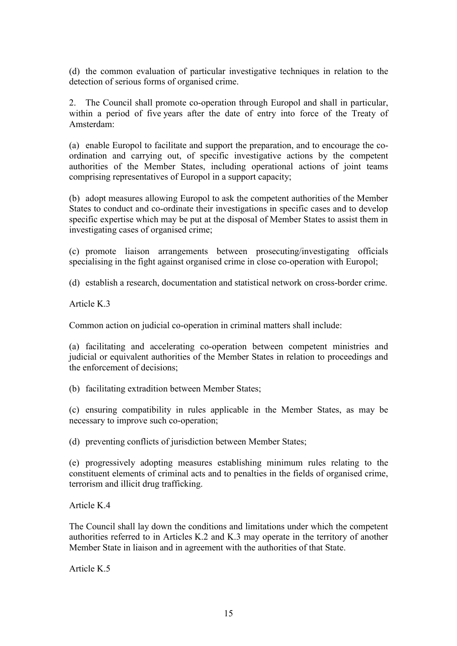(d) the common evaluation of particular investigative techniques in relation to the detection of serious forms of organised crime.

2. The Council shall promote co-operation through Europol and shall in particular, within a period of five years after the date of entry into force of the Treaty of Amsterdam:

(a) enable Europol to facilitate and support the preparation, and to encourage the coordination and carrying out, of specific investigative actions by the competent authorities of the Member States, including operational actions of joint teams comprising representatives of Europol in a support capacity;

(b) adopt measures allowing Europol to ask the competent authorities of the Member States to conduct and co-ordinate their investigations in specific cases and to develop specific expertise which may be put at the disposal of Member States to assist them in investigating cases of organised crime;

(c) promote liaison arrangements between prosecuting/investigating officials specialising in the fight against organised crime in close co-operation with Europol;

(d) establish a research, documentation and statistical network on cross-border crime.

Article K.3

Common action on judicial co-operation in criminal matters shall include:

(a) facilitating and accelerating co-operation between competent ministries and judicial or equivalent authorities of the Member States in relation to proceedings and the enforcement of decisions;

(b) facilitating extradition between Member States;

(c) ensuring compatibility in rules applicable in the Member States, as may be necessary to improve such co-operation;

(d) preventing conflicts of jurisdiction between Member States;

(e) progressively adopting measures establishing minimum rules relating to the constituent elements of criminal acts and to penalties in the fields of organised crime, terrorism and illicit drug trafficking.

Article K.4

The Council shall lay down the conditions and limitations under which the competent authorities referred to in Articles K.2 and K.3 may operate in the territory of another Member State in liaison and in agreement with the authorities of that State.

Article K.5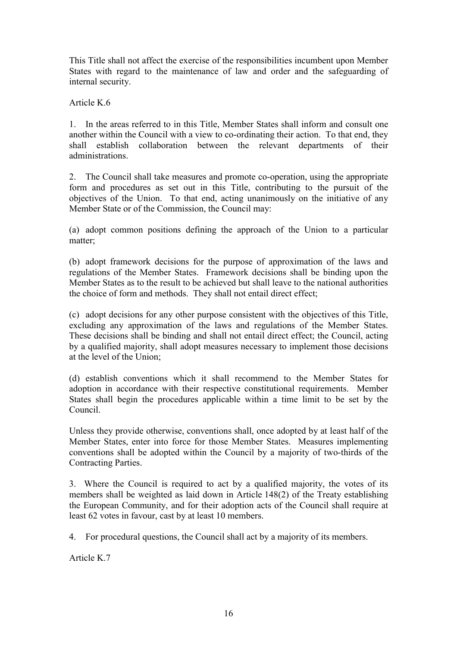This Title shall not affect the exercise of the responsibilities incumbent upon Member States with regard to the maintenance of law and order and the safeguarding of internal security.

Article K.6

1. In the areas referred to in this Title, Member States shall inform and consult one another within the Council with a view to co-ordinating their action. To that end, they shall establish collaboration between the relevant departments of their administrations.

2. The Council shall take measures and promote co-operation, using the appropriate form and procedures as set out in this Title, contributing to the pursuit of the objectives of the Union. To that end, acting unanimously on the initiative of any Member State or of the Commission, the Council may:

(a) adopt common positions defining the approach of the Union to a particular matter:

(b) adopt framework decisions for the purpose of approximation of the laws and regulations of the Member States. Framework decisions shall be binding upon the Member States as to the result to be achieved but shall leave to the national authorities the choice of form and methods. They shall not entail direct effect;

(c) adopt decisions for any other purpose consistent with the objectives of this Title, excluding any approximation of the laws and regulations of the Member States. These decisions shall be binding and shall not entail direct effect; the Council, acting by a qualified majority, shall adopt measures necessary to implement those decisions at the level of the Union;

(d) establish conventions which it shall recommend to the Member States for adoption in accordance with their respective constitutional requirements. Member States shall begin the procedures applicable within a time limit to be set by the Council.

Unless they provide otherwise, conventions shall, once adopted by at least half of the Member States, enter into force for those Member States. Measures implementing conventions shall be adopted within the Council by a majority of two-thirds of the Contracting Parties.

3. Where the Council is required to act by a qualified majority, the votes of its members shall be weighted as laid down in Article 148(2) of the Treaty establishing the European Community, and for their adoption acts of the Council shall require at least 62 votes in favour, cast by at least 10 members.

4. For procedural questions, the Council shall act by a majority of its members.

Article K.7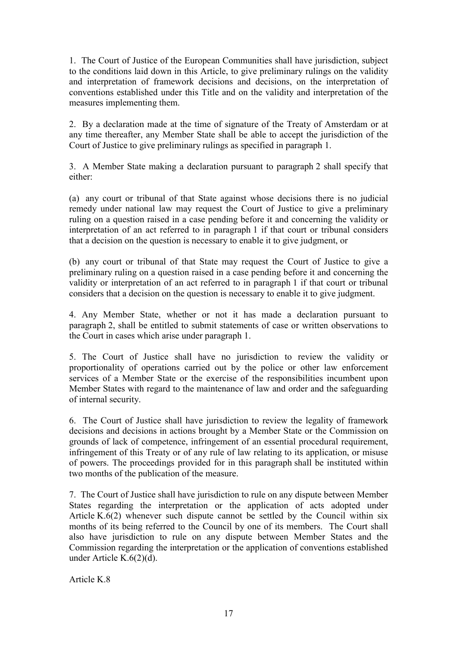1. The Court of Justice of the European Communities shall have jurisdiction, subject to the conditions laid down in this Article, to give preliminary rulings on the validity and interpretation of framework decisions and decisions, on the interpretation of conventions established under this Title and on the validity and interpretation of the measures implementing them.

2. By a declaration made at the time of signature of the Treaty of Amsterdam or at any time thereafter, any Member State shall be able to accept the jurisdiction of the Court of Justice to give preliminary rulings as specified in paragraph 1.

3. A Member State making a declaration pursuant to paragraph 2 shall specify that either:

(a) any court or tribunal of that State against whose decisions there is no judicial remedy under national law may request the Court of Justice to give a preliminary ruling on a question raised in a case pending before it and concerning the validity or interpretation of an act referred to in paragraph 1 if that court or tribunal considers that a decision on the question is necessary to enable it to give judgment, or

(b) any court or tribunal of that State may request the Court of Justice to give a preliminary ruling on a question raised in a case pending before it and concerning the validity or interpretation of an act referred to in paragraph 1 if that court or tribunal considers that a decision on the question is necessary to enable it to give judgment.

4. Any Member State, whether or not it has made a declaration pursuant to paragraph 2, shall be entitled to submit statements of case or written observations to the Court in cases which arise under paragraph 1.

5. The Court of Justice shall have no jurisdiction to review the validity or proportionality of operations carried out by the police or other law enforcement services of a Member State or the exercise of the responsibilities incumbent upon Member States with regard to the maintenance of law and order and the safeguarding of internal security.

6. The Court of Justice shall have jurisdiction to review the legality of framework decisions and decisions in actions brought by a Member State or the Commission on grounds of lack of competence, infringement of an essential procedural requirement, infringement of this Treaty or of any rule of law relating to its application, or misuse of powers. The proceedings provided for in this paragraph shall be instituted within two months of the publication of the measure.

7. The Court of Justice shall have jurisdiction to rule on any dispute between Member States regarding the interpretation or the application of acts adopted under Article K.6(2) whenever such dispute cannot be settled by the Council within six months of its being referred to the Council by one of its members. The Court shall also have jurisdiction to rule on any dispute between Member States and the Commission regarding the interpretation or the application of conventions established under Article K.6(2)(d).

Article K.8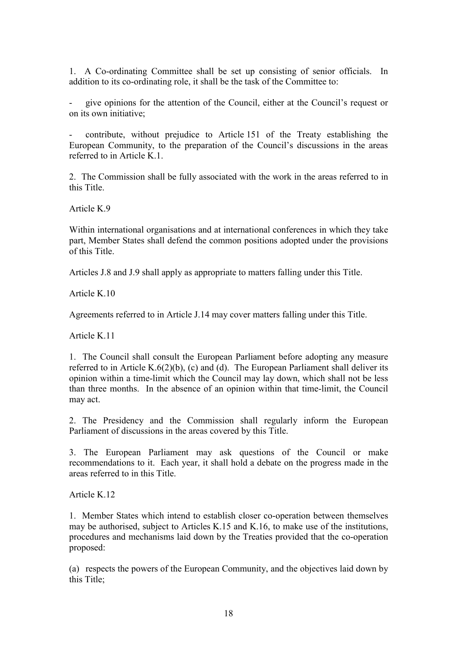1. A Co-ordinating Committee shall be set up consisting of senior officials. In addition to its co-ordinating role, it shall be the task of the Committee to:

- give opinions for the attention of the Council, either at the Council's request or on its own initiative;

- contribute, without prejudice to Article 151 of the Treaty establishing the European Community, to the preparation of the Council's discussions in the areas referred to in Article K.1.

2. The Commission shall be fully associated with the work in the areas referred to in this Title.

Article K.9

Within international organisations and at international conferences in which they take part, Member States shall defend the common positions adopted under the provisions of this Title.

Articles J.8 and J.9 shall apply as appropriate to matters falling under this Title.

Article K.10

Agreements referred to in Article J.14 may cover matters falling under this Title.

Article K.11

1. The Council shall consult the European Parliament before adopting any measure referred to in Article K.6(2)(b), (c) and (d). The European Parliament shall deliver its opinion within a time-limit which the Council may lay down, which shall not be less than three months. In the absence of an opinion within that time-limit, the Council may act.

2. The Presidency and the Commission shall regularly inform the European Parliament of discussions in the areas covered by this Title.

3. The European Parliament may ask questions of the Council or make recommendations to it. Each year, it shall hold a debate on the progress made in the areas referred to in this Title.

Article K.12

1. Member States which intend to establish closer co-operation between themselves may be authorised, subject to Articles K.15 and K.16, to make use of the institutions, procedures and mechanisms laid down by the Treaties provided that the co-operation proposed:

(a) respects the powers of the European Community, and the objectives laid down by this Title;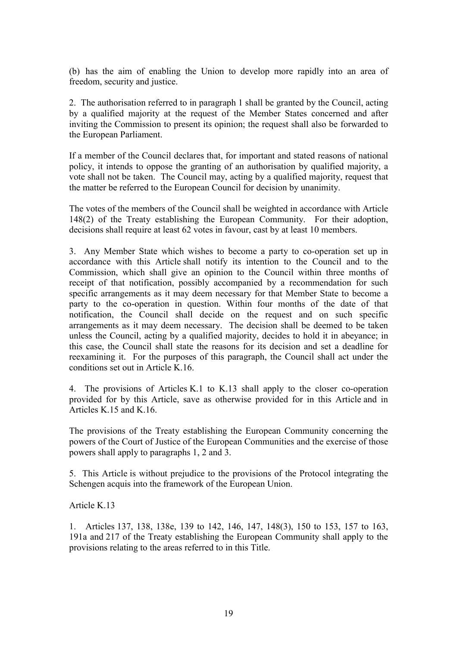(b) has the aim of enabling the Union to develop more rapidly into an area of freedom, security and justice.

2. The authorisation referred to in paragraph 1 shall be granted by the Council, acting by a qualified majority at the request of the Member States concerned and after inviting the Commission to present its opinion; the request shall also be forwarded to the European Parliament.

If a member of the Council declares that, for important and stated reasons of national policy, it intends to oppose the granting of an authorisation by qualified majority, a vote shall not be taken. The Council may, acting by a qualified majority, request that the matter be referred to the European Council for decision by unanimity.

The votes of the members of the Council shall be weighted in accordance with Article 148(2) of the Treaty establishing the European Community. For their adoption, decisions shall require at least 62 votes in favour, cast by at least 10 members.

3. Any Member State which wishes to become a party to co-operation set up in accordance with this Article shall notify its intention to the Council and to the Commission, which shall give an opinion to the Council within three months of receipt of that notification, possibly accompanied by a recommendation for such specific arrangements as it may deem necessary for that Member State to become a party to the co-operation in question. Within four months of the date of that notification, the Council shall decide on the request and on such specific arrangements as it may deem necessary. The decision shall be deemed to be taken unless the Council, acting by a qualified majority, decides to hold it in abeyance; in this case, the Council shall state the reasons for its decision and set a deadline for reexamining it. For the purposes of this paragraph, the Council shall act under the conditions set out in Article K.16.

4. The provisions of Articles K.1 to K.13 shall apply to the closer co-operation provided for by this Article, save as otherwise provided for in this Article and in Articles K.15 and K.16.

The provisions of the Treaty establishing the European Community concerning the powers of the Court of Justice of the European Communities and the exercise of those powers shall apply to paragraphs 1, 2 and 3.

5. This Article is without prejudice to the provisions of the Protocol integrating the Schengen acquis into the framework of the European Union.

Article K.13

1. Articles 137, 138, 138e, 139 to 142, 146, 147, 148(3), 150 to 153, 157 to 163, 191a and 217 of the Treaty establishing the European Community shall apply to the provisions relating to the areas referred to in this Title.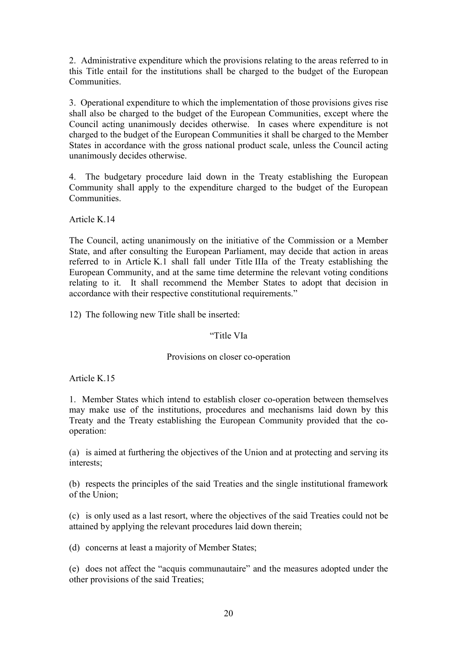2. Administrative expenditure which the provisions relating to the areas referred to in this Title entail for the institutions shall be charged to the budget of the European **Communities** 

3. Operational expenditure to which the implementation of those provisions gives rise shall also be charged to the budget of the European Communities, except where the Council acting unanimously decides otherwise. In cases where expenditure is not charged to the budget of the European Communities it shall be charged to the Member States in accordance with the gross national product scale, unless the Council acting unanimously decides otherwise.

4. The budgetary procedure laid down in the Treaty establishing the European Community shall apply to the expenditure charged to the budget of the European Communities.

Article K.14

The Council, acting unanimously on the initiative of the Commission or a Member State, and after consulting the European Parliament, may decide that action in areas referred to in Article K.1 shall fall under Title IIIa of the Treaty establishing the European Community, and at the same time determine the relevant voting conditions relating to it. It shall recommend the Member States to adopt that decision in accordance with their respective constitutional requirements."

12) The following new Title shall be inserted:

"Title VIa

#### Provisions on closer co-operation

Article K.15

1. Member States which intend to establish closer co-operation between themselves may make use of the institutions, procedures and mechanisms laid down by this Treaty and the Treaty establishing the European Community provided that the cooperation:

(a) is aimed at furthering the objectives of the Union and at protecting and serving its interests;

(b) respects the principles of the said Treaties and the single institutional framework of the Union;

(c) is only used as a last resort, where the objectives of the said Treaties could not be attained by applying the relevant procedures laid down therein;

(d) concerns at least a majority of Member States;

(e) does not affect the "acquis communautaire" and the measures adopted under the other provisions of the said Treaties;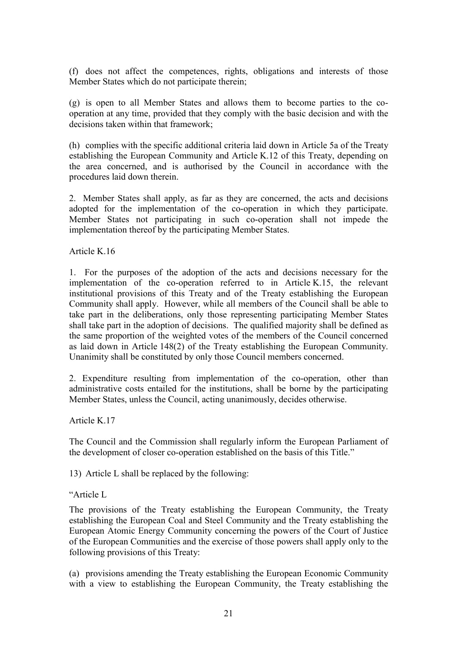(f) does not affect the competences, rights, obligations and interests of those Member States which do not participate therein;

(g) is open to all Member States and allows them to become parties to the cooperation at any time, provided that they comply with the basic decision and with the decisions taken within that framework;

(h) complies with the specific additional criteria laid down in Article 5a of the Treaty establishing the European Community and Article K.12 of this Treaty, depending on the area concerned, and is authorised by the Council in accordance with the procedures laid down therein.

2. Member States shall apply, as far as they are concerned, the acts and decisions adopted for the implementation of the co-operation in which they participate. Member States not participating in such co-operation shall not impede the implementation thereof by the participating Member States.

Article K.16

1. For the purposes of the adoption of the acts and decisions necessary for the implementation of the co-operation referred to in Article K.15, the relevant institutional provisions of this Treaty and of the Treaty establishing the European Community shall apply. However, while all members of the Council shall be able to take part in the deliberations, only those representing participating Member States shall take part in the adoption of decisions. The qualified majority shall be defined as the same proportion of the weighted votes of the members of the Council concerned as laid down in Article 148(2) of the Treaty establishing the European Community. Unanimity shall be constituted by only those Council members concerned.

2. Expenditure resulting from implementation of the co-operation, other than administrative costs entailed for the institutions, shall be borne by the participating Member States, unless the Council, acting unanimously, decides otherwise.

Article K.17

The Council and the Commission shall regularly inform the European Parliament of the development of closer co-operation established on the basis of this Title."

13) Article L shall be replaced by the following:

"Article L

The provisions of the Treaty establishing the European Community, the Treaty establishing the European Coal and Steel Community and the Treaty establishing the European Atomic Energy Community concerning the powers of the Court of Justice of the European Communities and the exercise of those powers shall apply only to the following provisions of this Treaty:

(a) provisions amending the Treaty establishing the European Economic Community with a view to establishing the European Community, the Treaty establishing the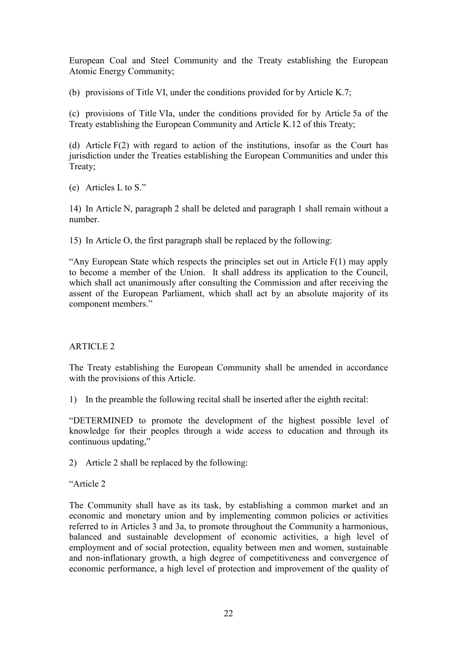European Coal and Steel Community and the Treaty establishing the European Atomic Energy Community;

(b) provisions of Title VI, under the conditions provided for by Article K.7;

(c) provisions of Title VIa, under the conditions provided for by Article 5a of the Treaty establishing the European Community and Article K.12 of this Treaty;

(d) Article F(2) with regard to action of the institutions, insofar as the Court has jurisdiction under the Treaties establishing the European Communities and under this Treaty;

(e) Articles L to S."

14) In Article N, paragraph 2 shall be deleted and paragraph 1 shall remain without a number.

15) In Article O, the first paragraph shall be replaced by the following:

"Any European State which respects the principles set out in Article  $F(1)$  may apply to become a member of the Union. It shall address its application to the Council, which shall act unanimously after consulting the Commission and after receiving the assent of the European Parliament, which shall act by an absolute majority of its component members."

# ARTICLE 2

The Treaty establishing the European Community shall be amended in accordance with the provisions of this Article.

1) In the preamble the following recital shall be inserted after the eighth recital:

"DETERMINED to promote the development of the highest possible level of knowledge for their peoples through a wide access to education and through its continuous updating,"

2) Article 2 shall be replaced by the following:

"Article 2

The Community shall have as its task, by establishing a common market and an economic and monetary union and by implementing common policies or activities referred to in Articles 3 and 3a, to promote throughout the Community a harmonious, balanced and sustainable development of economic activities, a high level of employment and of social protection, equality between men and women, sustainable and non-inflationary growth, a high degree of competitiveness and convergence of economic performance, a high level of protection and improvement of the quality of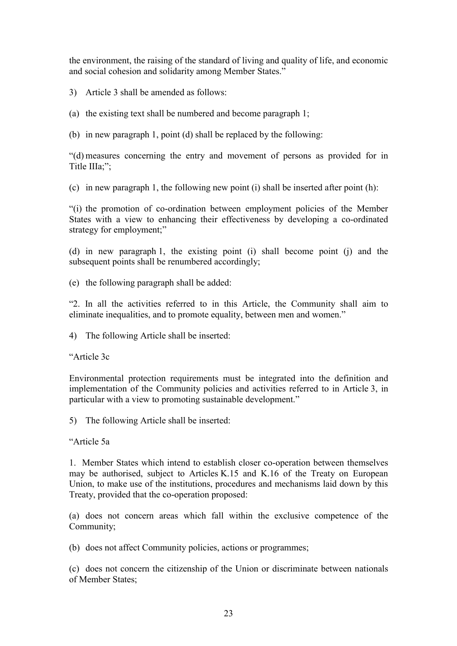the environment, the raising of the standard of living and quality of life, and economic and social cohesion and solidarity among Member States."

3) Article 3 shall be amended as follows:

(a) the existing text shall be numbered and become paragraph 1;

(b) in new paragraph 1, point (d) shall be replaced by the following:

"(d) measures concerning the entry and movement of persons as provided for in Title IIIa:":

(c) in new paragraph 1, the following new point (i) shall be inserted after point (h):

"(i) the promotion of co-ordination between employment policies of the Member States with a view to enhancing their effectiveness by developing a co-ordinated strategy for employment;"

(d) in new paragraph 1, the existing point (i) shall become point (j) and the subsequent points shall be renumbered accordingly;

(e) the following paragraph shall be added:

"2. In all the activities referred to in this Article, the Community shall aim to eliminate inequalities, and to promote equality, between men and women."

4) The following Article shall be inserted:

"Article 3c

Environmental protection requirements must be integrated into the definition and implementation of the Community policies and activities referred to in Article 3, in particular with a view to promoting sustainable development."

5) The following Article shall be inserted:

"Article 5a

1. Member States which intend to establish closer co-operation between themselves may be authorised, subject to Articles K.15 and K.16 of the Treaty on European Union, to make use of the institutions, procedures and mechanisms laid down by this Treaty, provided that the co-operation proposed:

(a) does not concern areas which fall within the exclusive competence of the Community;

(b) does not affect Community policies, actions or programmes;

(c) does not concern the citizenship of the Union or discriminate between nationals of Member States;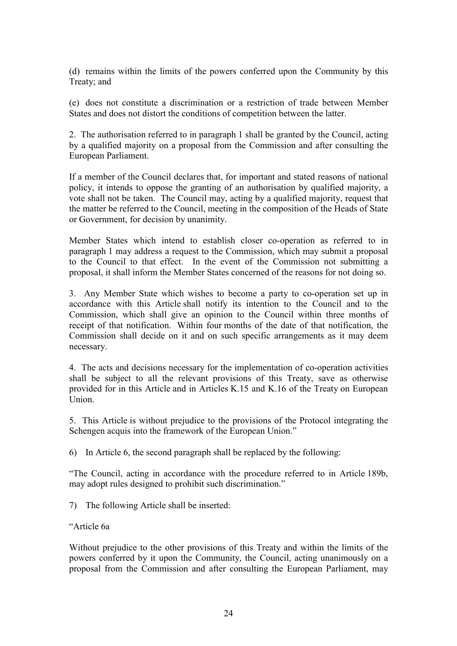(d) remains within the limits of the powers conferred upon the Community by this Treaty; and

(e) does not constitute a discrimination or a restriction of trade between Member States and does not distort the conditions of competition between the latter.

2. The authorisation referred to in paragraph 1 shall be granted by the Council, acting by a qualified majority on a proposal from the Commission and after consulting the European Parliament.

If a member of the Council declares that, for important and stated reasons of national policy, it intends to oppose the granting of an authorisation by qualified majority, a vote shall not be taken. The Council may, acting by a qualified majority, request that the matter be referred to the Council, meeting in the composition of the Heads of State or Government, for decision by unanimity.

Member States which intend to establish closer co-operation as referred to in paragraph 1 may address a request to the Commission, which may submit a proposal to the Council to that effect. In the event of the Commission not submitting a proposal, it shall inform the Member States concerned of the reasons for not doing so.

3. Any Member State which wishes to become a party to co-operation set up in accordance with this Article shall notify its intention to the Council and to the Commission, which shall give an opinion to the Council within three months of receipt of that notification. Within four months of the date of that notification, the Commission shall decide on it and on such specific arrangements as it may deem necessary.

4. The acts and decisions necessary for the implementation of co-operation activities shall be subject to all the relevant provisions of this Treaty, save as otherwise provided for in this Article and in Articles K.15 and K.16 of the Treaty on European Union.

5. This Article is without prejudice to the provisions of the Protocol integrating the Schengen acquis into the framework of the European Union."

6) In Article 6, the second paragraph shall be replaced by the following:

"The Council, acting in accordance with the procedure referred to in Article 189b, may adopt rules designed to prohibit such discrimination."

7) The following Article shall be inserted:

"Article 6a

Without prejudice to the other provisions of this Treaty and within the limits of the powers conferred by it upon the Community, the Council, acting unanimously on a proposal from the Commission and after consulting the European Parliament, may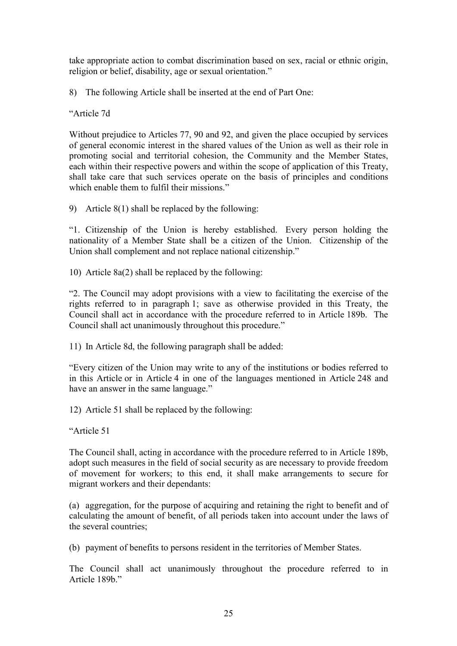take appropriate action to combat discrimination based on sex, racial or ethnic origin, religion or belief, disability, age or sexual orientation."

8) The following Article shall be inserted at the end of Part One:

"Article 7d

Without prejudice to Articles 77, 90 and 92, and given the place occupied by services of general economic interest in the shared values of the Union as well as their role in promoting social and territorial cohesion, the Community and the Member States, each within their respective powers and within the scope of application of this Treaty, shall take care that such services operate on the basis of principles and conditions which enable them to fulfil their missions."

9) Article 8(1) shall be replaced by the following:

"1. Citizenship of the Union is hereby established. Every person holding the nationality of a Member State shall be a citizen of the Union. Citizenship of the Union shall complement and not replace national citizenship."

10) Article 8a(2) shall be replaced by the following:

"2. The Council may adopt provisions with a view to facilitating the exercise of the rights referred to in paragraph 1; save as otherwise provided in this Treaty, the Council shall act in accordance with the procedure referred to in Article 189b. The Council shall act unanimously throughout this procedure."

11) In Article 8d, the following paragraph shall be added:

"Every citizen of the Union may write to any of the institutions or bodies referred to in this Article or in Article 4 in one of the languages mentioned in Article 248 and have an answer in the same language."

12) Article 51 shall be replaced by the following:

"Article 51

The Council shall, acting in accordance with the procedure referred to in Article 189b, adopt such measures in the field of social security as are necessary to provide freedom of movement for workers; to this end, it shall make arrangements to secure for migrant workers and their dependants:

(a) aggregation, for the purpose of acquiring and retaining the right to benefit and of calculating the amount of benefit, of all periods taken into account under the laws of the several countries;

(b) payment of benefits to persons resident in the territories of Member States.

The Council shall act unanimously throughout the procedure referred to in Article 189b."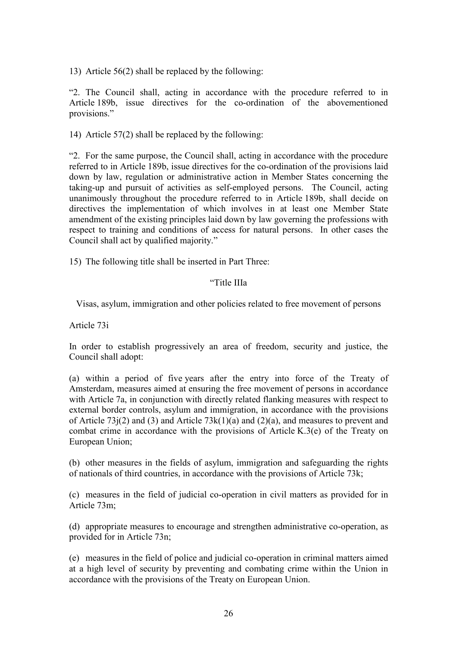13) Article 56(2) shall be replaced by the following:

"2. The Council shall, acting in accordance with the procedure referred to in Article 189b, issue directives for the co-ordination of the abovementioned provisions."

14) Article 57(2) shall be replaced by the following:

"2. For the same purpose, the Council shall, acting in accordance with the procedure referred to in Article 189b, issue directives for the co-ordination of the provisions laid down by law, regulation or administrative action in Member States concerning the taking-up and pursuit of activities as self-employed persons. The Council, acting unanimously throughout the procedure referred to in Article 189b, shall decide on directives the implementation of which involves in at least one Member State amendment of the existing principles laid down by law governing the professions with respect to training and conditions of access for natural persons. In other cases the Council shall act by qualified majority."

15) The following title shall be inserted in Part Three:

# "Title IIIa

Visas, asylum, immigration and other policies related to free movement of persons

Article 73i

In order to establish progressively an area of freedom, security and justice, the Council shall adopt:

(a) within a period of five years after the entry into force of the Treaty of Amsterdam, measures aimed at ensuring the free movement of persons in accordance with Article 7a, in conjunction with directly related flanking measures with respect to external border controls, asylum and immigration, in accordance with the provisions of Article 73 $j(2)$  and (3) and Article 73 $k(1)(a)$  and (2)(a), and measures to prevent and combat crime in accordance with the provisions of Article K.3(e) of the Treaty on European Union;

(b) other measures in the fields of asylum, immigration and safeguarding the rights of nationals of third countries, in accordance with the provisions of Article 73k;

(c) measures in the field of judicial co-operation in civil matters as provided for in Article 73m;

(d) appropriate measures to encourage and strengthen administrative co-operation, as provided for in Article 73n;

(e) measures in the field of police and judicial co-operation in criminal matters aimed at a high level of security by preventing and combating crime within the Union in accordance with the provisions of the Treaty on European Union.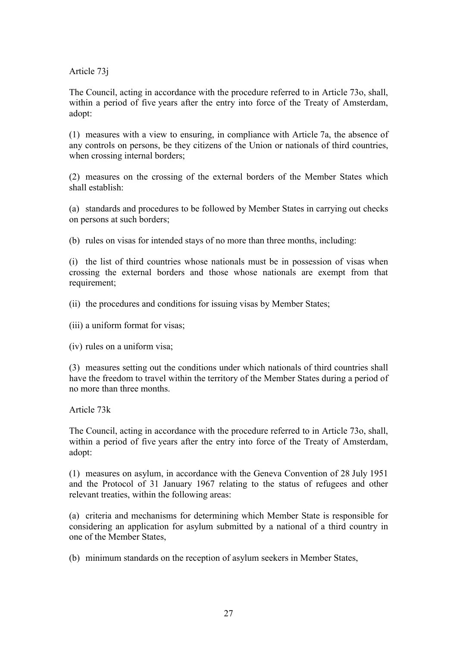Article 73j

The Council, acting in accordance with the procedure referred to in Article 73o, shall, within a period of five years after the entry into force of the Treaty of Amsterdam, adopt:

(1) measures with a view to ensuring, in compliance with Article 7a, the absence of any controls on persons, be they citizens of the Union or nationals of third countries, when crossing internal borders;

(2) measures on the crossing of the external borders of the Member States which shall establish:

(a) standards and procedures to be followed by Member States in carrying out checks on persons at such borders;

(b) rules on visas for intended stays of no more than three months, including:

(i) the list of third countries whose nationals must be in possession of visas when crossing the external borders and those whose nationals are exempt from that requirement;

(ii) the procedures and conditions for issuing visas by Member States;

(iii) a uniform format for visas;

(iv) rules on a uniform visa;

(3) measures setting out the conditions under which nationals of third countries shall have the freedom to travel within the territory of the Member States during a period of no more than three months.

Article 73k

The Council, acting in accordance with the procedure referred to in Article 73o, shall, within a period of five years after the entry into force of the Treaty of Amsterdam, adopt:

(1) measures on asylum, in accordance with the Geneva Convention of 28 July 1951 and the Protocol of 31 January 1967 relating to the status of refugees and other relevant treaties, within the following areas:

(a) criteria and mechanisms for determining which Member State is responsible for considering an application for asylum submitted by a national of a third country in one of the Member States,

(b) minimum standards on the reception of asylum seekers in Member States,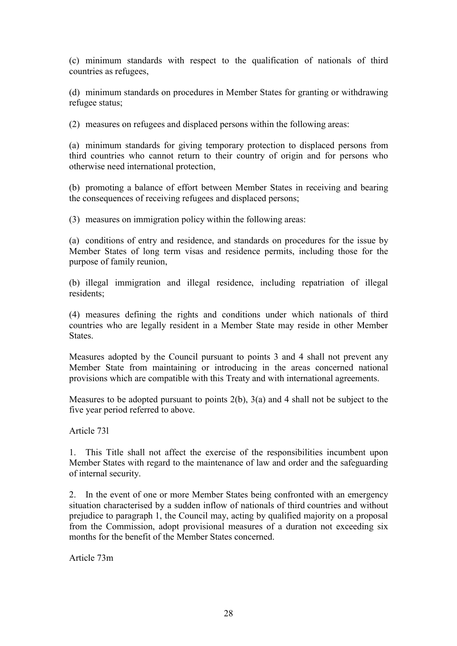(c) minimum standards with respect to the qualification of nationals of third countries as refugees,

(d) minimum standards on procedures in Member States for granting or withdrawing refugee status;

(2) measures on refugees and displaced persons within the following areas:

(a) minimum standards for giving temporary protection to displaced persons from third countries who cannot return to their country of origin and for persons who otherwise need international protection,

(b) promoting a balance of effort between Member States in receiving and bearing the consequences of receiving refugees and displaced persons;

(3) measures on immigration policy within the following areas:

(a) conditions of entry and residence, and standards on procedures for the issue by Member States of long term visas and residence permits, including those for the purpose of family reunion,

(b) illegal immigration and illegal residence, including repatriation of illegal residents;

(4) measures defining the rights and conditions under which nationals of third countries who are legally resident in a Member State may reside in other Member **States** 

Measures adopted by the Council pursuant to points 3 and 4 shall not prevent any Member State from maintaining or introducing in the areas concerned national provisions which are compatible with this Treaty and with international agreements.

Measures to be adopted pursuant to points 2(b), 3(a) and 4 shall not be subject to the five year period referred to above.

Article 73l

1. This Title shall not affect the exercise of the responsibilities incumbent upon Member States with regard to the maintenance of law and order and the safeguarding of internal security.

2. In the event of one or more Member States being confronted with an emergency situation characterised by a sudden inflow of nationals of third countries and without prejudice to paragraph 1, the Council may, acting by qualified majority on a proposal from the Commission, adopt provisional measures of a duration not exceeding six months for the benefit of the Member States concerned.

Article 73m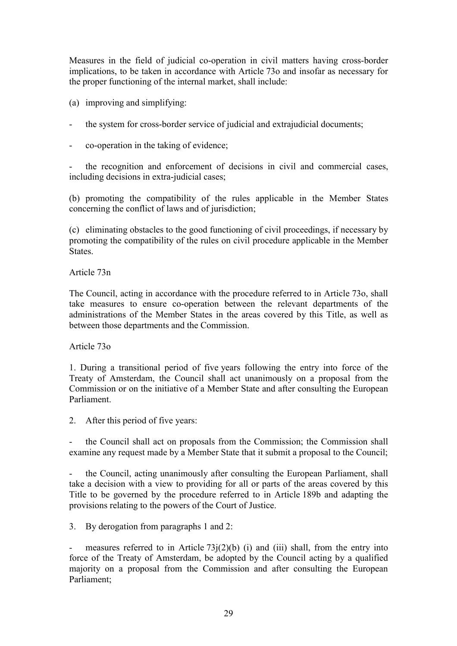Measures in the field of judicial co-operation in civil matters having cross-border implications, to be taken in accordance with Article 73o and insofar as necessary for the proper functioning of the internal market, shall include:

(a) improving and simplifying:

- the system for cross-border service of judicial and extrajudicial documents;
- co-operation in the taking of evidence;

- the recognition and enforcement of decisions in civil and commercial cases, including decisions in extra-judicial cases;

(b) promoting the compatibility of the rules applicable in the Member States concerning the conflict of laws and of jurisdiction;

(c) eliminating obstacles to the good functioning of civil proceedings, if necessary by promoting the compatibility of the rules on civil procedure applicable in the Member **States**.

Article 73n

The Council, acting in accordance with the procedure referred to in Article 73o, shall take measures to ensure co-operation between the relevant departments of the administrations of the Member States in the areas covered by this Title, as well as between those departments and the Commission.

Article 73o

1. During a transitional period of five years following the entry into force of the Treaty of Amsterdam, the Council shall act unanimously on a proposal from the Commission or on the initiative of a Member State and after consulting the European Parliament.

2. After this period of five years:

- the Council shall act on proposals from the Commission; the Commission shall examine any request made by a Member State that it submit a proposal to the Council;

the Council, acting unanimously after consulting the European Parliament, shall take a decision with a view to providing for all or parts of the areas covered by this Title to be governed by the procedure referred to in Article 189b and adapting the provisions relating to the powers of the Court of Justice.

3. By derogation from paragraphs 1 and 2:

measures referred to in Article  $73j(2)(b)$  (i) and (iii) shall, from the entry into force of the Treaty of Amsterdam, be adopted by the Council acting by a qualified majority on a proposal from the Commission and after consulting the European Parliament;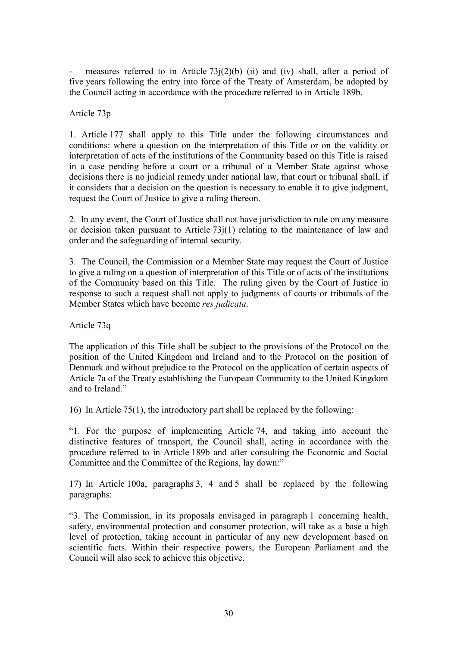measures referred to in Article  $73j(2)(b)$  (ii) and (iv) shall, after a period of five years following the entry into force of the Treaty of Amsterdam, be adopted by the Council acting in accordance with the procedure referred to in Article 189b.

Article 73p

1. Article 177 shall apply to this Title under the following circumstances and conditions: where a question on the interpretation of this Title or on the validity or interpretation of acts of the institutions of the Community based on this Title is raised in a case pending before a court or a tribunal of a Member State against whose decisions there is no judicial remedy under national law, that court or tribunal shall, if it considers that a decision on the question is necessary to enable it to give judgment, request the Court of Justice to give a ruling thereon.

2. In any event, the Court of Justice shall not have jurisdiction to rule on any measure or decision taken pursuant to Article  $73j(1)$  relating to the maintenance of law and order and the safeguarding of internal security.

3. The Council, the Commission or a Member State may request the Court of Justice to give a ruling on a question of interpretation of this Title or of acts of the institutions of the Community based on this Title. The ruling given by the Court of Justice in response to such a request shall not apply to judgments of courts or tribunals of the Member States which have become *res judicata*.

Article 73q

The application of this Title shall be subject to the provisions of the Protocol on the position of the United Kingdom and Ireland and to the Protocol on the position of Denmark and without prejudice to the Protocol on the application of certain aspects of Article 7a of the Treaty establishing the European Community to the United Kingdom and to Ireland."

16) In Article 75(1), the introductory part shall be replaced by the following:

"1. For the purpose of implementing Article 74, and taking into account the distinctive features of transport, the Council shall, acting in accordance with the procedure referred to in Article 189b and after consulting the Economic and Social Committee and the Committee of the Regions, lay down:"

17) In Article 100a, paragraphs 3, 4 and 5 shall be replaced by the following paragraphs:

"3. The Commission, in its proposals envisaged in paragraph 1 concerning health, safety, environmental protection and consumer protection, will take as a base a high level of protection, taking account in particular of any new development based on scientific facts. Within their respective powers, the European Parliament and the Council will also seek to achieve this objective.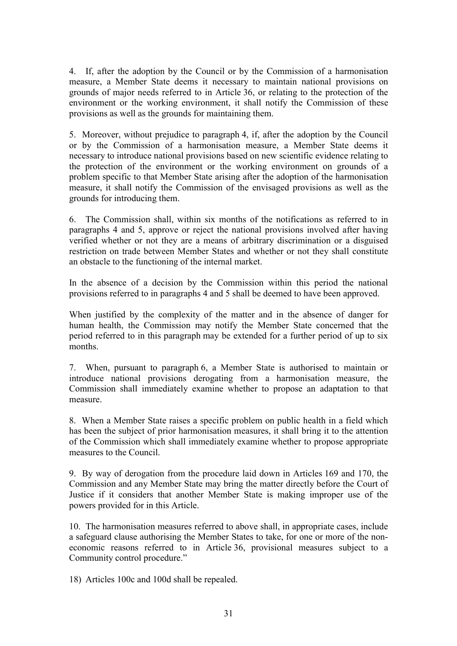4. If, after the adoption by the Council or by the Commission of a harmonisation measure, a Member State deems it necessary to maintain national provisions on grounds of major needs referred to in Article 36, or relating to the protection of the environment or the working environment, it shall notify the Commission of these provisions as well as the grounds for maintaining them.

5. Moreover, without prejudice to paragraph 4, if, after the adoption by the Council or by the Commission of a harmonisation measure, a Member State deems it necessary to introduce national provisions based on new scientific evidence relating to the protection of the environment or the working environment on grounds of a problem specific to that Member State arising after the adoption of the harmonisation measure, it shall notify the Commission of the envisaged provisions as well as the grounds for introducing them.

6. The Commission shall, within six months of the notifications as referred to in paragraphs 4 and 5, approve or reject the national provisions involved after having verified whether or not they are a means of arbitrary discrimination or a disguised restriction on trade between Member States and whether or not they shall constitute an obstacle to the functioning of the internal market.

In the absence of a decision by the Commission within this period the national provisions referred to in paragraphs 4 and 5 shall be deemed to have been approved.

When justified by the complexity of the matter and in the absence of danger for human health, the Commission may notify the Member State concerned that the period referred to in this paragraph may be extended for a further period of up to six months.

7. When, pursuant to paragraph 6, a Member State is authorised to maintain or introduce national provisions derogating from a harmonisation measure, the Commission shall immediately examine whether to propose an adaptation to that measure.

8. When a Member State raises a specific problem on public health in a field which has been the subject of prior harmonisation measures, it shall bring it to the attention of the Commission which shall immediately examine whether to propose appropriate measures to the Council.

9. By way of derogation from the procedure laid down in Articles 169 and 170, the Commission and any Member State may bring the matter directly before the Court of Justice if it considers that another Member State is making improper use of the powers provided for in this Article.

10. The harmonisation measures referred to above shall, in appropriate cases, include a safeguard clause authorising the Member States to take, for one or more of the noneconomic reasons referred to in Article 36, provisional measures subject to a Community control procedure."

18) Articles 100c and 100d shall be repealed.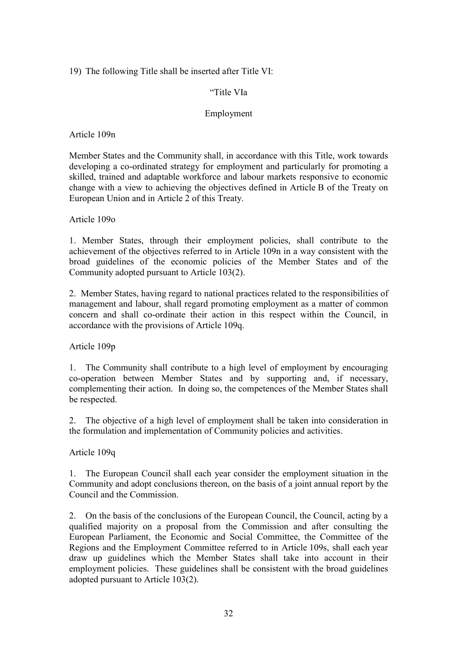19) The following Title shall be inserted after Title VI:

# "Title VIa

## Employment

Article 109n

Member States and the Community shall, in accordance with this Title, work towards developing a co-ordinated strategy for employment and particularly for promoting a skilled, trained and adaptable workforce and labour markets responsive to economic change with a view to achieving the objectives defined in Article B of the Treaty on European Union and in Article 2 of this Treaty.

Article 109o

1. Member States, through their employment policies, shall contribute to the achievement of the objectives referred to in Article 109n in a way consistent with the broad guidelines of the economic policies of the Member States and of the Community adopted pursuant to Article 103(2).

2. Member States, having regard to national practices related to the responsibilities of management and labour, shall regard promoting employment as a matter of common concern and shall co-ordinate their action in this respect within the Council, in accordance with the provisions of Article 109q.

Article 109p

1. The Community shall contribute to a high level of employment by encouraging co-operation between Member States and by supporting and, if necessary, complementing their action. In doing so, the competences of the Member States shall be respected.

2. The objective of a high level of employment shall be taken into consideration in the formulation and implementation of Community policies and activities.

Article 109q

1. The European Council shall each year consider the employment situation in the Community and adopt conclusions thereon, on the basis of a joint annual report by the Council and the Commission.

2. On the basis of the conclusions of the European Council, the Council, acting by a qualified majority on a proposal from the Commission and after consulting the European Parliament, the Economic and Social Committee, the Committee of the Regions and the Employment Committee referred to in Article 109s, shall each year draw up guidelines which the Member States shall take into account in their employment policies. These guidelines shall be consistent with the broad guidelines adopted pursuant to Article 103(2).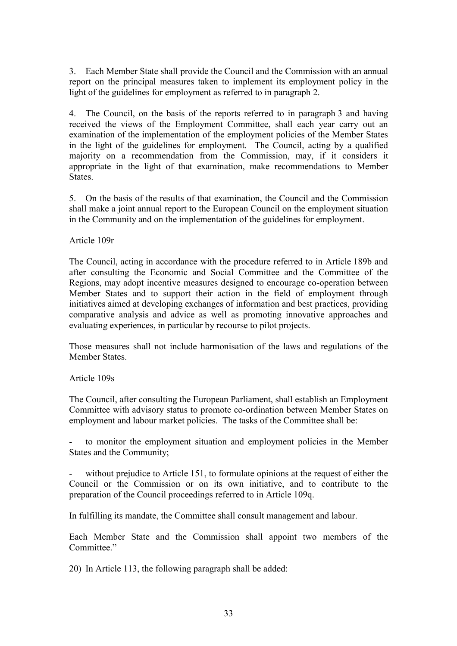3. Each Member State shall provide the Council and the Commission with an annual report on the principal measures taken to implement its employment policy in the light of the guidelines for employment as referred to in paragraph 2.

4. The Council, on the basis of the reports referred to in paragraph 3 and having received the views of the Employment Committee, shall each year carry out an examination of the implementation of the employment policies of the Member States in the light of the guidelines for employment. The Council, acting by a qualified majority on a recommendation from the Commission, may, if it considers it appropriate in the light of that examination, make recommendations to Member **States** 

5. On the basis of the results of that examination, the Council and the Commission shall make a joint annual report to the European Council on the employment situation in the Community and on the implementation of the guidelines for employment.

#### Article 109r

The Council, acting in accordance with the procedure referred to in Article 189b and after consulting the Economic and Social Committee and the Committee of the Regions, may adopt incentive measures designed to encourage co-operation between Member States and to support their action in the field of employment through initiatives aimed at developing exchanges of information and best practices, providing comparative analysis and advice as well as promoting innovative approaches and evaluating experiences, in particular by recourse to pilot projects.

Those measures shall not include harmonisation of the laws and regulations of the Member States.

#### Article 109s

The Council, after consulting the European Parliament, shall establish an Employment Committee with advisory status to promote co-ordination between Member States on employment and labour market policies. The tasks of the Committee shall be:

- to monitor the employment situation and employment policies in the Member States and the Community;

without prejudice to Article 151, to formulate opinions at the request of either the Council or the Commission or on its own initiative, and to contribute to the preparation of the Council proceedings referred to in Article 109q.

In fulfilling its mandate, the Committee shall consult management and labour.

Each Member State and the Commission shall appoint two members of the Committee."

20) In Article 113, the following paragraph shall be added: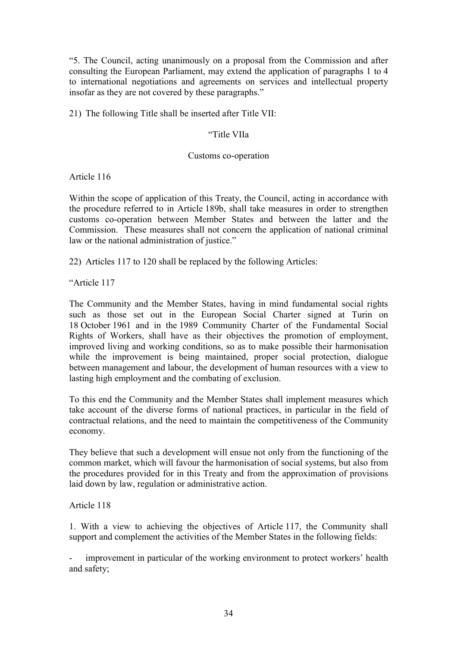"5. The Council, acting unanimously on a proposal from the Commission and after consulting the European Parliament, may extend the application of paragraphs 1 to 4 to international negotiations and agreements on services and intellectual property insofar as they are not covered by these paragraphs."

21) The following Title shall be inserted after Title VII:

# "Title VIIa

#### Customs co-operation

Article 116

Within the scope of application of this Treaty, the Council, acting in accordance with the procedure referred to in Article 189b, shall take measures in order to strengthen customs co-operation between Member States and between the latter and the Commission. These measures shall not concern the application of national criminal law or the national administration of justice."

22) Articles 117 to 120 shall be replaced by the following Articles:

"Article 117

The Community and the Member States, having in mind fundamental social rights such as those set out in the European Social Charter signed at Turin on 18 October 1961 and in the 1989 Community Charter of the Fundamental Social Rights of Workers, shall have as their objectives the promotion of employment, improved living and working conditions, so as to make possible their harmonisation while the improvement is being maintained, proper social protection, dialogue between management and labour, the development of human resources with a view to lasting high employment and the combating of exclusion.

To this end the Community and the Member States shall implement measures which take account of the diverse forms of national practices, in particular in the field of contractual relations, and the need to maintain the competitiveness of the Community economy.

They believe that such a development will ensue not only from the functioning of the common market, which will favour the harmonisation of social systems, but also from the procedures provided for in this Treaty and from the approximation of provisions laid down by law, regulation or administrative action.

Article 118

1. With a view to achieving the objectives of Article 117, the Community shall support and complement the activities of the Member States in the following fields:

improvement in particular of the working environment to protect workers' health and safety;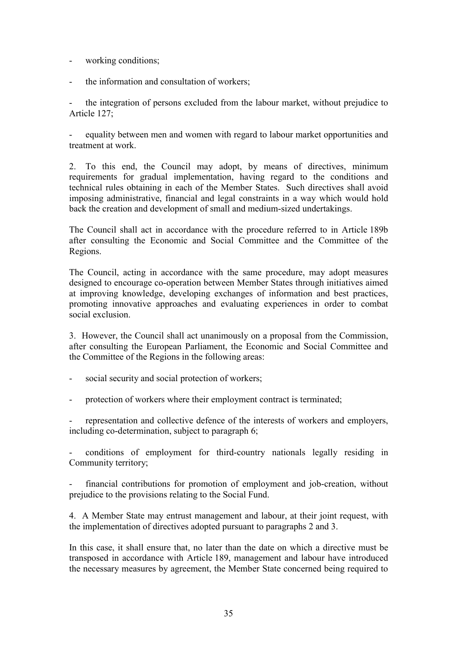- working conditions;
- the information and consultation of workers;

the integration of persons excluded from the labour market, without prejudice to Article 127;

- equality between men and women with regard to labour market opportunities and treatment at work.

2. To this end, the Council may adopt, by means of directives, minimum requirements for gradual implementation, having regard to the conditions and technical rules obtaining in each of the Member States. Such directives shall avoid imposing administrative, financial and legal constraints in a way which would hold back the creation and development of small and medium-sized undertakings.

The Council shall act in accordance with the procedure referred to in Article 189b after consulting the Economic and Social Committee and the Committee of the Regions.

The Council, acting in accordance with the same procedure, may adopt measures designed to encourage co-operation between Member States through initiatives aimed at improving knowledge, developing exchanges of information and best practices, promoting innovative approaches and evaluating experiences in order to combat social exclusion.

3. However, the Council shall act unanimously on a proposal from the Commission, after consulting the European Parliament, the Economic and Social Committee and the Committee of the Regions in the following areas:

- social security and social protection of workers;
- protection of workers where their employment contract is terminated:

representation and collective defence of the interests of workers and employers, including co-determination, subject to paragraph 6;

- conditions of employment for third-country nationals legally residing in Community territory;

financial contributions for promotion of employment and job-creation, without prejudice to the provisions relating to the Social Fund.

4. A Member State may entrust management and labour, at their joint request, with the implementation of directives adopted pursuant to paragraphs 2 and 3.

In this case, it shall ensure that, no later than the date on which a directive must be transposed in accordance with Article 189, management and labour have introduced the necessary measures by agreement, the Member State concerned being required to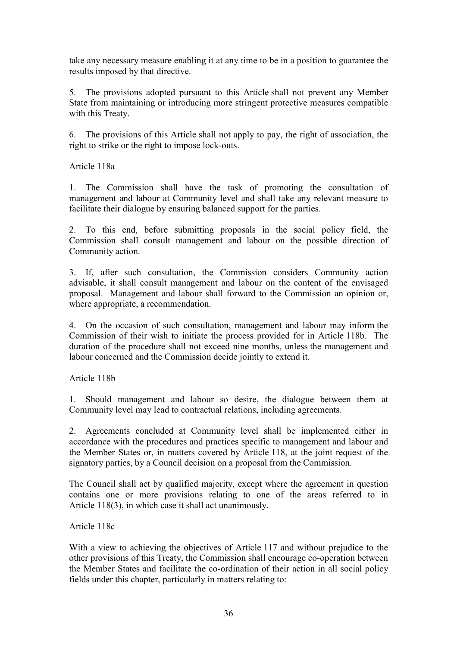take any necessary measure enabling it at any time to be in a position to guarantee the results imposed by that directive.

5. The provisions adopted pursuant to this Article shall not prevent any Member State from maintaining or introducing more stringent protective measures compatible with this Treaty.

6. The provisions of this Article shall not apply to pay, the right of association, the right to strike or the right to impose lock-outs.

Article 118a

1. The Commission shall have the task of promoting the consultation of management and labour at Community level and shall take any relevant measure to facilitate their dialogue by ensuring balanced support for the parties.

2. To this end, before submitting proposals in the social policy field, the Commission shall consult management and labour on the possible direction of Community action.

3. If, after such consultation, the Commission considers Community action advisable, it shall consult management and labour on the content of the envisaged proposal. Management and labour shall forward to the Commission an opinion or, where appropriate, a recommendation.

4. On the occasion of such consultation, management and labour may inform the Commission of their wish to initiate the process provided for in Article 118b. The duration of the procedure shall not exceed nine months, unless the management and labour concerned and the Commission decide jointly to extend it.

Article 118b

1. Should management and labour so desire, the dialogue between them at Community level may lead to contractual relations, including agreements.

2. Agreements concluded at Community level shall be implemented either in accordance with the procedures and practices specific to management and labour and the Member States or, in matters covered by Article 118, at the joint request of the signatory parties, by a Council decision on a proposal from the Commission.

The Council shall act by qualified majority, except where the agreement in question contains one or more provisions relating to one of the areas referred to in Article 118(3), in which case it shall act unanimously.

Article 118c

With a view to achieving the objectives of Article 117 and without prejudice to the other provisions of this Treaty, the Commission shall encourage co-operation between the Member States and facilitate the co-ordination of their action in all social policy fields under this chapter, particularly in matters relating to: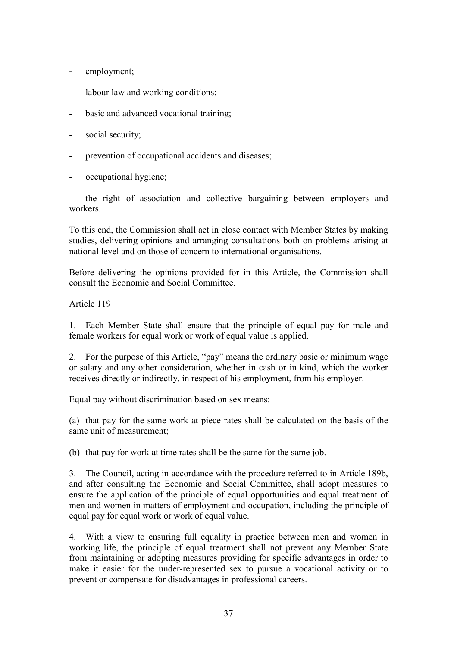- employment;
- labour law and working conditions;
- basic and advanced vocational training;
- social security;
- prevention of occupational accidents and diseases;
- occupational hygiene;

the right of association and collective bargaining between employers and workers.

To this end, the Commission shall act in close contact with Member States by making studies, delivering opinions and arranging consultations both on problems arising at national level and on those of concern to international organisations.

Before delivering the opinions provided for in this Article, the Commission shall consult the Economic and Social Committee.

Article 119

1. Each Member State shall ensure that the principle of equal pay for male and female workers for equal work or work of equal value is applied.

2. For the purpose of this Article, "pay" means the ordinary basic or minimum wage or salary and any other consideration, whether in cash or in kind, which the worker receives directly or indirectly, in respect of his employment, from his employer.

Equal pay without discrimination based on sex means:

(a) that pay for the same work at piece rates shall be calculated on the basis of the same unit of measurement;

(b) that pay for work at time rates shall be the same for the same job.

3. The Council, acting in accordance with the procedure referred to in Article 189b, and after consulting the Economic and Social Committee, shall adopt measures to ensure the application of the principle of equal opportunities and equal treatment of men and women in matters of employment and occupation, including the principle of equal pay for equal work or work of equal value.

4. With a view to ensuring full equality in practice between men and women in working life, the principle of equal treatment shall not prevent any Member State from maintaining or adopting measures providing for specific advantages in order to make it easier for the under-represented sex to pursue a vocational activity or to prevent or compensate for disadvantages in professional careers.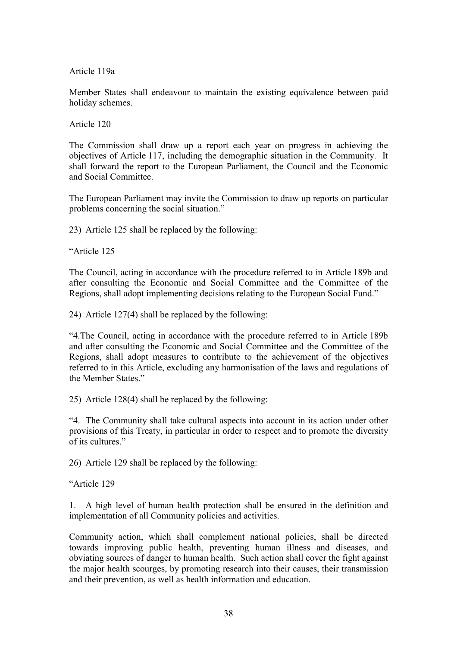Article 119a

Member States shall endeavour to maintain the existing equivalence between paid holiday schemes.

Article 120

The Commission shall draw up a report each year on progress in achieving the objectives of Article 117, including the demographic situation in the Community. It shall forward the report to the European Parliament, the Council and the Economic and Social Committee.

The European Parliament may invite the Commission to draw up reports on particular problems concerning the social situation."

23) Article 125 shall be replaced by the following:

"Article 125

The Council, acting in accordance with the procedure referred to in Article 189b and after consulting the Economic and Social Committee and the Committee of the Regions, shall adopt implementing decisions relating to the European Social Fund."

24) Article 127(4) shall be replaced by the following:

"4.The Council, acting in accordance with the procedure referred to in Article 189b and after consulting the Economic and Social Committee and the Committee of the Regions, shall adopt measures to contribute to the achievement of the objectives referred to in this Article, excluding any harmonisation of the laws and regulations of the Member States."

25) Article 128(4) shall be replaced by the following:

"4. The Community shall take cultural aspects into account in its action under other provisions of this Treaty, in particular in order to respect and to promote the diversity of its cultures."

26) Article 129 shall be replaced by the following:

"Article 129

1. A high level of human health protection shall be ensured in the definition and implementation of all Community policies and activities.

Community action, which shall complement national policies, shall be directed towards improving public health, preventing human illness and diseases, and obviating sources of danger to human health. Such action shall cover the fight against the major health scourges, by promoting research into their causes, their transmission and their prevention, as well as health information and education.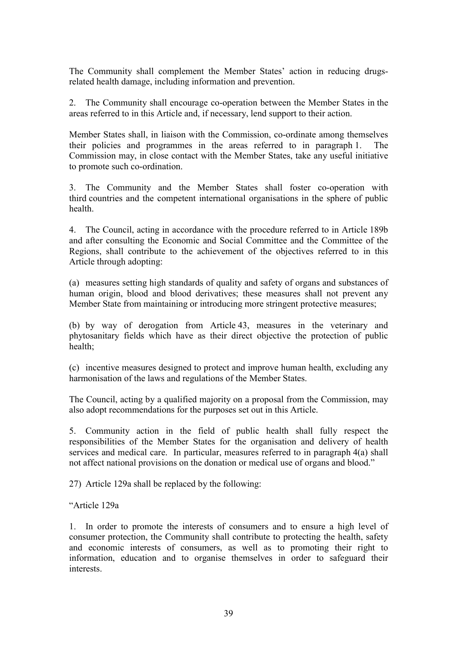The Community shall complement the Member States' action in reducing drugsrelated health damage, including information and prevention.

2. The Community shall encourage co-operation between the Member States in the areas referred to in this Article and, if necessary, lend support to their action.

Member States shall, in liaison with the Commission, co-ordinate among themselves their policies and programmes in the areas referred to in paragraph 1. The Commission may, in close contact with the Member States, take any useful initiative to promote such co-ordination.

3. The Community and the Member States shall foster co-operation with third countries and the competent international organisations in the sphere of public health.

4. The Council, acting in accordance with the procedure referred to in Article 189b and after consulting the Economic and Social Committee and the Committee of the Regions, shall contribute to the achievement of the objectives referred to in this Article through adopting:

(a) measures setting high standards of quality and safety of organs and substances of human origin, blood and blood derivatives; these measures shall not prevent any Member State from maintaining or introducing more stringent protective measures;

(b) by way of derogation from Article 43, measures in the veterinary and phytosanitary fields which have as their direct objective the protection of public health;

(c) incentive measures designed to protect and improve human health, excluding any harmonisation of the laws and regulations of the Member States.

The Council, acting by a qualified majority on a proposal from the Commission, may also adopt recommendations for the purposes set out in this Article.

5. Community action in the field of public health shall fully respect the responsibilities of the Member States for the organisation and delivery of health services and medical care. In particular, measures referred to in paragraph 4(a) shall not affect national provisions on the donation or medical use of organs and blood."

27) Article 129a shall be replaced by the following:

"Article 129a

1. In order to promote the interests of consumers and to ensure a high level of consumer protection, the Community shall contribute to protecting the health, safety and economic interests of consumers, as well as to promoting their right to information, education and to organise themselves in order to safeguard their interests.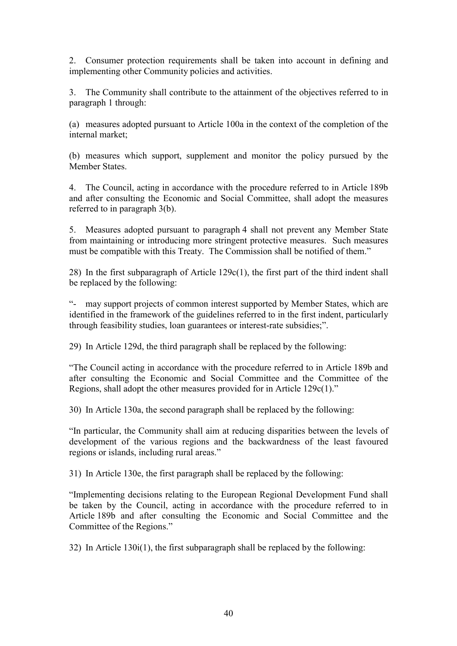2. Consumer protection requirements shall be taken into account in defining and implementing other Community policies and activities.

3. The Community shall contribute to the attainment of the objectives referred to in paragraph 1 through:

(a) measures adopted pursuant to Article 100a in the context of the completion of the internal market;

(b) measures which support, supplement and monitor the policy pursued by the Member States.

4. The Council, acting in accordance with the procedure referred to in Article 189b and after consulting the Economic and Social Committee, shall adopt the measures referred to in paragraph 3(b).

5. Measures adopted pursuant to paragraph 4 shall not prevent any Member State from maintaining or introducing more stringent protective measures. Such measures must be compatible with this Treaty. The Commission shall be notified of them."

28) In the first subparagraph of Article 129c(1), the first part of the third indent shall be replaced by the following:

"- may support projects of common interest supported by Member States, which are identified in the framework of the guidelines referred to in the first indent, particularly through feasibility studies, loan guarantees or interest-rate subsidies;".

29) In Article 129d, the third paragraph shall be replaced by the following:

"The Council acting in accordance with the procedure referred to in Article 189b and after consulting the Economic and Social Committee and the Committee of the Regions, shall adopt the other measures provided for in Article 129c(1)."

30) In Article 130a, the second paragraph shall be replaced by the following:

"In particular, the Community shall aim at reducing disparities between the levels of development of the various regions and the backwardness of the least favoured regions or islands, including rural areas."

31) In Article 130e, the first paragraph shall be replaced by the following:

"Implementing decisions relating to the European Regional Development Fund shall be taken by the Council, acting in accordance with the procedure referred to in Article 189b and after consulting the Economic and Social Committee and the Committee of the Regions."

32) In Article 130i(1), the first subparagraph shall be replaced by the following: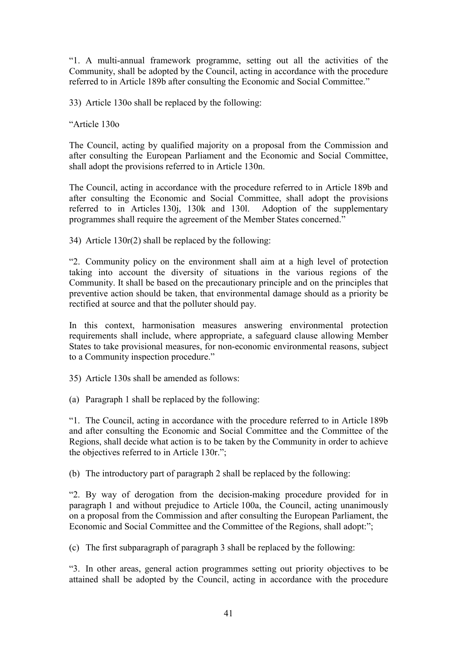"1. A multi-annual framework programme, setting out all the activities of the Community, shall be adopted by the Council, acting in accordance with the procedure referred to in Article 189b after consulting the Economic and Social Committee."

33) Article 130o shall be replaced by the following:

"Article 130o

The Council, acting by qualified majority on a proposal from the Commission and after consulting the European Parliament and the Economic and Social Committee, shall adopt the provisions referred to in Article 130n.

The Council, acting in accordance with the procedure referred to in Article 189b and after consulting the Economic and Social Committee, shall adopt the provisions referred to in Articles 130j, 130k and 130l. Adoption of the supplementary programmes shall require the agreement of the Member States concerned."

34) Article 130r(2) shall be replaced by the following:

"2. Community policy on the environment shall aim at a high level of protection taking into account the diversity of situations in the various regions of the Community. It shall be based on the precautionary principle and on the principles that preventive action should be taken, that environmental damage should as a priority be rectified at source and that the polluter should pay.

In this context, harmonisation measures answering environmental protection requirements shall include, where appropriate, a safeguard clause allowing Member States to take provisional measures, for non-economic environmental reasons, subject to a Community inspection procedure."

35) Article 130s shall be amended as follows:

(a) Paragraph 1 shall be replaced by the following:

"1. The Council, acting in accordance with the procedure referred to in Article 189b and after consulting the Economic and Social Committee and the Committee of the Regions, shall decide what action is to be taken by the Community in order to achieve the objectives referred to in Article 130r.";

(b) The introductory part of paragraph 2 shall be replaced by the following:

"2. By way of derogation from the decision-making procedure provided for in paragraph 1 and without prejudice to Article 100a, the Council, acting unanimously on a proposal from the Commission and after consulting the European Parliament, the Economic and Social Committee and the Committee of the Regions, shall adopt:";

(c) The first subparagraph of paragraph 3 shall be replaced by the following:

"3. In other areas, general action programmes setting out priority objectives to be attained shall be adopted by the Council, acting in accordance with the procedure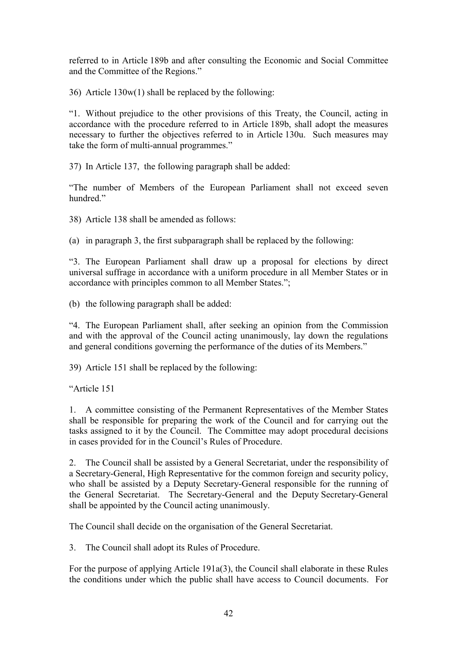referred to in Article 189b and after consulting the Economic and Social Committee and the Committee of the Regions."

36) Article 130w(1) shall be replaced by the following:

"1. Without prejudice to the other provisions of this Treaty, the Council, acting in accordance with the procedure referred to in Article 189b, shall adopt the measures necessary to further the objectives referred to in Article 130u. Such measures may take the form of multi-annual programmes."

37) In Article 137, the following paragraph shall be added:

"The number of Members of the European Parliament shall not exceed seven hundred."

38) Article 138 shall be amended as follows:

(a) in paragraph 3, the first subparagraph shall be replaced by the following:

"3. The European Parliament shall draw up a proposal for elections by direct universal suffrage in accordance with a uniform procedure in all Member States or in accordance with principles common to all Member States.";

(b) the following paragraph shall be added:

"4. The European Parliament shall, after seeking an opinion from the Commission and with the approval of the Council acting unanimously, lay down the regulations and general conditions governing the performance of the duties of its Members."

39) Article 151 shall be replaced by the following:

"Article 151

1. A committee consisting of the Permanent Representatives of the Member States shall be responsible for preparing the work of the Council and for carrying out the tasks assigned to it by the Council. The Committee may adopt procedural decisions in cases provided for in the Council's Rules of Procedure.

2. The Council shall be assisted by a General Secretariat, under the responsibility of a Secretary-General, High Representative for the common foreign and security policy, who shall be assisted by a Deputy Secretary-General responsible for the running of the General Secretariat. The Secretary-General and the Deputy Secretary-General shall be appointed by the Council acting unanimously.

The Council shall decide on the organisation of the General Secretariat.

3. The Council shall adopt its Rules of Procedure.

For the purpose of applying Article 191a(3), the Council shall elaborate in these Rules the conditions under which the public shall have access to Council documents. For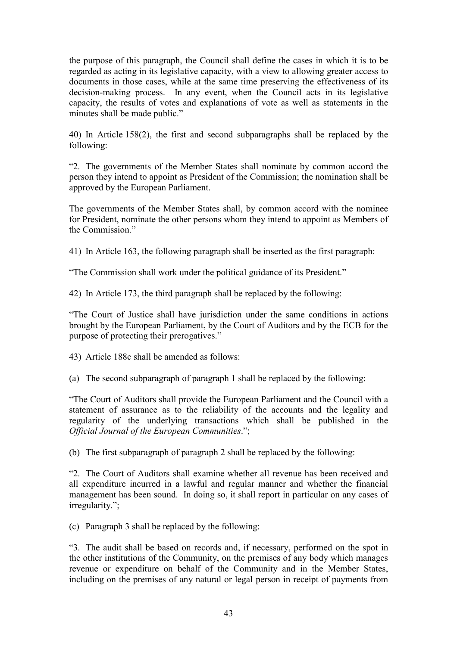the purpose of this paragraph, the Council shall define the cases in which it is to be regarded as acting in its legislative capacity, with a view to allowing greater access to documents in those cases, while at the same time preserving the effectiveness of its decision-making process. In any event, when the Council acts in its legislative capacity, the results of votes and explanations of vote as well as statements in the minutes shall be made public."

40) In Article 158(2), the first and second subparagraphs shall be replaced by the following:

"2. The governments of the Member States shall nominate by common accord the person they intend to appoint as President of the Commission; the nomination shall be approved by the European Parliament.

The governments of the Member States shall, by common accord with the nominee for President, nominate the other persons whom they intend to appoint as Members of the Commission."

41) In Article 163, the following paragraph shall be inserted as the first paragraph:

"The Commission shall work under the political guidance of its President."

42) In Article 173, the third paragraph shall be replaced by the following:

"The Court of Justice shall have jurisdiction under the same conditions in actions brought by the European Parliament, by the Court of Auditors and by the ECB for the purpose of protecting their prerogatives."

43) Article 188c shall be amended as follows:

(a) The second subparagraph of paragraph 1 shall be replaced by the following:

"The Court of Auditors shall provide the European Parliament and the Council with a statement of assurance as to the reliability of the accounts and the legality and regularity of the underlying transactions which shall be published in the *Official Journal of the European Communities*.";

(b) The first subparagraph of paragraph 2 shall be replaced by the following:

"2. The Court of Auditors shall examine whether all revenue has been received and all expenditure incurred in a lawful and regular manner and whether the financial management has been sound. In doing so, it shall report in particular on any cases of irregularity.";

(c) Paragraph 3 shall be replaced by the following:

"3. The audit shall be based on records and, if necessary, performed on the spot in the other institutions of the Community, on the premises of any body which manages revenue or expenditure on behalf of the Community and in the Member States, including on the premises of any natural or legal person in receipt of payments from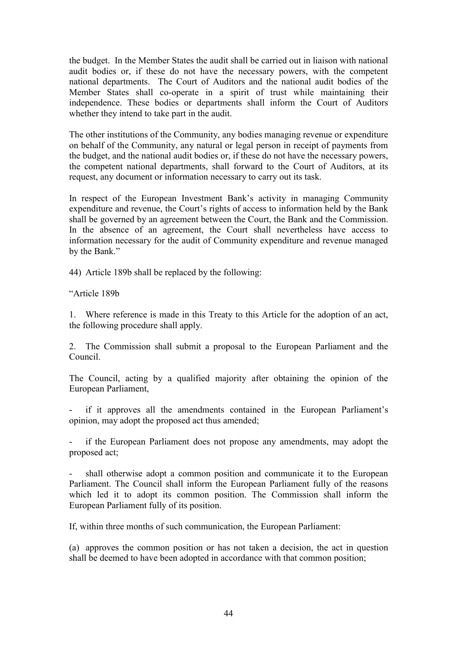the budget. In the Member States the audit shall be carried out in liaison with national audit bodies or, if these do not have the necessary powers, with the competent national departments. The Court of Auditors and the national audit bodies of the Member States shall co-operate in a spirit of trust while maintaining their independence. These bodies or departments shall inform the Court of Auditors whether they intend to take part in the audit.

The other institutions of the Community, any bodies managing revenue or expenditure on behalf of the Community, any natural or legal person in receipt of payments from the budget, and the national audit bodies or, if these do not have the necessary powers, the competent national departments, shall forward to the Court of Auditors, at its request, any document or information necessary to carry out its task.

In respect of the European Investment Bank's activity in managing Community expenditure and revenue, the Court's rights of access to information held by the Bank shall be governed by an agreement between the Court, the Bank and the Commission. In the absence of an agreement, the Court shall nevertheless have access to information necessary for the audit of Community expenditure and revenue managed by the Bank."

44) Article 189b shall be replaced by the following:

"Article 189b

1. Where reference is made in this Treaty to this Article for the adoption of an act, the following procedure shall apply.

2. The Commission shall submit a proposal to the European Parliament and the Council.

The Council, acting by a qualified majority after obtaining the opinion of the European Parliament,

if it approves all the amendments contained in the European Parliament's opinion, may adopt the proposed act thus amended;

if the European Parliament does not propose any amendments, may adopt the proposed act;

shall otherwise adopt a common position and communicate it to the European Parliament. The Council shall inform the European Parliament fully of the reasons which led it to adopt its common position. The Commission shall inform the European Parliament fully of its position.

If, within three months of such communication, the European Parliament:

(a) approves the common position or has not taken a decision, the act in question shall be deemed to have been adopted in accordance with that common position;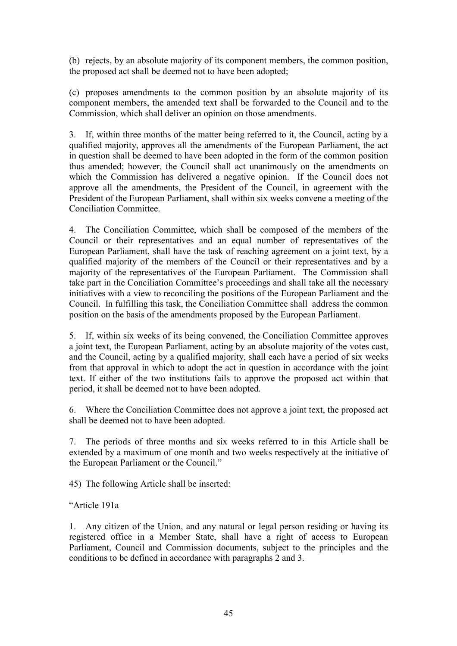(b) rejects, by an absolute majority of its component members, the common position, the proposed act shall be deemed not to have been adopted;

(c) proposes amendments to the common position by an absolute majority of its component members, the amended text shall be forwarded to the Council and to the Commission, which shall deliver an opinion on those amendments.

3. If, within three months of the matter being referred to it, the Council, acting by a qualified majority, approves all the amendments of the European Parliament, the act in question shall be deemed to have been adopted in the form of the common position thus amended; however, the Council shall act unanimously on the amendments on which the Commission has delivered a negative opinion. If the Council does not approve all the amendments, the President of the Council, in agreement with the President of the European Parliament, shall within six weeks convene a meeting of the Conciliation Committee.

4. The Conciliation Committee, which shall be composed of the members of the Council or their representatives and an equal number of representatives of the European Parliament, shall have the task of reaching agreement on a joint text, by a qualified majority of the members of the Council or their representatives and by a majority of the representatives of the European Parliament. The Commission shall take part in the Conciliation Committee's proceedings and shall take all the necessary initiatives with a view to reconciling the positions of the European Parliament and the Council. In fulfilling this task, the Conciliation Committee shall address the common position on the basis of the amendments proposed by the European Parliament.

5. If, within six weeks of its being convened, the Conciliation Committee approves a joint text, the European Parliament, acting by an absolute majority of the votes cast, and the Council, acting by a qualified majority, shall each have a period of six weeks from that approval in which to adopt the act in question in accordance with the joint text. If either of the two institutions fails to approve the proposed act within that period, it shall be deemed not to have been adopted.

6. Where the Conciliation Committee does not approve a joint text, the proposed act shall be deemed not to have been adopted.

7. The periods of three months and six weeks referred to in this Article shall be extended by a maximum of one month and two weeks respectively at the initiative of the European Parliament or the Council."

45) The following Article shall be inserted:

"Article 191a

1. Any citizen of the Union, and any natural or legal person residing or having its registered office in a Member State, shall have a right of access to European Parliament, Council and Commission documents, subject to the principles and the conditions to be defined in accordance with paragraphs 2 and 3.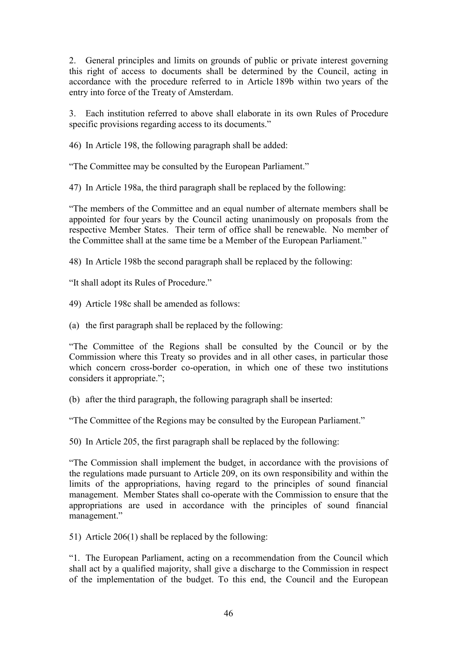2. General principles and limits on grounds of public or private interest governing this right of access to documents shall be determined by the Council, acting in accordance with the procedure referred to in Article 189b within two years of the entry into force of the Treaty of Amsterdam.

3. Each institution referred to above shall elaborate in its own Rules of Procedure specific provisions regarding access to its documents."

46) In Article 198, the following paragraph shall be added:

"The Committee may be consulted by the European Parliament."

47) In Article 198a, the third paragraph shall be replaced by the following:

"The members of the Committee and an equal number of alternate members shall be appointed for four years by the Council acting unanimously on proposals from the respective Member States. Their term of office shall be renewable. No member of the Committee shall at the same time be a Member of the European Parliament."

48) In Article 198b the second paragraph shall be replaced by the following:

"It shall adopt its Rules of Procedure."

49) Article 198c shall be amended as follows:

(a) the first paragraph shall be replaced by the following:

"The Committee of the Regions shall be consulted by the Council or by the Commission where this Treaty so provides and in all other cases, in particular those which concern cross-border co-operation, in which one of these two institutions considers it appropriate.";

(b) after the third paragraph, the following paragraph shall be inserted:

"The Committee of the Regions may be consulted by the European Parliament."

50) In Article 205, the first paragraph shall be replaced by the following:

"The Commission shall implement the budget, in accordance with the provisions of the regulations made pursuant to Article 209, on its own responsibility and within the limits of the appropriations, having regard to the principles of sound financial management. Member States shall co-operate with the Commission to ensure that the appropriations are used in accordance with the principles of sound financial management."

51) Article 206(1) shall be replaced by the following:

"1. The European Parliament, acting on a recommendation from the Council which shall act by a qualified majority, shall give a discharge to the Commission in respect of the implementation of the budget. To this end, the Council and the European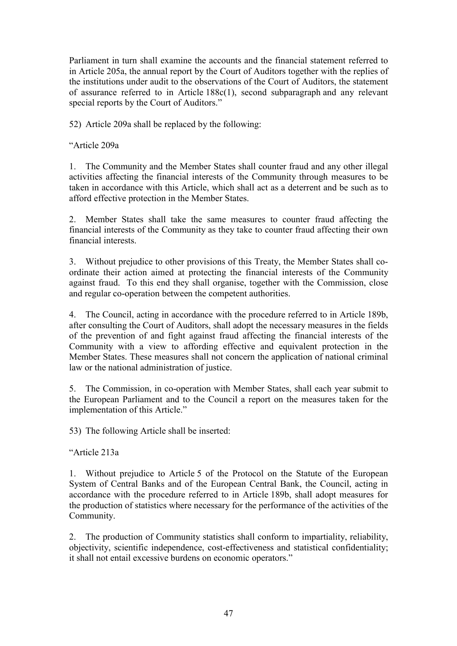Parliament in turn shall examine the accounts and the financial statement referred to in Article 205a, the annual report by the Court of Auditors together with the replies of the institutions under audit to the observations of the Court of Auditors, the statement of assurance referred to in Article 188c(1), second subparagraph and any relevant special reports by the Court of Auditors."

52) Article 209a shall be replaced by the following:

"Article 209a

1. The Community and the Member States shall counter fraud and any other illegal activities affecting the financial interests of the Community through measures to be taken in accordance with this Article, which shall act as a deterrent and be such as to afford effective protection in the Member States.

2. Member States shall take the same measures to counter fraud affecting the financial interests of the Community as they take to counter fraud affecting their own financial interests.

3. Without prejudice to other provisions of this Treaty, the Member States shall coordinate their action aimed at protecting the financial interests of the Community against fraud. To this end they shall organise, together with the Commission, close and regular co-operation between the competent authorities.

4. The Council, acting in accordance with the procedure referred to in Article 189b, after consulting the Court of Auditors, shall adopt the necessary measures in the fields of the prevention of and fight against fraud affecting the financial interests of the Community with a view to affording effective and equivalent protection in the Member States. These measures shall not concern the application of national criminal law or the national administration of justice.

5. The Commission, in co-operation with Member States, shall each year submit to the European Parliament and to the Council a report on the measures taken for the implementation of this Article."

53) The following Article shall be inserted:

"Article 213a

1. Without prejudice to Article 5 of the Protocol on the Statute of the European System of Central Banks and of the European Central Bank, the Council, acting in accordance with the procedure referred to in Article 189b, shall adopt measures for the production of statistics where necessary for the performance of the activities of the Community.

2. The production of Community statistics shall conform to impartiality, reliability, objectivity, scientific independence, cost-effectiveness and statistical confidentiality; it shall not entail excessive burdens on economic operators."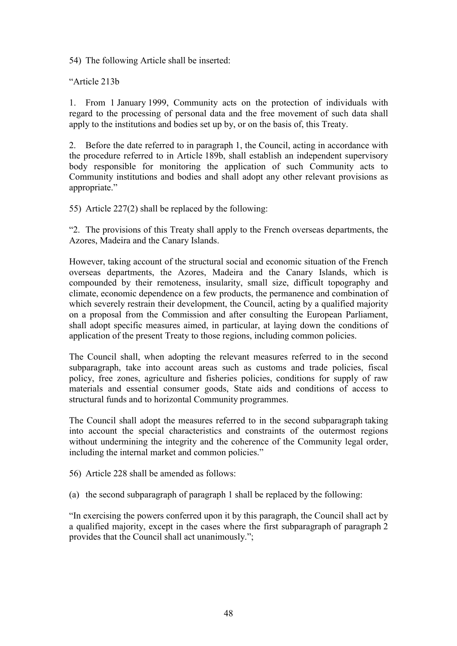54) The following Article shall be inserted:

"Article 213b

1. From 1 January 1999, Community acts on the protection of individuals with regard to the processing of personal data and the free movement of such data shall apply to the institutions and bodies set up by, or on the basis of, this Treaty.

2. Before the date referred to in paragraph 1, the Council, acting in accordance with the procedure referred to in Article 189b, shall establish an independent supervisory body responsible for monitoring the application of such Community acts to Community institutions and bodies and shall adopt any other relevant provisions as appropriate."

55) Article 227(2) shall be replaced by the following:

"2. The provisions of this Treaty shall apply to the French overseas departments, the Azores, Madeira and the Canary Islands.

However, taking account of the structural social and economic situation of the French overseas departments, the Azores, Madeira and the Canary Islands, which is compounded by their remoteness, insularity, small size, difficult topography and climate, economic dependence on a few products, the permanence and combination of which severely restrain their development, the Council, acting by a qualified majority on a proposal from the Commission and after consulting the European Parliament, shall adopt specific measures aimed, in particular, at laying down the conditions of application of the present Treaty to those regions, including common policies.

The Council shall, when adopting the relevant measures referred to in the second subparagraph, take into account areas such as customs and trade policies, fiscal policy, free zones, agriculture and fisheries policies, conditions for supply of raw materials and essential consumer goods, State aids and conditions of access to structural funds and to horizontal Community programmes.

The Council shall adopt the measures referred to in the second subparagraph taking into account the special characteristics and constraints of the outermost regions without undermining the integrity and the coherence of the Community legal order, including the internal market and common policies."

56) Article 228 shall be amended as follows:

(a) the second subparagraph of paragraph 1 shall be replaced by the following:

"In exercising the powers conferred upon it by this paragraph, the Council shall act by a qualified majority, except in the cases where the first subparagraph of paragraph 2 provides that the Council shall act unanimously.";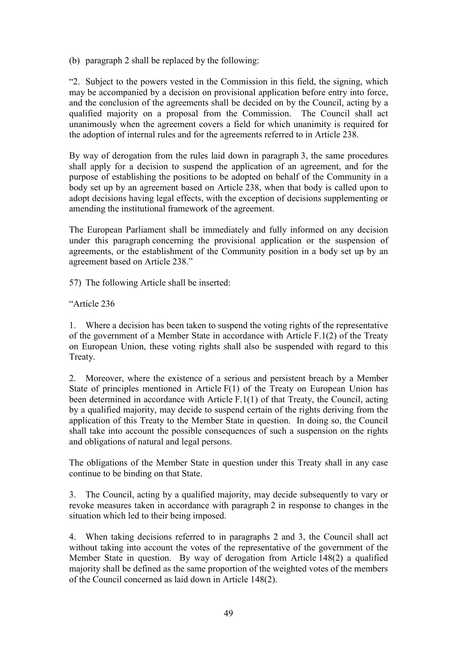(b) paragraph 2 shall be replaced by the following:

"2. Subject to the powers vested in the Commission in this field, the signing, which may be accompanied by a decision on provisional application before entry into force, and the conclusion of the agreements shall be decided on by the Council, acting by a qualified majority on a proposal from the Commission. The Council shall act unanimously when the agreement covers a field for which unanimity is required for the adoption of internal rules and for the agreements referred to in Article 238.

By way of derogation from the rules laid down in paragraph 3, the same procedures shall apply for a decision to suspend the application of an agreement, and for the purpose of establishing the positions to be adopted on behalf of the Community in a body set up by an agreement based on Article 238, when that body is called upon to adopt decisions having legal effects, with the exception of decisions supplementing or amending the institutional framework of the agreement.

The European Parliament shall be immediately and fully informed on any decision under this paragraph concerning the provisional application or the suspension of agreements, or the establishment of the Community position in a body set up by an agreement based on Article 238."

57) The following Article shall be inserted:

"Article 236

1. Where a decision has been taken to suspend the voting rights of the representative of the government of a Member State in accordance with Article F.1(2) of the Treaty on European Union, these voting rights shall also be suspended with regard to this Treaty.

2. Moreover, where the existence of a serious and persistent breach by a Member State of principles mentioned in Article  $F(1)$  of the Treaty on European Union has been determined in accordance with Article F.1(1) of that Treaty, the Council, acting by a qualified majority, may decide to suspend certain of the rights deriving from the application of this Treaty to the Member State in question. In doing so, the Council shall take into account the possible consequences of such a suspension on the rights and obligations of natural and legal persons.

The obligations of the Member State in question under this Treaty shall in any case continue to be binding on that State.

3. The Council, acting by a qualified majority, may decide subsequently to vary or revoke measures taken in accordance with paragraph 2 in response to changes in the situation which led to their being imposed.

4. When taking decisions referred to in paragraphs 2 and 3, the Council shall act without taking into account the votes of the representative of the government of the Member State in question. By way of derogation from Article 148(2) a qualified majority shall be defined as the same proportion of the weighted votes of the members of the Council concerned as laid down in Article 148(2).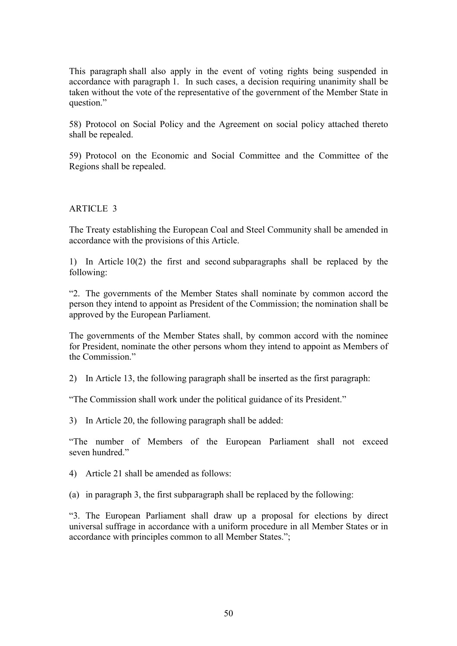This paragraph shall also apply in the event of voting rights being suspended in accordance with paragraph 1. In such cases, a decision requiring unanimity shall be taken without the vote of the representative of the government of the Member State in question."

58) Protocol on Social Policy and the Agreement on social policy attached thereto shall be repealed.

59) Protocol on the Economic and Social Committee and the Committee of the Regions shall be repealed.

## ARTICLE 3

The Treaty establishing the European Coal and Steel Community shall be amended in accordance with the provisions of this Article.

1) In Article 10(2) the first and second subparagraphs shall be replaced by the following:

"2. The governments of the Member States shall nominate by common accord the person they intend to appoint as President of the Commission; the nomination shall be approved by the European Parliament.

The governments of the Member States shall, by common accord with the nominee for President, nominate the other persons whom they intend to appoint as Members of the Commission."

2) In Article 13, the following paragraph shall be inserted as the first paragraph:

"The Commission shall work under the political guidance of its President."

3) In Article 20, the following paragraph shall be added:

"The number of Members of the European Parliament shall not exceed seven hundred."

4) Article 21 shall be amended as follows:

(a) in paragraph 3, the first subparagraph shall be replaced by the following:

"3. The European Parliament shall draw up a proposal for elections by direct universal suffrage in accordance with a uniform procedure in all Member States or in accordance with principles common to all Member States.";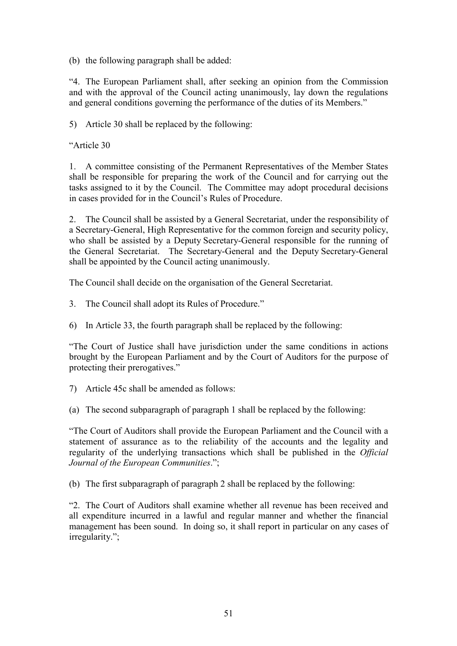(b) the following paragraph shall be added:

"4. The European Parliament shall, after seeking an opinion from the Commission and with the approval of the Council acting unanimously, lay down the regulations and general conditions governing the performance of the duties of its Members."

5) Article 30 shall be replaced by the following:

"Article 30

1. A committee consisting of the Permanent Representatives of the Member States shall be responsible for preparing the work of the Council and for carrying out the tasks assigned to it by the Council. The Committee may adopt procedural decisions in cases provided for in the Council's Rules of Procedure.

2. The Council shall be assisted by a General Secretariat, under the responsibility of a Secretary-General, High Representative for the common foreign and security policy, who shall be assisted by a Deputy Secretary-General responsible for the running of the General Secretariat. The Secretary-General and the Deputy Secretary-General shall be appointed by the Council acting unanimously.

The Council shall decide on the organisation of the General Secretariat.

- 3. The Council shall adopt its Rules of Procedure."
- 6) In Article 33, the fourth paragraph shall be replaced by the following:

"The Court of Justice shall have jurisdiction under the same conditions in actions brought by the European Parliament and by the Court of Auditors for the purpose of protecting their prerogatives."

- 7) Article 45c shall be amended as follows:
- (a) The second subparagraph of paragraph 1 shall be replaced by the following:

"The Court of Auditors shall provide the European Parliament and the Council with a statement of assurance as to the reliability of the accounts and the legality and regularity of the underlying transactions which shall be published in the *Official Journal of the European Communities*.";

(b) The first subparagraph of paragraph 2 shall be replaced by the following:

"2. The Court of Auditors shall examine whether all revenue has been received and all expenditure incurred in a lawful and regular manner and whether the financial management has been sound. In doing so, it shall report in particular on any cases of irregularity.";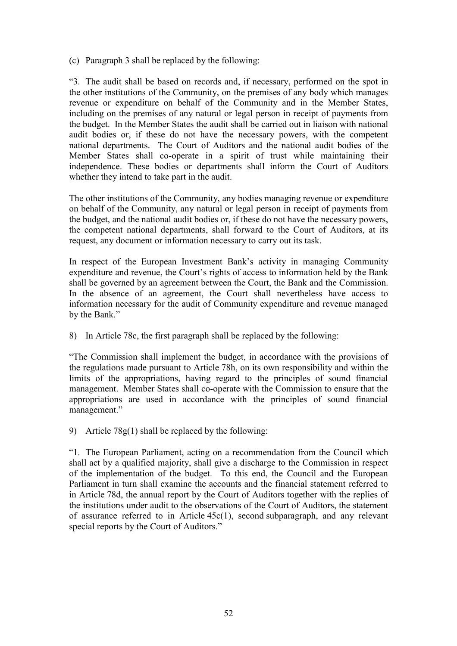(c) Paragraph 3 shall be replaced by the following:

"3. The audit shall be based on records and, if necessary, performed on the spot in the other institutions of the Community, on the premises of any body which manages revenue or expenditure on behalf of the Community and in the Member States, including on the premises of any natural or legal person in receipt of payments from the budget. In the Member States the audit shall be carried out in liaison with national audit bodies or, if these do not have the necessary powers, with the competent national departments. The Court of Auditors and the national audit bodies of the Member States shall co-operate in a spirit of trust while maintaining their independence. These bodies or departments shall inform the Court of Auditors whether they intend to take part in the audit.

The other institutions of the Community, any bodies managing revenue or expenditure on behalf of the Community, any natural or legal person in receipt of payments from the budget, and the national audit bodies or, if these do not have the necessary powers, the competent national departments, shall forward to the Court of Auditors, at its request, any document or information necessary to carry out its task.

In respect of the European Investment Bank's activity in managing Community expenditure and revenue, the Court's rights of access to information held by the Bank shall be governed by an agreement between the Court, the Bank and the Commission. In the absence of an agreement, the Court shall nevertheless have access to information necessary for the audit of Community expenditure and revenue managed by the Bank."

8) In Article 78c, the first paragraph shall be replaced by the following:

"The Commission shall implement the budget, in accordance with the provisions of the regulations made pursuant to Article 78h, on its own responsibility and within the limits of the appropriations, having regard to the principles of sound financial management. Member States shall co-operate with the Commission to ensure that the appropriations are used in accordance with the principles of sound financial management."

9) Article 78g(1) shall be replaced by the following:

"1. The European Parliament, acting on a recommendation from the Council which shall act by a qualified majority, shall give a discharge to the Commission in respect of the implementation of the budget. To this end, the Council and the European Parliament in turn shall examine the accounts and the financial statement referred to in Article 78d, the annual report by the Court of Auditors together with the replies of the institutions under audit to the observations of the Court of Auditors, the statement of assurance referred to in Article 45c(1), second subparagraph, and any relevant special reports by the Court of Auditors."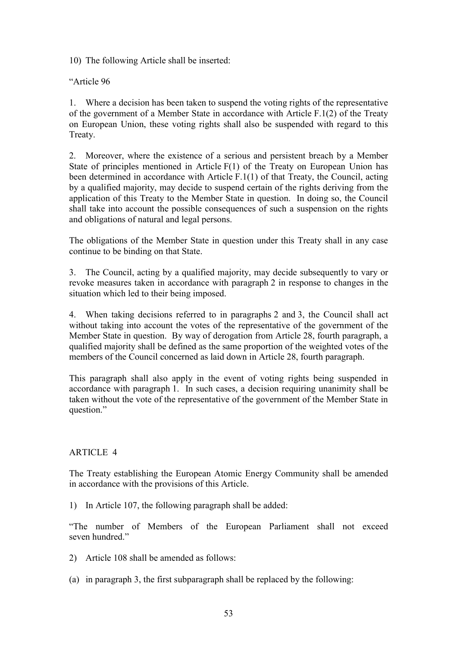10) The following Article shall be inserted:

"Article 96

1. Where a decision has been taken to suspend the voting rights of the representative of the government of a Member State in accordance with Article F.1(2) of the Treaty on European Union, these voting rights shall also be suspended with regard to this Treaty.

2. Moreover, where the existence of a serious and persistent breach by a Member State of principles mentioned in Article F(1) of the Treaty on European Union has been determined in accordance with Article F.1(1) of that Treaty, the Council, acting by a qualified majority, may decide to suspend certain of the rights deriving from the application of this Treaty to the Member State in question. In doing so, the Council shall take into account the possible consequences of such a suspension on the rights and obligations of natural and legal persons.

The obligations of the Member State in question under this Treaty shall in any case continue to be binding on that State.

3. The Council, acting by a qualified majority, may decide subsequently to vary or revoke measures taken in accordance with paragraph 2 in response to changes in the situation which led to their being imposed.

4. When taking decisions referred to in paragraphs 2 and 3, the Council shall act without taking into account the votes of the representative of the government of the Member State in question. By way of derogation from Article 28, fourth paragraph, a qualified majority shall be defined as the same proportion of the weighted votes of the members of the Council concerned as laid down in Article 28, fourth paragraph.

This paragraph shall also apply in the event of voting rights being suspended in accordance with paragraph 1. In such cases, a decision requiring unanimity shall be taken without the vote of the representative of the government of the Member State in question."

# ARTICLE 4

The Treaty establishing the European Atomic Energy Community shall be amended in accordance with the provisions of this Article.

1) In Article 107, the following paragraph shall be added:

"The number of Members of the European Parliament shall not exceed seven hundred."

- 2) Article 108 shall be amended as follows:
- (a) in paragraph 3, the first subparagraph shall be replaced by the following: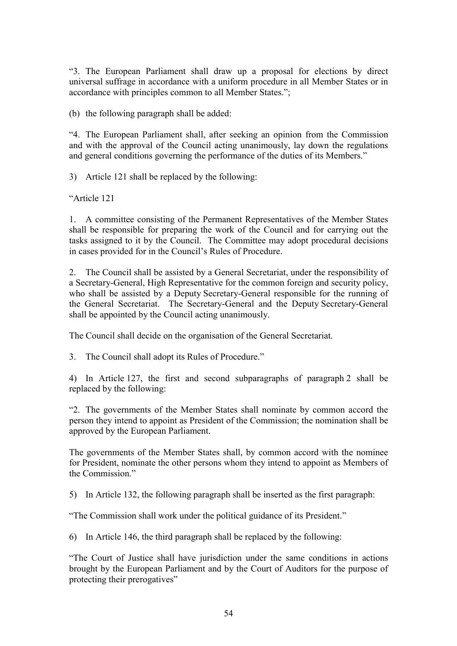"3. The European Parliament shall draw up a proposal for elections by direct universal suffrage in accordance with a uniform procedure in all Member States or in accordance with principles common to all Member States.";

(b) the following paragraph shall be added:

"4. The European Parliament shall, after seeking an opinion from the Commission and with the approval of the Council acting unanimously, lay down the regulations and general conditions governing the performance of the duties of its Members."

3) Article 121 shall be replaced by the following:

"Article 121

1. A committee consisting of the Permanent Representatives of the Member States shall be responsible for preparing the work of the Council and for carrying out the tasks assigned to it by the Council. The Committee may adopt procedural decisions in cases provided for in the Council's Rules of Procedure.

2. The Council shall be assisted by a General Secretariat, under the responsibility of a Secretary-General, High Representative for the common foreign and security policy, who shall be assisted by a Deputy Secretary-General responsible for the running of the General Secretariat. The Secretary-General and the Deputy Secretary-General shall be appointed by the Council acting unanimously.

The Council shall decide on the organisation of the General Secretariat.

3. The Council shall adopt its Rules of Procedure."

4) In Article 127, the first and second subparagraphs of paragraph 2 shall be replaced by the following:

"2. The governments of the Member States shall nominate by common accord the person they intend to appoint as President of the Commission; the nomination shall be approved by the European Parliament.

The governments of the Member States shall, by common accord with the nominee for President, nominate the other persons whom they intend to appoint as Members of the Commission."

5) In Article 132, the following paragraph shall be inserted as the first paragraph:

"The Commission shall work under the political guidance of its President."

6) In Article 146, the third paragraph shall be replaced by the following:

"The Court of Justice shall have jurisdiction under the same conditions in actions brought by the European Parliament and by the Court of Auditors for the purpose of protecting their prerogatives"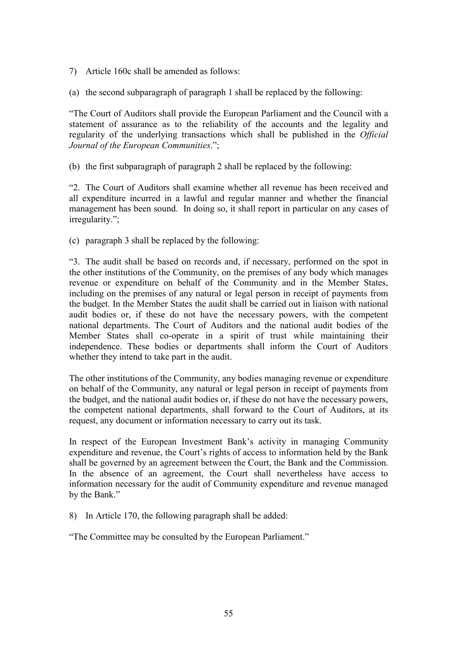- 7) Article 160c shall be amended as follows:
- (a) the second subparagraph of paragraph 1 shall be replaced by the following:

"The Court of Auditors shall provide the European Parliament and the Council with a statement of assurance as to the reliability of the accounts and the legality and regularity of the underlying transactions which shall be published in the *Official Journal of the European Communities*.";

(b) the first subparagraph of paragraph 2 shall be replaced by the following:

"2. The Court of Auditors shall examine whether all revenue has been received and all expenditure incurred in a lawful and regular manner and whether the financial management has been sound. In doing so, it shall report in particular on any cases of irregularity.";

(c) paragraph 3 shall be replaced by the following:

"3. The audit shall be based on records and, if necessary, performed on the spot in the other institutions of the Community, on the premises of any body which manages revenue or expenditure on behalf of the Community and in the Member States, including on the premises of any natural or legal person in receipt of payments from the budget. In the Member States the audit shall be carried out in liaison with national audit bodies or, if these do not have the necessary powers, with the competent national departments. The Court of Auditors and the national audit bodies of the Member States shall co-operate in a spirit of trust while maintaining their independence. These bodies or departments shall inform the Court of Auditors whether they intend to take part in the audit.

The other institutions of the Community, any bodies managing revenue or expenditure on behalf of the Community, any natural or legal person in receipt of payments from the budget, and the national audit bodies or, if these do not have the necessary powers, the competent national departments, shall forward to the Court of Auditors, at its request, any document or information necessary to carry out its task.

In respect of the European Investment Bank's activity in managing Community expenditure and revenue, the Court's rights of access to information held by the Bank shall be governed by an agreement between the Court, the Bank and the Commission. In the absence of an agreement, the Court shall nevertheless have access to information necessary for the audit of Community expenditure and revenue managed by the Bank."

8) In Article 170, the following paragraph shall be added:

"The Committee may be consulted by the European Parliament."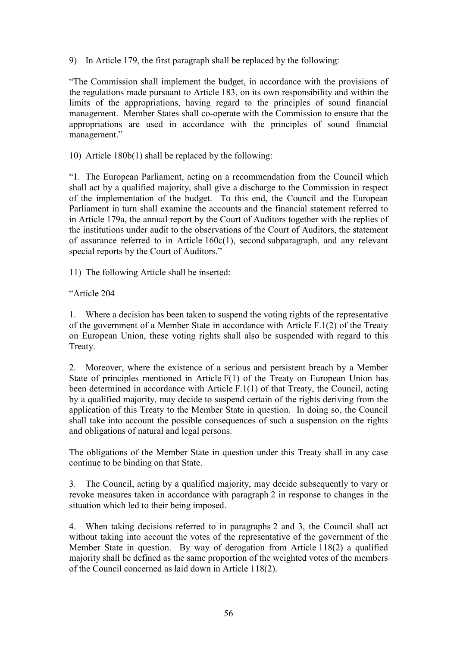9) In Article 179, the first paragraph shall be replaced by the following:

"The Commission shall implement the budget, in accordance with the provisions of the regulations made pursuant to Article 183, on its own responsibility and within the limits of the appropriations, having regard to the principles of sound financial management. Member States shall co-operate with the Commission to ensure that the appropriations are used in accordance with the principles of sound financial management."

10) Article 180b(1) shall be replaced by the following:

"1. The European Parliament, acting on a recommendation from the Council which shall act by a qualified majority, shall give a discharge to the Commission in respect of the implementation of the budget. To this end, the Council and the European Parliament in turn shall examine the accounts and the financial statement referred to in Article 179a, the annual report by the Court of Auditors together with the replies of the institutions under audit to the observations of the Court of Auditors, the statement of assurance referred to in Article 160c(1), second subparagraph, and any relevant special reports by the Court of Auditors."

11) The following Article shall be inserted:

"Article 204

1. Where a decision has been taken to suspend the voting rights of the representative of the government of a Member State in accordance with Article F.1(2) of the Treaty on European Union, these voting rights shall also be suspended with regard to this Treaty.

2. Moreover, where the existence of a serious and persistent breach by a Member State of principles mentioned in Article F(1) of the Treaty on European Union has been determined in accordance with Article F.1(1) of that Treaty, the Council, acting by a qualified majority, may decide to suspend certain of the rights deriving from the application of this Treaty to the Member State in question. In doing so, the Council shall take into account the possible consequences of such a suspension on the rights and obligations of natural and legal persons.

The obligations of the Member State in question under this Treaty shall in any case continue to be binding on that State.

3. The Council, acting by a qualified majority, may decide subsequently to vary or revoke measures taken in accordance with paragraph 2 in response to changes in the situation which led to their being imposed.

4. When taking decisions referred to in paragraphs 2 and 3, the Council shall act without taking into account the votes of the representative of the government of the Member State in question. By way of derogation from Article 118(2) a qualified majority shall be defined as the same proportion of the weighted votes of the members of the Council concerned as laid down in Article 118(2).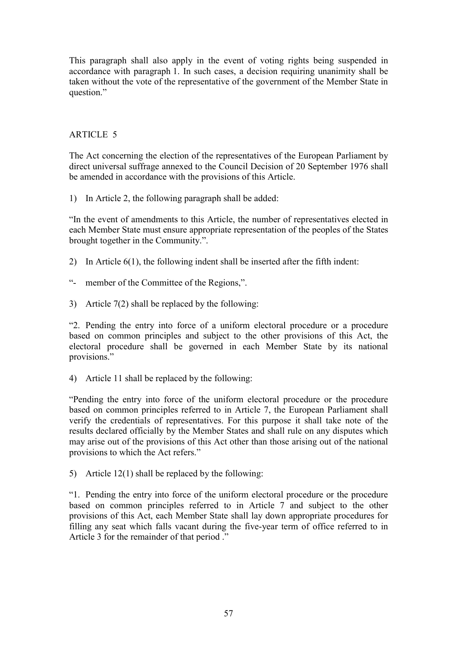This paragraph shall also apply in the event of voting rights being suspended in accordance with paragraph 1. In such cases, a decision requiring unanimity shall be taken without the vote of the representative of the government of the Member State in question."

# ARTICLE 5

The Act concerning the election of the representatives of the European Parliament by direct universal suffrage annexed to the Council Decision of 20 September 1976 shall be amended in accordance with the provisions of this Article.

1) In Article 2, the following paragraph shall be added:

"In the event of amendments to this Article, the number of representatives elected in each Member State must ensure appropriate representation of the peoples of the States brought together in the Community.".

- 2) In Article 6(1), the following indent shall be inserted after the fifth indent:
- "- member of the Committee of the Regions,".
- 3) Article 7(2) shall be replaced by the following:

"2. Pending the entry into force of a uniform electoral procedure or a procedure based on common principles and subject to the other provisions of this Act, the electoral procedure shall be governed in each Member State by its national provisions."

4) Article 11 shall be replaced by the following:

"Pending the entry into force of the uniform electoral procedure or the procedure based on common principles referred to in Article 7, the European Parliament shall verify the credentials of representatives. For this purpose it shall take note of the results declared officially by the Member States and shall rule on any disputes which may arise out of the provisions of this Act other than those arising out of the national provisions to which the Act refers."

5) Article 12(1) shall be replaced by the following:

"1. Pending the entry into force of the uniform electoral procedure or the procedure based on common principles referred to in Article 7 and subject to the other provisions of this Act, each Member State shall lay down appropriate procedures for filling any seat which falls vacant during the five-year term of office referred to in Article 3 for the remainder of that period ."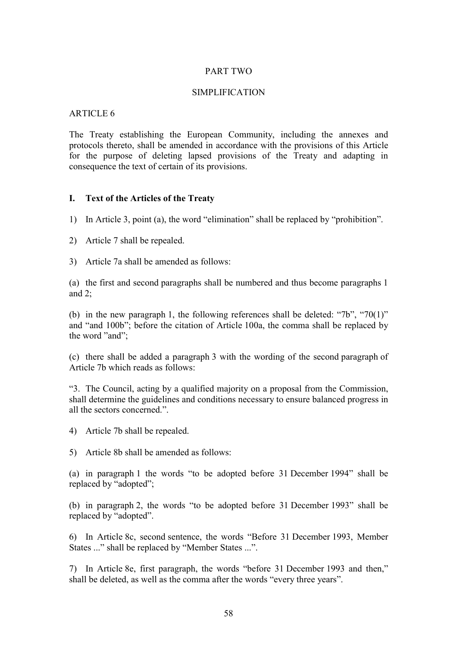#### PART TWO

#### SIMPLIFICATION

#### ARTICLE 6

The Treaty establishing the European Community, including the annexes and protocols thereto, shall be amended in accordance with the provisions of this Article for the purpose of deleting lapsed provisions of the Treaty and adapting in consequence the text of certain of its provisions.

#### **I. Text of the Articles of the Treaty**

1) In Article 3, point (a), the word "elimination" shall be replaced by "prohibition".

2) Article 7 shall be repealed.

3) Article 7a shall be amended as follows:

(a) the first and second paragraphs shall be numbered and thus become paragraphs 1 and  $2^{\cdot}$ 

(b) in the new paragraph 1, the following references shall be deleted: "7b", "70(1)" and "and 100b"; before the citation of Article 100a, the comma shall be replaced by the word "and";

(c) there shall be added a paragraph 3 with the wording of the second paragraph of Article 7b which reads as follows:

"3. The Council, acting by a qualified majority on a proposal from the Commission, shall determine the guidelines and conditions necessary to ensure balanced progress in all the sectors concerned."

4) Article 7b shall be repealed.

5) Article 8b shall be amended as follows:

(a) in paragraph 1 the words "to be adopted before 31 December 1994" shall be replaced by "adopted";

(b) in paragraph 2, the words "to be adopted before 31 December 1993" shall be replaced by "adopted".

6) In Article 8c, second sentence, the words "Before 31 December 1993, Member States ..." shall be replaced by "Member States ...".

7) In Article 8e, first paragraph, the words "before 31 December 1993 and then," shall be deleted, as well as the comma after the words "every three years".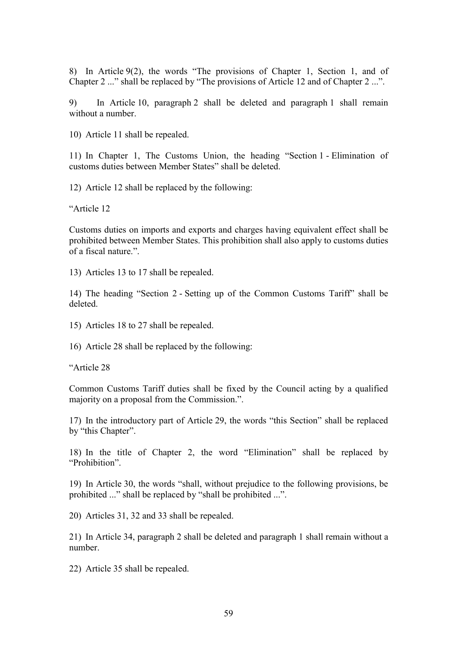8) In Article 9(2), the words "The provisions of Chapter 1, Section 1, and of Chapter 2 ..." shall be replaced by "The provisions of Article 12 and of Chapter 2 ...".

9) In Article 10, paragraph 2 shall be deleted and paragraph 1 shall remain without a number.

10) Article 11 shall be repealed.

11) In Chapter 1, The Customs Union, the heading "Section 1 - Elimination of customs duties between Member States" shall be deleted.

12) Article 12 shall be replaced by the following:

"Article 12

Customs duties on imports and exports and charges having equivalent effect shall be prohibited between Member States. This prohibition shall also apply to customs duties of a fiscal nature.".

13) Articles 13 to 17 shall be repealed.

14) The heading "Section 2 - Setting up of the Common Customs Tariff" shall be deleted.

15) Articles 18 to 27 shall be repealed.

16) Article 28 shall be replaced by the following:

"Article 28

Common Customs Tariff duties shall be fixed by the Council acting by a qualified majority on a proposal from the Commission.".

17) In the introductory part of Article 29, the words "this Section" shall be replaced by "this Chapter".

18) In the title of Chapter 2, the word "Elimination" shall be replaced by "Prohibition".

19) In Article 30, the words "shall, without prejudice to the following provisions, be prohibited ..." shall be replaced by "shall be prohibited ...".

20) Articles 31, 32 and 33 shall be repealed.

21) In Article 34, paragraph 2 shall be deleted and paragraph 1 shall remain without a number.

22) Article 35 shall be repealed.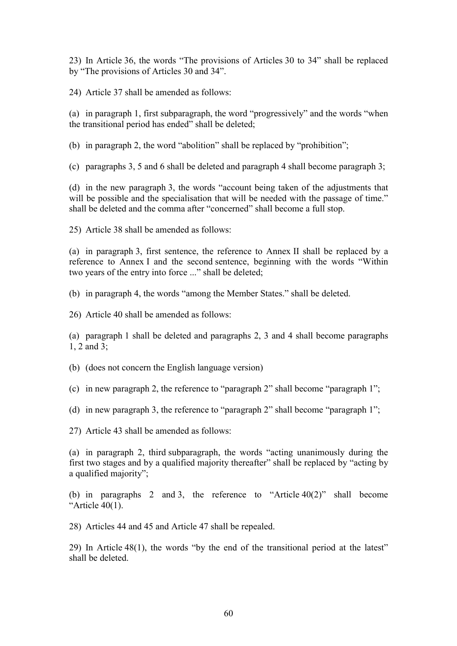23) In Article 36, the words "The provisions of Articles 30 to 34" shall be replaced by "The provisions of Articles 30 and 34".

24) Article 37 shall be amended as follows:

(a) in paragraph 1, first subparagraph, the word "progressively" and the words "when the transitional period has ended" shall be deleted;

(b) in paragraph 2, the word "abolition" shall be replaced by "prohibition";

(c) paragraphs 3, 5 and 6 shall be deleted and paragraph 4 shall become paragraph 3;

(d) in the new paragraph 3, the words "account being taken of the adjustments that will be possible and the specialisation that will be needed with the passage of time." shall be deleted and the comma after "concerned" shall become a full stop.

25) Article 38 shall be amended as follows:

(a) in paragraph 3, first sentence, the reference to Annex II shall be replaced by a reference to Annex I and the second sentence, beginning with the words "Within two years of the entry into force ..." shall be deleted;

(b) in paragraph 4, the words "among the Member States." shall be deleted.

26) Article 40 shall be amended as follows:

(a) paragraph 1 shall be deleted and paragraphs 2, 3 and 4 shall become paragraphs 1, 2 and 3;

(b) (does not concern the English language version)

(c) in new paragraph 2, the reference to "paragraph 2" shall become "paragraph 1";

(d) in new paragraph 3, the reference to "paragraph 2" shall become "paragraph 1";

27) Article 43 shall be amended as follows:

(a) in paragraph 2, third subparagraph, the words "acting unanimously during the first two stages and by a qualified majority thereafter" shall be replaced by "acting by a qualified majority";

(b) in paragraphs 2 and 3, the reference to "Article 40(2)" shall become "Article 40(1).

28) Articles 44 and 45 and Article 47 shall be repealed.

29) In Article 48(1), the words "by the end of the transitional period at the latest" shall be deleted.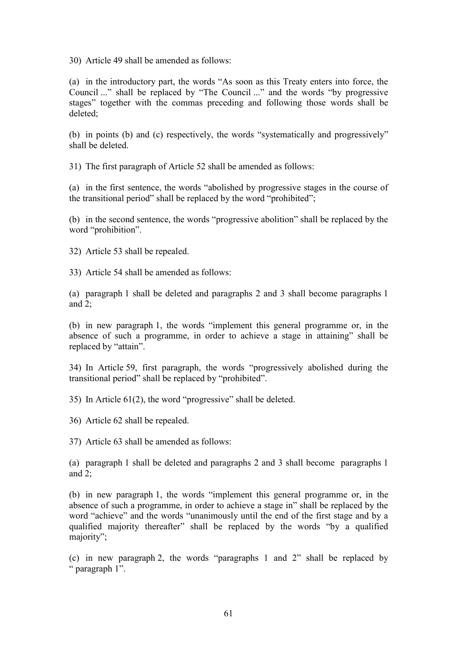30) Article 49 shall be amended as follows:

(a) in the introductory part, the words "As soon as this Treaty enters into force, the Council ..." shall be replaced by "The Council ..." and the words "by progressive stages" together with the commas preceding and following those words shall be deleted;

(b) in points (b) and (c) respectively, the words "systematically and progressively" shall be deleted.

31) The first paragraph of Article 52 shall be amended as follows:

(a) in the first sentence, the words "abolished by progressive stages in the course of the transitional period" shall be replaced by the word "prohibited";

(b) in the second sentence, the words "progressive abolition" shall be replaced by the word "prohibition".

32) Article 53 shall be repealed.

33) Article 54 shall be amended as follows:

(a) paragraph 1 shall be deleted and paragraphs 2 and 3 shall become paragraphs 1 and 2;

(b) in new paragraph 1, the words "implement this general programme or, in the absence of such a programme, in order to achieve a stage in attaining" shall be replaced by "attain".

34) In Article 59, first paragraph, the words "progressively abolished during the transitional period" shall be replaced by "prohibited".

35) In Article 61(2), the word "progressive" shall be deleted.

36) Article 62 shall be repealed.

37) Article 63 shall be amended as follows:

(a) paragraph 1 shall be deleted and paragraphs 2 and 3 shall become paragraphs 1 and 2;

(b) in new paragraph 1, the words "implement this general programme or, in the absence of such a programme, in order to achieve a stage in" shall be replaced by the word "achieve" and the words "unanimously until the end of the first stage and by a qualified majority thereafter" shall be replaced by the words "by a qualified majority";

(c) in new paragraph 2, the words "paragraphs 1 and 2" shall be replaced by " paragraph 1".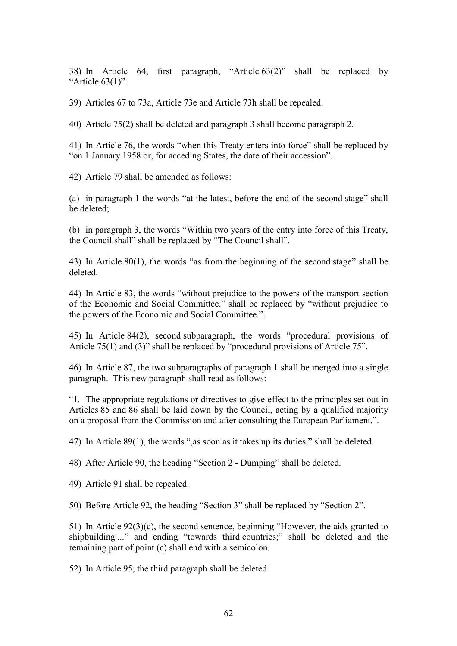38) In Article 64, first paragraph, "Article 63(2)" shall be replaced by "Article  $63(1)$ ".

39) Articles 67 to 73a, Article 73e and Article 73h shall be repealed.

40) Article 75(2) shall be deleted and paragraph 3 shall become paragraph 2.

41) In Article 76, the words "when this Treaty enters into force" shall be replaced by "on 1 January 1958 or, for acceding States, the date of their accession".

42) Article 79 shall be amended as follows:

(a) in paragraph 1 the words "at the latest, before the end of the second stage" shall be deleted;

(b) in paragraph 3, the words "Within two years of the entry into force of this Treaty, the Council shall" shall be replaced by "The Council shall".

43) In Article 80(1), the words "as from the beginning of the second stage" shall be deleted.

44) In Article 83, the words "without prejudice to the powers of the transport section of the Economic and Social Committee." shall be replaced by "without prejudice to the powers of the Economic and Social Committee.".

45) In Article 84(2), second subparagraph, the words "procedural provisions of Article 75(1) and (3)" shall be replaced by "procedural provisions of Article 75".

46) In Article 87, the two subparagraphs of paragraph 1 shall be merged into a single paragraph. This new paragraph shall read as follows:

"1. The appropriate regulations or directives to give effect to the principles set out in Articles 85 and 86 shall be laid down by the Council, acting by a qualified majority on a proposal from the Commission and after consulting the European Parliament.".

47) In Article 89(1), the words ",as soon as it takes up its duties," shall be deleted.

48) After Article 90, the heading "Section 2 - Dumping" shall be deleted.

49) Article 91 shall be repealed.

50) Before Article 92, the heading "Section 3" shall be replaced by "Section 2".

51) In Article 92(3)(c), the second sentence, beginning "However, the aids granted to shipbuilding ..." and ending "towards third countries;" shall be deleted and the remaining part of point (c) shall end with a semicolon.

52) In Article 95, the third paragraph shall be deleted.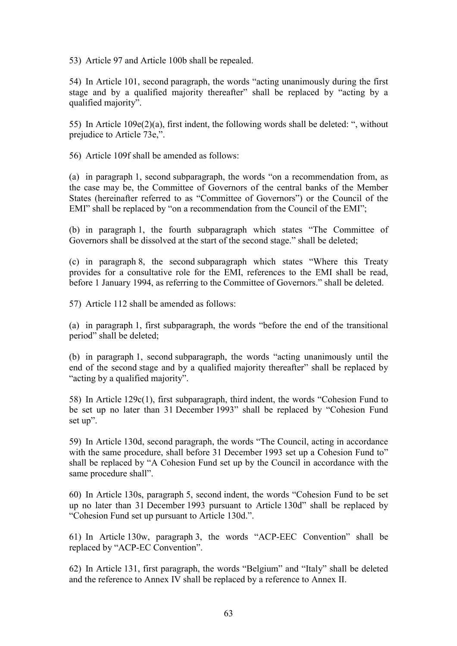53) Article 97 and Article 100b shall be repealed.

54) In Article 101, second paragraph, the words "acting unanimously during the first stage and by a qualified majority thereafter" shall be replaced by "acting by a qualified majority".

55) In Article 109e(2)(a), first indent, the following words shall be deleted: ", without prejudice to Article 73e,".

56) Article 109f shall be amended as follows:

(a) in paragraph 1, second subparagraph, the words "on a recommendation from, as the case may be, the Committee of Governors of the central banks of the Member States (hereinafter referred to as "Committee of Governors") or the Council of the EMI" shall be replaced by "on a recommendation from the Council of the EMI";

(b) in paragraph 1, the fourth subparagraph which states "The Committee of Governors shall be dissolved at the start of the second stage." shall be deleted;

(c) in paragraph 8, the second subparagraph which states "Where this Treaty provides for a consultative role for the EMI, references to the EMI shall be read, before 1 January 1994, as referring to the Committee of Governors." shall be deleted.

57) Article 112 shall be amended as follows:

(a) in paragraph 1, first subparagraph, the words "before the end of the transitional period" shall be deleted;

(b) in paragraph 1, second subparagraph, the words "acting unanimously until the end of the second stage and by a qualified majority thereafter" shall be replaced by "acting by a qualified majority".

58) In Article 129c(1), first subparagraph, third indent, the words "Cohesion Fund to be set up no later than 31 December 1993" shall be replaced by "Cohesion Fund set up".

59) In Article 130d, second paragraph, the words "The Council, acting in accordance with the same procedure, shall before 31 December 1993 set up a Cohesion Fund to" shall be replaced by "A Cohesion Fund set up by the Council in accordance with the same procedure shall".

60) In Article 130s, paragraph 5, second indent, the words "Cohesion Fund to be set up no later than 31 December 1993 pursuant to Article 130d" shall be replaced by "Cohesion Fund set up pursuant to Article 130d.".

61) In Article 130w, paragraph 3, the words "ACP-EEC Convention" shall be replaced by "ACP-EC Convention".

62) In Article 131, first paragraph, the words "Belgium" and "Italy" shall be deleted and the reference to Annex IV shall be replaced by a reference to Annex II.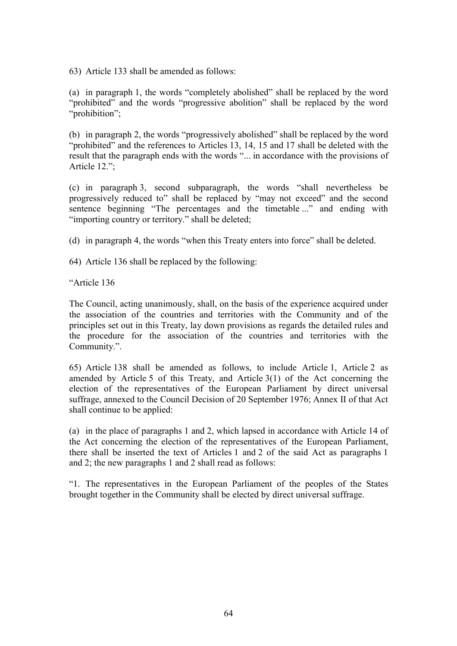63) Article 133 shall be amended as follows:

(a) in paragraph 1, the words "completely abolished" shall be replaced by the word "prohibited" and the words "progressive abolition" shall be replaced by the word "prohibition";

(b) in paragraph 2, the words "progressively abolished" shall be replaced by the word "prohibited" and the references to Articles 13, 14, 15 and 17 shall be deleted with the result that the paragraph ends with the words "... in accordance with the provisions of Article 12.";

(c) in paragraph 3, second subparagraph, the words "shall nevertheless be progressively reduced to" shall be replaced by "may not exceed" and the second sentence beginning "The percentages and the timetable ..." and ending with "importing country or territory." shall be deleted;

(d) in paragraph 4, the words "when this Treaty enters into force" shall be deleted.

64) Article 136 shall be replaced by the following:

"Article 136

The Council, acting unanimously, shall, on the basis of the experience acquired under the association of the countries and territories with the Community and of the principles set out in this Treaty, lay down provisions as regards the detailed rules and the procedure for the association of the countries and territories with the Community.".

65) Article 138 shall be amended as follows, to include Article 1, Article 2 as amended by Article 5 of this Treaty, and Article 3(1) of the Act concerning the election of the representatives of the European Parliament by direct universal suffrage, annexed to the Council Decision of 20 September 1976; Annex II of that Act shall continue to be applied:

(a) in the place of paragraphs 1 and 2, which lapsed in accordance with Article 14 of the Act concerning the election of the representatives of the European Parliament, there shall be inserted the text of Articles 1 and 2 of the said Act as paragraphs 1 and 2; the new paragraphs 1 and 2 shall read as follows:

"1. The representatives in the European Parliament of the peoples of the States brought together in the Community shall be elected by direct universal suffrage.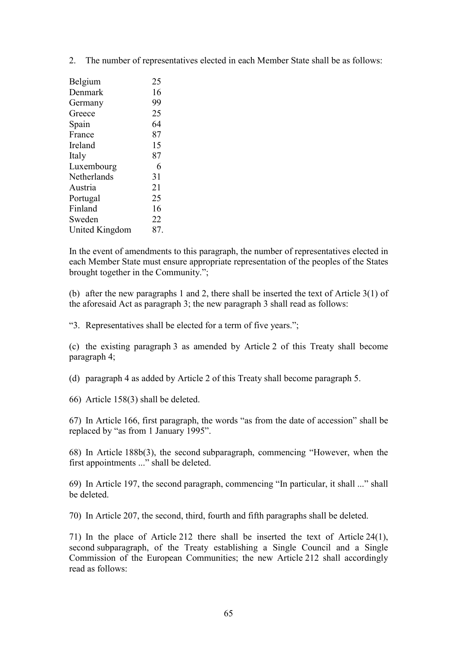2. The number of representatives elected in each Member State shall be as follows:

| Belgium        | 25  |
|----------------|-----|
| Denmark        | 16  |
| Germany        | 99  |
| Greece         | 25  |
| Spain          | 64  |
| France         | 87  |
| Ireland        | 15  |
| Italy          | 87  |
| Luxembourg     | 6   |
| Netherlands    | 31  |
| Austria        | 21  |
| Portugal       | 25  |
| Finland        | 16  |
| Sweden         | 22  |
| United Kingdom | 87. |

In the event of amendments to this paragraph, the number of representatives elected in each Member State must ensure appropriate representation of the peoples of the States brought together in the Community.";

(b) after the new paragraphs 1 and 2, there shall be inserted the text of Article 3(1) of the aforesaid Act as paragraph 3; the new paragraph 3 shall read as follows:

"3. Representatives shall be elected for a term of five years.";

(c) the existing paragraph 3 as amended by Article 2 of this Treaty shall become paragraph 4;

(d) paragraph 4 as added by Article 2 of this Treaty shall become paragraph 5.

66) Article 158(3) shall be deleted.

67) In Article 166, first paragraph, the words "as from the date of accession" shall be replaced by "as from 1 January 1995".

68) In Article 188b(3), the second subparagraph, commencing "However, when the first appointments ..." shall be deleted.

69) In Article 197, the second paragraph, commencing "In particular, it shall ..." shall be deleted.

70) In Article 207, the second, third, fourth and fifth paragraphs shall be deleted.

71) In the place of Article 212 there shall be inserted the text of Article 24(1), second subparagraph, of the Treaty establishing a Single Council and a Single Commission of the European Communities; the new Article 212 shall accordingly read as follows: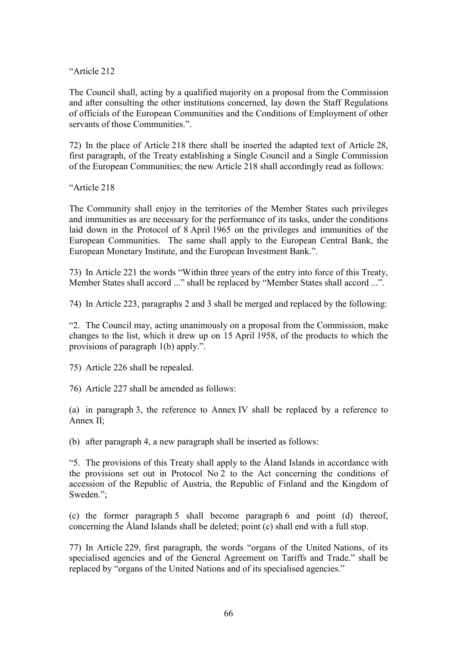"Article 212

The Council shall, acting by a qualified majority on a proposal from the Commission and after consulting the other institutions concerned, lay down the Staff Regulations of officials of the European Communities and the Conditions of Employment of other servants of those Communities.".

72) In the place of Article 218 there shall be inserted the adapted text of Article 28, first paragraph, of the Treaty establishing a Single Council and a Single Commission of the European Communities; the new Article 218 shall accordingly read as follows:

"Article 218

The Community shall enjoy in the territories of the Member States such privileges and immunities as are necessary for the performance of its tasks, under the conditions laid down in the Protocol of 8 April 1965 on the privileges and immunities of the European Communities. The same shall apply to the European Central Bank, the European Monetary Institute, and the European Investment Bank.".

73) In Article 221 the words "Within three years of the entry into force of this Treaty, Member States shall accord ..." shall be replaced by "Member States shall accord ...".

74) In Article 223, paragraphs 2 and 3 shall be merged and replaced by the following:

"2. The Council may, acting unanimously on a proposal from the Commission, make changes to the list, which it drew up on 15 April 1958, of the products to which the provisions of paragraph 1(b) apply.".

75) Article 226 shall be repealed.

76) Article 227 shall be amended as follows:

(a) in paragraph 3, the reference to Annex IV shall be replaced by a reference to Annex II;

(b) after paragraph 4, a new paragraph shall be inserted as follows:

"5. The provisions of this Treaty shall apply to the Åland Islands in accordance with the provisions set out in Protocol No 2 to the Act concerning the conditions of accession of the Republic of Austria, the Republic of Finland and the Kingdom of Sweden.";

(c) the former paragraph 5 shall become paragraph 6 and point (d) thereof, concerning the Åland Islands shall be deleted; point (c) shall end with a full stop.

77) In Article 229, first paragraph, the words "organs of the United Nations, of its specialised agencies and of the General Agreement on Tariffs and Trade." shall be replaced by "organs of the United Nations and of its specialised agencies."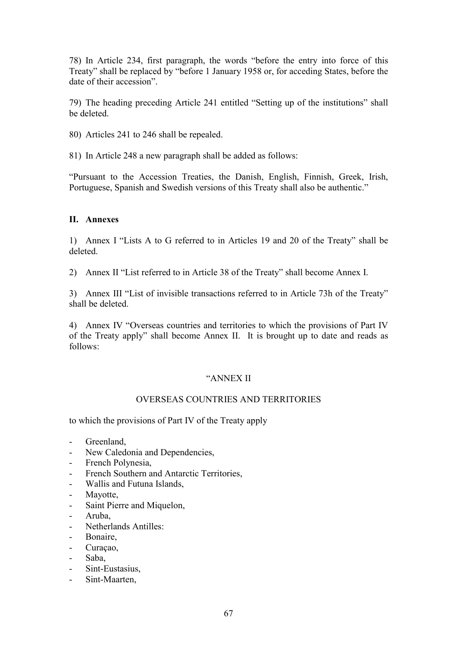78) In Article 234, first paragraph, the words "before the entry into force of this Treaty" shall be replaced by "before 1 January 1958 or, for acceding States, before the date of their accession".

79) The heading preceding Article 241 entitled "Setting up of the institutions" shall be deleted.

80) Articles 241 to 246 shall be repealed.

81) In Article 248 a new paragraph shall be added as follows:

"Pursuant to the Accession Treaties, the Danish, English, Finnish, Greek, Irish, Portuguese, Spanish and Swedish versions of this Treaty shall also be authentic."

# **II. Annexes**

1) Annex I "Lists A to G referred to in Articles 19 and 20 of the Treaty" shall be deleted.

2) Annex II "List referred to in Article 38 of the Treaty" shall become Annex I.

3) Annex III "List of invisible transactions referred to in Article 73h of the Treaty" shall be deleted.

4) Annex IV "Overseas countries and territories to which the provisions of Part IV of the Treaty apply" shall become Annex II. It is brought up to date and reads as follows:

# "ANNEX II

# OVERSEAS COUNTRIES AND TERRITORIES

to which the provisions of Part IV of the Treaty apply

- Greenland
- New Caledonia and Dependencies,
- French Polynesia,
- French Southern and Antarctic Territories,
- Wallis and Futuna Islands,
- Mayotte,
- Saint Pierre and Miquelon,
- Aruba.
- Netherlands Antilles:
- Bonaire.
- Curaçao,
- Saba,
- Sint-Eustasius,
- Sint-Maarten,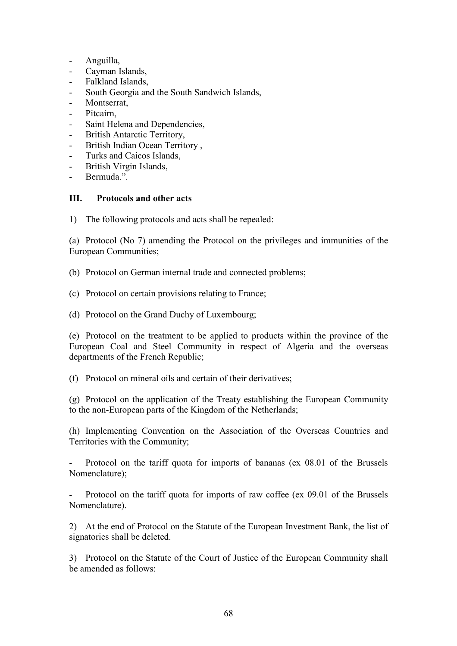- Anguilla,
- Cayman Islands,
- Falkland Islands,
- South Georgia and the South Sandwich Islands,
- Montserrat,
- Pitcairn,
- Saint Helena and Dependencies,
- British Antarctic Territory,
- British Indian Ocean Territory,
- Turks and Caicos Islands,
- British Virgin Islands,
- Bermuda<sup>"</sup>

## **III. Protocols and other acts**

1) The following protocols and acts shall be repealed:

(a) Protocol (No 7) amending the Protocol on the privileges and immunities of the European Communities;

- (b) Protocol on German internal trade and connected problems;
- (c) Protocol on certain provisions relating to France;
- (d) Protocol on the Grand Duchy of Luxembourg;

(e) Protocol on the treatment to be applied to products within the province of the European Coal and Steel Community in respect of Algeria and the overseas departments of the French Republic;

(f) Protocol on mineral oils and certain of their derivatives;

(g) Protocol on the application of the Treaty establishing the European Community to the non-European parts of the Kingdom of the Netherlands;

(h) Implementing Convention on the Association of the Overseas Countries and Territories with the Community;

Protocol on the tariff quota for imports of bananas (ex 08.01 of the Brussels Nomenclature);

Protocol on the tariff quota for imports of raw coffee (ex 09.01 of the Brussels Nomenclature).

2) At the end of Protocol on the Statute of the European Investment Bank, the list of signatories shall be deleted.

3) Protocol on the Statute of the Court of Justice of the European Community shall be amended as follows: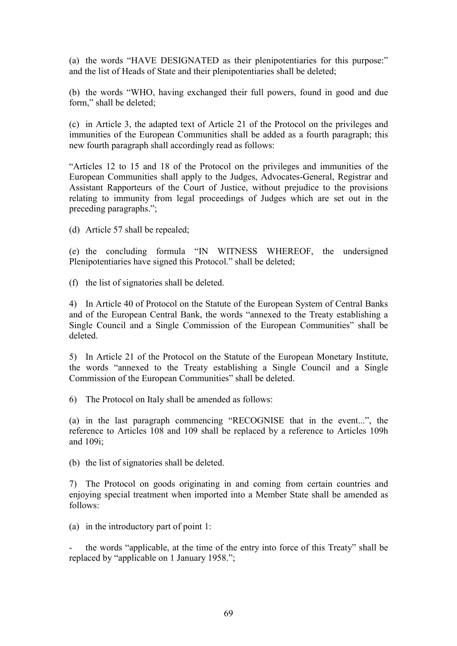(a) the words "HAVE DESIGNATED as their plenipotentiaries for this purpose:" and the list of Heads of State and their plenipotentiaries shall be deleted;

(b) the words "WHO, having exchanged their full powers, found in good and due form," shall be deleted;

(c) in Article 3, the adapted text of Article 21 of the Protocol on the privileges and immunities of the European Communities shall be added as a fourth paragraph; this new fourth paragraph shall accordingly read as follows:

"Articles 12 to 15 and 18 of the Protocol on the privileges and immunities of the European Communities shall apply to the Judges, Advocates-General, Registrar and Assistant Rapporteurs of the Court of Justice, without prejudice to the provisions relating to immunity from legal proceedings of Judges which are set out in the preceding paragraphs.";

(d) Article 57 shall be repealed;

(e) the concluding formula "IN WITNESS WHEREOF, the undersigned Plenipotentiaries have signed this Protocol." shall be deleted;

(f) the list of signatories shall be deleted.

4) In Article 40 of Protocol on the Statute of the European System of Central Banks and of the European Central Bank, the words "annexed to the Treaty establishing a Single Council and a Single Commission of the European Communities" shall be deleted.

5) In Article 21 of the Protocol on the Statute of the European Monetary Institute, the words "annexed to the Treaty establishing a Single Council and a Single Commission of the European Communities" shall be deleted.

6) The Protocol on Italy shall be amended as follows:

(a) in the last paragraph commencing "RECOGNISE that in the event...", the reference to Articles 108 and 109 shall be replaced by a reference to Articles 109h and 109i;

(b) the list of signatories shall be deleted.

7) The Protocol on goods originating in and coming from certain countries and enjoying special treatment when imported into a Member State shall be amended as follows:

(a) in the introductory part of point 1:

the words "applicable, at the time of the entry into force of this Treaty" shall be replaced by "applicable on 1 January 1958.";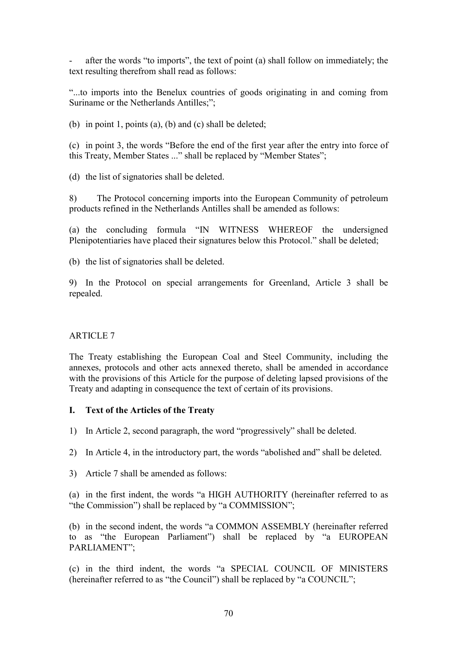after the words "to imports", the text of point (a) shall follow on immediately; the text resulting therefrom shall read as follows:

"...to imports into the Benelux countries of goods originating in and coming from Suriname or the Netherlands Antilles;";

(b) in point 1, points (a), (b) and (c) shall be deleted;

(c) in point 3, the words "Before the end of the first year after the entry into force of this Treaty, Member States ..." shall be replaced by "Member States";

(d) the list of signatories shall be deleted.

8) The Protocol concerning imports into the European Community of petroleum products refined in the Netherlands Antilles shall be amended as follows:

(a) the concluding formula "IN WITNESS WHEREOF the undersigned Plenipotentiaries have placed their signatures below this Protocol." shall be deleted;

(b) the list of signatories shall be deleted.

9) In the Protocol on special arrangements for Greenland, Article 3 shall be repealed.

### ARTICLE 7

The Treaty establishing the European Coal and Steel Community, including the annexes, protocols and other acts annexed thereto, shall be amended in accordance with the provisions of this Article for the purpose of deleting lapsed provisions of the Treaty and adapting in consequence the text of certain of its provisions.

### **I. Text of the Articles of the Treaty**

- 1) In Article 2, second paragraph, the word "progressively" shall be deleted.
- 2) In Article 4, in the introductory part, the words "abolished and" shall be deleted.
- 3) Article 7 shall be amended as follows:

(a) in the first indent, the words "a HIGH AUTHORITY (hereinafter referred to as "the Commission") shall be replaced by "a COMMISSION";

(b) in the second indent, the words "a COMMON ASSEMBLY (hereinafter referred to as "the European Parliament") shall be replaced by "a EUROPEAN PARLIAMENT";

(c) in the third indent, the words "a SPECIAL COUNCIL OF MINISTERS (hereinafter referred to as "the Council") shall be replaced by "a COUNCIL";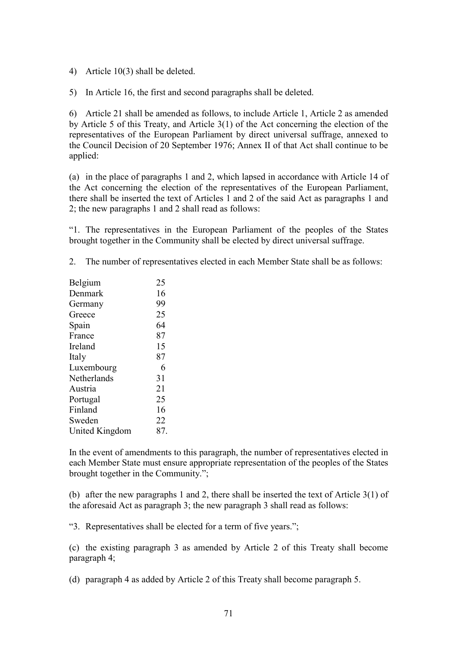4) Article 10(3) shall be deleted.

5) In Article 16, the first and second paragraphs shall be deleted.

6) Article 21 shall be amended as follows, to include Article 1, Article 2 as amended by Article 5 of this Treaty, and Article 3(1) of the Act concerning the election of the representatives of the European Parliament by direct universal suffrage, annexed to the Council Decision of 20 September 1976; Annex II of that Act shall continue to be applied:

(a) in the place of paragraphs 1 and 2, which lapsed in accordance with Article 14 of the Act concerning the election of the representatives of the European Parliament, there shall be inserted the text of Articles 1 and 2 of the said Act as paragraphs 1 and 2; the new paragraphs 1 and 2 shall read as follows:

"1. The representatives in the European Parliament of the peoples of the States brought together in the Community shall be elected by direct universal suffrage.

2. The number of representatives elected in each Member State shall be as follows:

| Belgium               | 25  |
|-----------------------|-----|
| Denmark               | 16  |
| Germany               | 99  |
| Greece                | 25  |
| Spain                 | 64  |
| France                | 87  |
| Ireland               | 15  |
| Italy                 | 87  |
| Luxembourg            | 6   |
| Netherlands           | 31  |
| Austria               | 21  |
| Portugal              | 25  |
| Finland               | 16  |
| Sweden                | 22  |
| <b>United Kingdom</b> | 87. |

In the event of amendments to this paragraph, the number of representatives elected in each Member State must ensure appropriate representation of the peoples of the States brought together in the Community.";

(b) after the new paragraphs 1 and 2, there shall be inserted the text of Article 3(1) of the aforesaid Act as paragraph 3; the new paragraph 3 shall read as follows:

"3. Representatives shall be elected for a term of five years.";

(c) the existing paragraph 3 as amended by Article 2 of this Treaty shall become paragraph 4;

(d) paragraph 4 as added by Article 2 of this Treaty shall become paragraph 5.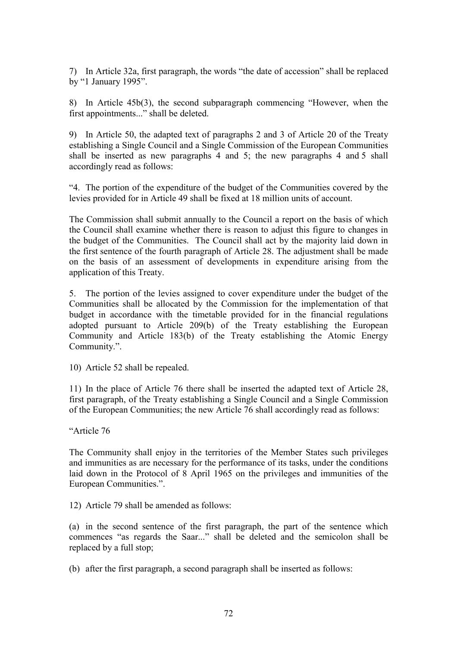7) In Article 32a, first paragraph, the words "the date of accession" shall be replaced by "1 January 1995".

8) In Article 45b(3), the second subparagraph commencing "However, when the first appointments..." shall be deleted.

9) In Article 50, the adapted text of paragraphs 2 and 3 of Article 20 of the Treaty establishing a Single Council and a Single Commission of the European Communities shall be inserted as new paragraphs 4 and 5; the new paragraphs 4 and 5 shall accordingly read as follows:

"4. The portion of the expenditure of the budget of the Communities covered by the levies provided for in Article 49 shall be fixed at 18 million units of account.

The Commission shall submit annually to the Council a report on the basis of which the Council shall examine whether there is reason to adjust this figure to changes in the budget of the Communities. The Council shall act by the majority laid down in the first sentence of the fourth paragraph of Article 28. The adjustment shall be made on the basis of an assessment of developments in expenditure arising from the application of this Treaty.

5. The portion of the levies assigned to cover expenditure under the budget of the Communities shall be allocated by the Commission for the implementation of that budget in accordance with the timetable provided for in the financial regulations adopted pursuant to Article 209(b) of the Treaty establishing the European Community and Article 183(b) of the Treaty establishing the Atomic Energy Community.".

10) Article 52 shall be repealed.

11) In the place of Article 76 there shall be inserted the adapted text of Article 28, first paragraph, of the Treaty establishing a Single Council and a Single Commission of the European Communities; the new Article 76 shall accordingly read as follows:

"Article 76

The Community shall enjoy in the territories of the Member States such privileges and immunities as are necessary for the performance of its tasks, under the conditions laid down in the Protocol of 8 April 1965 on the privileges and immunities of the European Communities.".

12) Article 79 shall be amended as follows:

(a) in the second sentence of the first paragraph, the part of the sentence which commences "as regards the Saar..." shall be deleted and the semicolon shall be replaced by a full stop;

(b) after the first paragraph, a second paragraph shall be inserted as follows: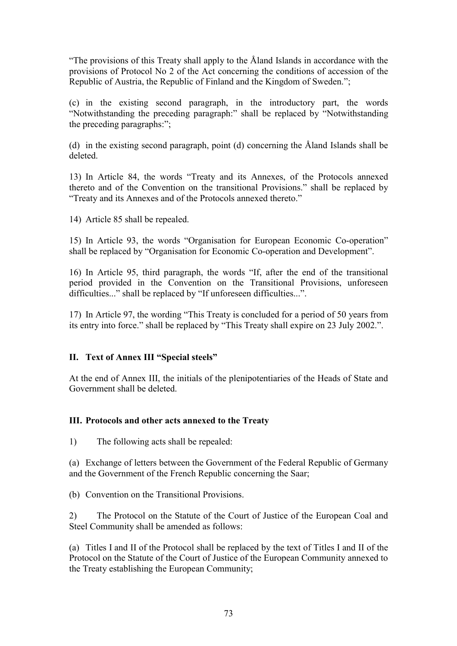"The provisions of this Treaty shall apply to the Åland Islands in accordance with the provisions of Protocol No 2 of the Act concerning the conditions of accession of the Republic of Austria, the Republic of Finland and the Kingdom of Sweden.";

(c) in the existing second paragraph, in the introductory part, the words "Notwithstanding the preceding paragraph:" shall be replaced by "Notwithstanding the preceding paragraphs:";

(d) in the existing second paragraph, point (d) concerning the Åland Islands shall be deleted.

13) In Article 84, the words "Treaty and its Annexes, of the Protocols annexed thereto and of the Convention on the transitional Provisions." shall be replaced by "Treaty and its Annexes and of the Protocols annexed thereto."

14) Article 85 shall be repealed.

15) In Article 93, the words "Organisation for European Economic Co-operation" shall be replaced by "Organisation for Economic Co-operation and Development".

16) In Article 95, third paragraph, the words "If, after the end of the transitional period provided in the Convention on the Transitional Provisions, unforeseen difficulties..." shall be replaced by "If unforeseen difficulties...".

17) In Article 97, the wording "This Treaty is concluded for a period of 50 years from its entry into force." shall be replaced by "This Treaty shall expire on 23 July 2002.".

## **II. Text of Annex III "Special steels"**

At the end of Annex III, the initials of the plenipotentiaries of the Heads of State and Government shall be deleted.

## **III. Protocols and other acts annexed to the Treaty**

1) The following acts shall be repealed:

(a) Exchange of letters between the Government of the Federal Republic of Germany and the Government of the French Republic concerning the Saar;

(b) Convention on the Transitional Provisions.

2) The Protocol on the Statute of the Court of Justice of the European Coal and Steel Community shall be amended as follows:

(a) Titles I and II of the Protocol shall be replaced by the text of Titles I and II of the Protocol on the Statute of the Court of Justice of the European Community annexed to the Treaty establishing the European Community;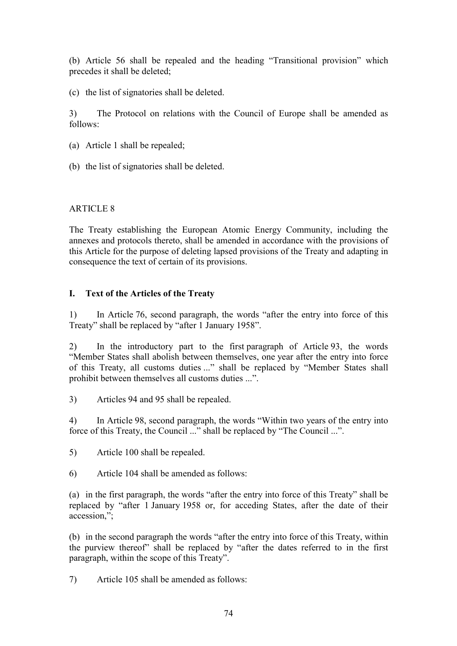(b) Article 56 shall be repealed and the heading "Transitional provision" which precedes it shall be deleted;

(c) the list of signatories shall be deleted.

3) The Protocol on relations with the Council of Europe shall be amended as follows:

(a) Article 1 shall be repealed;

(b) the list of signatories shall be deleted.

### ARTICLE 8

The Treaty establishing the European Atomic Energy Community, including the annexes and protocols thereto, shall be amended in accordance with the provisions of this Article for the purpose of deleting lapsed provisions of the Treaty and adapting in consequence the text of certain of its provisions.

## **I. Text of the Articles of the Treaty**

1) In Article 76, second paragraph, the words "after the entry into force of this Treaty" shall be replaced by "after 1 January 1958".

2) In the introductory part to the first paragraph of Article 93, the words "Member States shall abolish between themselves, one year after the entry into force of this Treaty, all customs duties ..." shall be replaced by "Member States shall prohibit between themselves all customs duties ...".

3) Articles 94 and 95 shall be repealed.

4) In Article 98, second paragraph, the words "Within two years of the entry into force of this Treaty, the Council ..." shall be replaced by "The Council ...".

5) Article 100 shall be repealed.

6) Article 104 shall be amended as follows:

(a) in the first paragraph, the words "after the entry into force of this Treaty" shall be replaced by "after 1 January 1958 or, for acceding States, after the date of their accession,";

(b) in the second paragraph the words "after the entry into force of this Treaty, within the purview thereof" shall be replaced by "after the dates referred to in the first paragraph, within the scope of this Treaty".

7) Article 105 shall be amended as follows: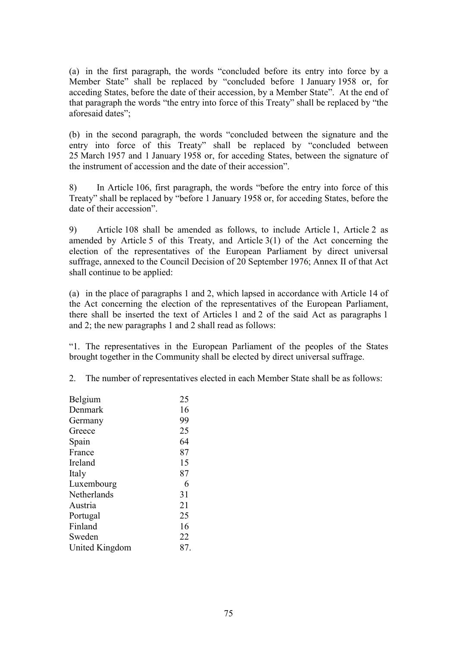(a) in the first paragraph, the words "concluded before its entry into force by a Member State" shall be replaced by "concluded before 1 January 1958 or, for acceding States, before the date of their accession, by a Member State". At the end of that paragraph the words "the entry into force of this Treaty" shall be replaced by "the aforesaid dates";

(b) in the second paragraph, the words "concluded between the signature and the entry into force of this Treaty" shall be replaced by "concluded between 25 March 1957 and 1 January 1958 or, for acceding States, between the signature of the instrument of accession and the date of their accession".

8) In Article 106, first paragraph, the words "before the entry into force of this Treaty" shall be replaced by "before 1 January 1958 or, for acceding States, before the date of their accession".

9) Article 108 shall be amended as follows, to include Article 1, Article 2 as amended by Article 5 of this Treaty, and Article 3(1) of the Act concerning the election of the representatives of the European Parliament by direct universal suffrage, annexed to the Council Decision of 20 September 1976; Annex II of that Act shall continue to be applied:

(a) in the place of paragraphs 1 and 2, which lapsed in accordance with Article 14 of the Act concerning the election of the representatives of the European Parliament, there shall be inserted the text of Articles 1 and 2 of the said Act as paragraphs 1 and 2; the new paragraphs 1 and 2 shall read as follows:

"1. The representatives in the European Parliament of the peoples of the States brought together in the Community shall be elected by direct universal suffrage.

2. The number of representatives elected in each Member State shall be as follows:

| Belgium        | 25  |
|----------------|-----|
| Denmark        | 16  |
| Germany        | 99  |
| Greece         | 25  |
| Spain          | 64  |
| France         | 87  |
| Ireland        | 15  |
| Italy          | 87  |
| Luxembourg     | 6   |
| Netherlands    | 31  |
| Austria        | 21  |
| Portugal       | 25  |
| Finland        | 16  |
| Sweden         | 22  |
| United Kingdom | 87. |
|                |     |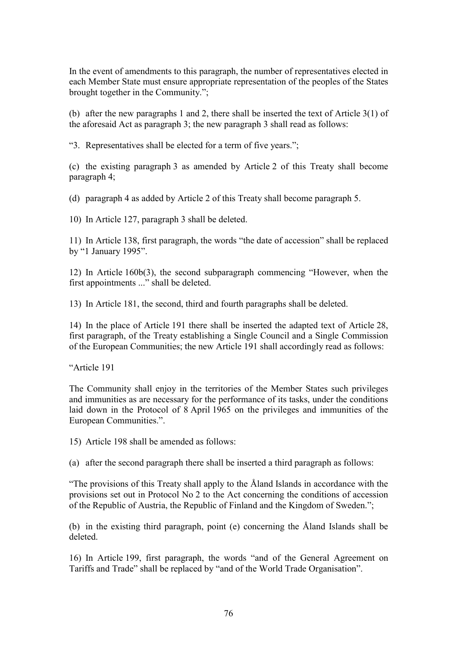In the event of amendments to this paragraph, the number of representatives elected in each Member State must ensure appropriate representation of the peoples of the States brought together in the Community.";

(b) after the new paragraphs 1 and 2, there shall be inserted the text of Article 3(1) of the aforesaid Act as paragraph 3; the new paragraph 3 shall read as follows:

"3. Representatives shall be elected for a term of five years.";

(c) the existing paragraph 3 as amended by Article 2 of this Treaty shall become paragraph 4;

(d) paragraph 4 as added by Article 2 of this Treaty shall become paragraph 5.

10) In Article 127, paragraph 3 shall be deleted.

11) In Article 138, first paragraph, the words "the date of accession" shall be replaced by "1 January 1995".

12) In Article 160b(3), the second subparagraph commencing "However, when the first appointments ..." shall be deleted.

13) In Article 181, the second, third and fourth paragraphs shall be deleted.

14) In the place of Article 191 there shall be inserted the adapted text of Article 28, first paragraph, of the Treaty establishing a Single Council and a Single Commission of the European Communities; the new Article 191 shall accordingly read as follows:

"Article 191

The Community shall enjoy in the territories of the Member States such privileges and immunities as are necessary for the performance of its tasks, under the conditions laid down in the Protocol of 8 April 1965 on the privileges and immunities of the European Communities.".

15) Article 198 shall be amended as follows:

(a) after the second paragraph there shall be inserted a third paragraph as follows:

"The provisions of this Treaty shall apply to the Åland Islands in accordance with the provisions set out in Protocol No 2 to the Act concerning the conditions of accession of the Republic of Austria, the Republic of Finland and the Kingdom of Sweden.";

(b) in the existing third paragraph, point (e) concerning the Åland Islands shall be deleted.

16) In Article 199, first paragraph, the words "and of the General Agreement on Tariffs and Trade" shall be replaced by "and of the World Trade Organisation".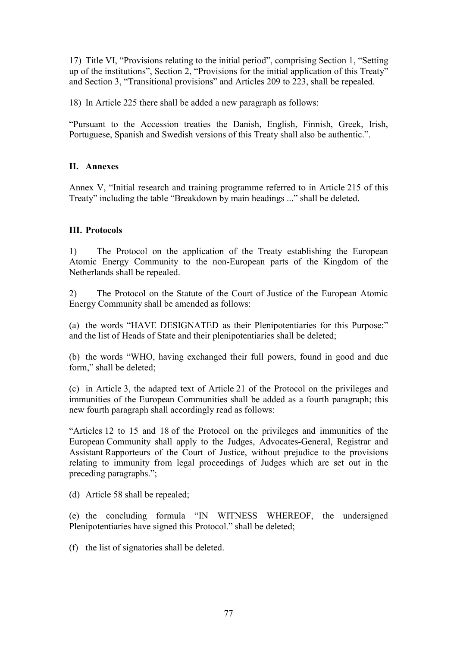17) Title VI, "Provisions relating to the initial period", comprising Section 1, "Setting up of the institutions", Section 2, "Provisions for the initial application of this Treaty" and Section 3, "Transitional provisions" and Articles 209 to 223, shall be repealed.

18) In Article 225 there shall be added a new paragraph as follows:

"Pursuant to the Accession treaties the Danish, English, Finnish, Greek, Irish, Portuguese, Spanish and Swedish versions of this Treaty shall also be authentic.".

## **II. Annexes**

Annex V, "Initial research and training programme referred to in Article 215 of this Treaty" including the table "Breakdown by main headings ..." shall be deleted.

# **III. Protocols**

1) The Protocol on the application of the Treaty establishing the European Atomic Energy Community to the non-European parts of the Kingdom of the Netherlands shall be repealed.

2) The Protocol on the Statute of the Court of Justice of the European Atomic Energy Community shall be amended as follows:

(a) the words "HAVE DESIGNATED as their Plenipotentiaries for this Purpose:" and the list of Heads of State and their plenipotentiaries shall be deleted;

(b) the words "WHO, having exchanged their full powers, found in good and due form," shall be deleted;

(c) in Article 3, the adapted text of Article 21 of the Protocol on the privileges and immunities of the European Communities shall be added as a fourth paragraph; this new fourth paragraph shall accordingly read as follows:

"Articles 12 to 15 and 18 of the Protocol on the privileges and immunities of the European Community shall apply to the Judges, Advocates-General, Registrar and Assistant Rapporteurs of the Court of Justice, without prejudice to the provisions relating to immunity from legal proceedings of Judges which are set out in the preceding paragraphs.";

(d) Article 58 shall be repealed;

(e) the concluding formula "IN WITNESS WHEREOF, the undersigned Plenipotentiaries have signed this Protocol." shall be deleted;

(f) the list of signatories shall be deleted.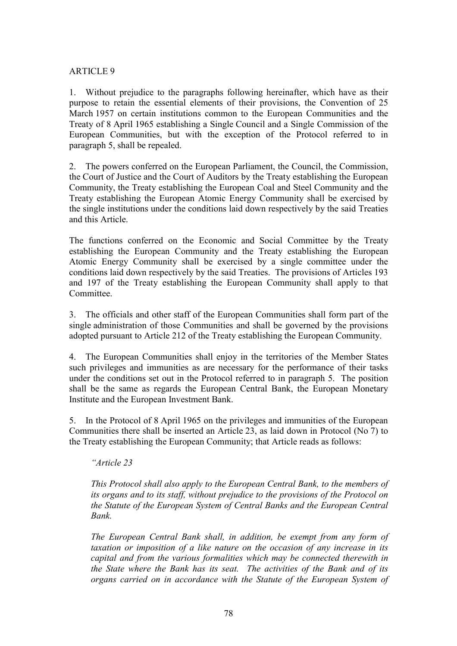### ARTICLE 9

1. Without prejudice to the paragraphs following hereinafter, which have as their purpose to retain the essential elements of their provisions, the Convention of 25 March 1957 on certain institutions common to the European Communities and the Treaty of 8 April 1965 establishing a Single Council and a Single Commission of the European Communities, but with the exception of the Protocol referred to in paragraph 5, shall be repealed.

2. The powers conferred on the European Parliament, the Council, the Commission, the Court of Justice and the Court of Auditors by the Treaty establishing the European Community, the Treaty establishing the European Coal and Steel Community and the Treaty establishing the European Atomic Energy Community shall be exercised by the single institutions under the conditions laid down respectively by the said Treaties and this Article.

The functions conferred on the Economic and Social Committee by the Treaty establishing the European Community and the Treaty establishing the European Atomic Energy Community shall be exercised by a single committee under the conditions laid down respectively by the said Treaties. The provisions of Articles 193 and 197 of the Treaty establishing the European Community shall apply to that Committee.

3. The officials and other staff of the European Communities shall form part of the single administration of those Communities and shall be governed by the provisions adopted pursuant to Article 212 of the Treaty establishing the European Community.

4. The European Communities shall enjoy in the territories of the Member States such privileges and immunities as are necessary for the performance of their tasks under the conditions set out in the Protocol referred to in paragraph 5. The position shall be the same as regards the European Central Bank, the European Monetary Institute and the European Investment Bank.

5. In the Protocol of 8 April 1965 on the privileges and immunities of the European Communities there shall be inserted an Article 23, as laid down in Protocol (No 7) to the Treaty establishing the European Community; that Article reads as follows:

## *"Article 23*

*This Protocol shall also apply to the European Central Bank, to the members of its organs and to its staff, without prejudice to the provisions of the Protocol on the Statute of the European System of Central Banks and the European Central Bank.* 

*The European Central Bank shall, in addition, be exempt from any form of taxation or imposition of a like nature on the occasion of any increase in its capital and from the various formalities which may be connected therewith in the State where the Bank has its seat. The activities of the Bank and of its organs carried on in accordance with the Statute of the European System of*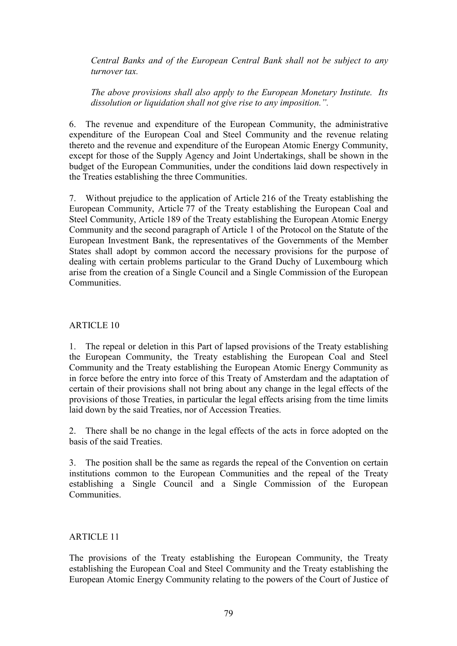*Central Banks and of the European Central Bank shall not be subject to any turnover tax.* 

*The above provisions shall also apply to the European Monetary Institute. Its dissolution or liquidation shall not give rise to any imposition.".* 

6. The revenue and expenditure of the European Community, the administrative expenditure of the European Coal and Steel Community and the revenue relating thereto and the revenue and expenditure of the European Atomic Energy Community, except for those of the Supply Agency and Joint Undertakings, shall be shown in the budget of the European Communities, under the conditions laid down respectively in the Treaties establishing the three Communities.

7. Without prejudice to the application of Article 216 of the Treaty establishing the European Community, Article 77 of the Treaty establishing the European Coal and Steel Community, Article 189 of the Treaty establishing the European Atomic Energy Community and the second paragraph of Article 1 of the Protocol on the Statute of the European Investment Bank, the representatives of the Governments of the Member States shall adopt by common accord the necessary provisions for the purpose of dealing with certain problems particular to the Grand Duchy of Luxembourg which arise from the creation of a Single Council and a Single Commission of the European **Communities** 

## ARTICLE 10

1. The repeal or deletion in this Part of lapsed provisions of the Treaty establishing the European Community, the Treaty establishing the European Coal and Steel Community and the Treaty establishing the European Atomic Energy Community as in force before the entry into force of this Treaty of Amsterdam and the adaptation of certain of their provisions shall not bring about any change in the legal effects of the provisions of those Treaties, in particular the legal effects arising from the time limits laid down by the said Treaties, nor of Accession Treaties.

2. There shall be no change in the legal effects of the acts in force adopted on the basis of the said Treaties.

3. The position shall be the same as regards the repeal of the Convention on certain institutions common to the European Communities and the repeal of the Treaty establishing a Single Council and a Single Commission of the European **Communities** 

#### ARTICLE 11

The provisions of the Treaty establishing the European Community, the Treaty establishing the European Coal and Steel Community and the Treaty establishing the European Atomic Energy Community relating to the powers of the Court of Justice of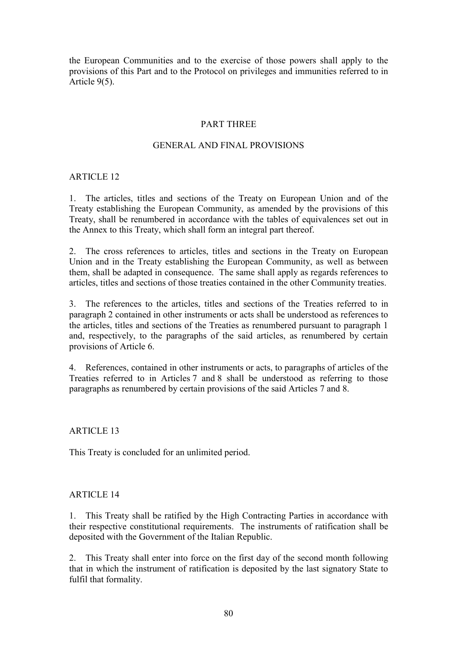the European Communities and to the exercise of those powers shall apply to the provisions of this Part and to the Protocol on privileges and immunities referred to in Article 9(5).

#### PART THREE

#### GENERAL AND FINAL PROVISIONS

#### ARTICLE 12

1. The articles, titles and sections of the Treaty on European Union and of the Treaty establishing the European Community, as amended by the provisions of this Treaty, shall be renumbered in accordance with the tables of equivalences set out in the Annex to this Treaty, which shall form an integral part thereof.

2. The cross references to articles, titles and sections in the Treaty on European Union and in the Treaty establishing the European Community, as well as between them, shall be adapted in consequence. The same shall apply as regards references to articles, titles and sections of those treaties contained in the other Community treaties.

3. The references to the articles, titles and sections of the Treaties referred to in paragraph 2 contained in other instruments or acts shall be understood as references to the articles, titles and sections of the Treaties as renumbered pursuant to paragraph 1 and, respectively, to the paragraphs of the said articles, as renumbered by certain provisions of Article 6.

4. References, contained in other instruments or acts, to paragraphs of articles of the Treaties referred to in Articles 7 and 8 shall be understood as referring to those paragraphs as renumbered by certain provisions of the said Articles 7 and 8.

#### ARTICLE 13

This Treaty is concluded for an unlimited period.

### ARTICLE 14

1. This Treaty shall be ratified by the High Contracting Parties in accordance with their respective constitutional requirements. The instruments of ratification shall be deposited with the Government of the Italian Republic.

2. This Treaty shall enter into force on the first day of the second month following that in which the instrument of ratification is deposited by the last signatory State to fulfil that formality.